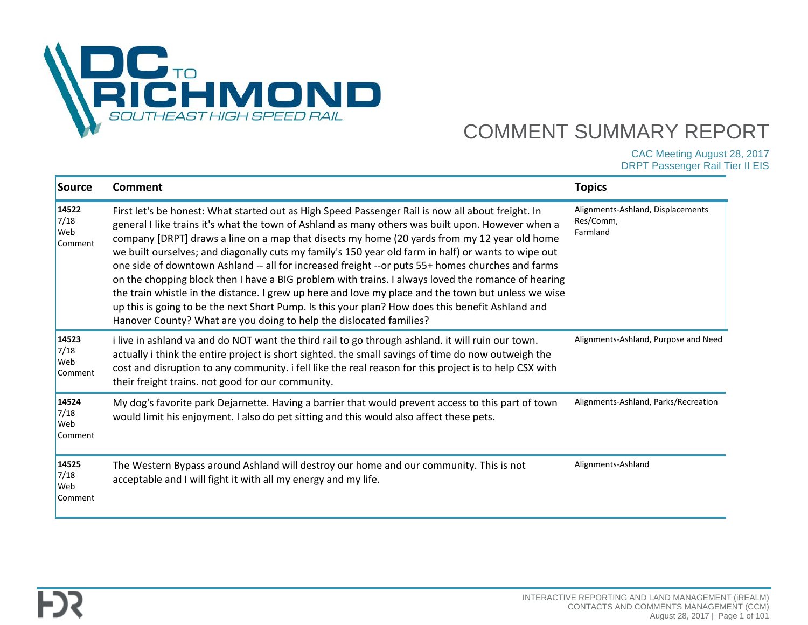

CAC Meeting August 28, 2017

DRPT Passenger Rail Tier II EIS

| Source                          | <b>Comment</b>                                                                                                                                                                                                                                                                                                                                                                                                                                                                                                                                                                                                                                                                                                                                                                                                                                                                                            | <b>Topics</b>                                              |
|---------------------------------|-----------------------------------------------------------------------------------------------------------------------------------------------------------------------------------------------------------------------------------------------------------------------------------------------------------------------------------------------------------------------------------------------------------------------------------------------------------------------------------------------------------------------------------------------------------------------------------------------------------------------------------------------------------------------------------------------------------------------------------------------------------------------------------------------------------------------------------------------------------------------------------------------------------|------------------------------------------------------------|
| 14522<br>7/18<br>Web<br>Comment | First let's be honest: What started out as High Speed Passenger Rail is now all about freight. In<br>general I like trains it's what the town of Ashland as many others was built upon. However when a<br>company [DRPT] draws a line on a map that disects my home (20 yards from my 12 year old home<br>we built ourselves; and diagonally cuts my family's 150 year old farm in half) or wants to wipe out<br>one side of downtown Ashland -- all for increased freight --or puts 55+ homes churches and farms<br>on the chopping block then I have a BIG problem with trains. I always loved the romance of hearing<br>the train whistle in the distance. I grew up here and love my place and the town but unless we wise<br>up this is going to be the next Short Pump. Is this your plan? How does this benefit Ashland and<br>Hanover County? What are you doing to help the dislocated families? | Alignments-Ashland, Displacements<br>Res/Comm,<br>Farmland |
| 14523<br>7/18<br>Web<br>Comment | i live in ashland va and do NOT want the third rail to go through ashland. it will ruin our town.<br>actually i think the entire project is short sighted. the small savings of time do now outweigh the<br>cost and disruption to any community. i fell like the real reason for this project is to help CSX with<br>their freight trains. not good for our community.                                                                                                                                                                                                                                                                                                                                                                                                                                                                                                                                   | Alignments-Ashland, Purpose and Need                       |
| 14524<br>7/18<br>Web<br>Comment | My dog's favorite park Dejarnette. Having a barrier that would prevent access to this part of town<br>would limit his enjoyment. I also do pet sitting and this would also affect these pets.                                                                                                                                                                                                                                                                                                                                                                                                                                                                                                                                                                                                                                                                                                             | Alignments-Ashland, Parks/Recreation                       |
| 14525<br>7/18<br>Web<br>Comment | The Western Bypass around Ashland will destroy our home and our community. This is not<br>acceptable and I will fight it with all my energy and my life.                                                                                                                                                                                                                                                                                                                                                                                                                                                                                                                                                                                                                                                                                                                                                  | Alignments-Ashland                                         |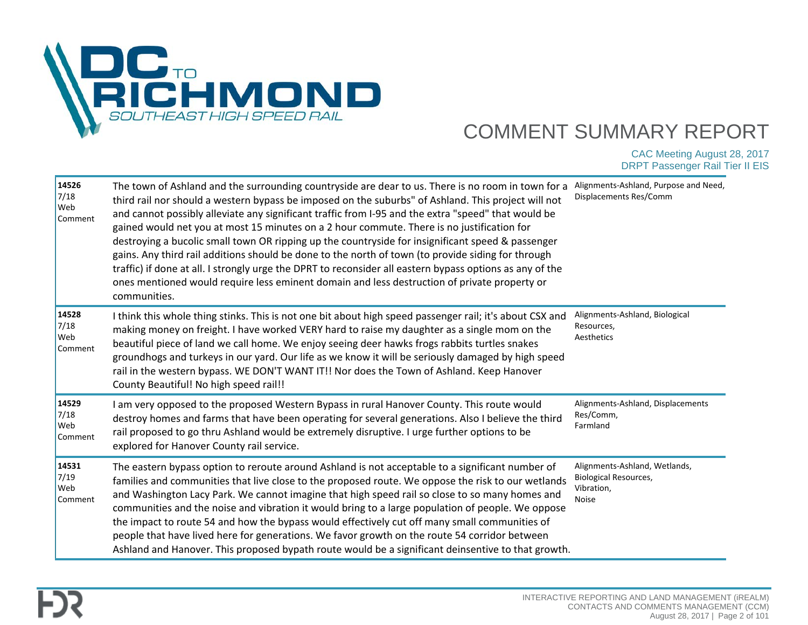

| 14526<br>7/18<br>Web<br>Comment | The town of Ashland and the surrounding countryside are dear to us. There is no room in town for a<br>third rail nor should a western bypass be imposed on the suburbs" of Ashland. This project will not<br>and cannot possibly alleviate any significant traffic from I-95 and the extra "speed" that would be<br>gained would net you at most 15 minutes on a 2 hour commute. There is no justification for<br>destroying a bucolic small town OR ripping up the countryside for insignificant speed & passenger<br>gains. Any third rail additions should be done to the north of town (to provide siding for through<br>traffic) if done at all. I strongly urge the DPRT to reconsider all eastern bypass options as any of the<br>ones mentioned would require less eminent domain and less destruction of private property or<br>communities. | Alignments-Ashland, Purpose and Need,<br>Displacements Res/Comm                      |
|---------------------------------|-------------------------------------------------------------------------------------------------------------------------------------------------------------------------------------------------------------------------------------------------------------------------------------------------------------------------------------------------------------------------------------------------------------------------------------------------------------------------------------------------------------------------------------------------------------------------------------------------------------------------------------------------------------------------------------------------------------------------------------------------------------------------------------------------------------------------------------------------------|--------------------------------------------------------------------------------------|
| 14528<br>7/18<br>Web<br>Comment | I think this whole thing stinks. This is not one bit about high speed passenger rail; it's about CSX and<br>making money on freight. I have worked VERY hard to raise my daughter as a single mom on the<br>beautiful piece of land we call home. We enjoy seeing deer hawks frogs rabbits turtles snakes<br>groundhogs and turkeys in our yard. Our life as we know it will be seriously damaged by high speed<br>rail in the western bypass. WE DON'T WANT IT!! Nor does the Town of Ashland. Keep Hanover<br>County Beautiful! No high speed rail!!                                                                                                                                                                                                                                                                                                | Alignments-Ashland, Biological<br>Resources,<br>Aesthetics                           |
| 14529<br>7/18<br>Web<br>Comment | I am very opposed to the proposed Western Bypass in rural Hanover County. This route would<br>destroy homes and farms that have been operating for several generations. Also I believe the third<br>rail proposed to go thru Ashland would be extremely disruptive. I urge further options to be<br>explored for Hanover County rail service.                                                                                                                                                                                                                                                                                                                                                                                                                                                                                                         | Alignments-Ashland, Displacements<br>Res/Comm,<br>Farmland                           |
| 14531<br>7/19<br>Web<br>Comment | The eastern bypass option to reroute around Ashland is not acceptable to a significant number of<br>families and communities that live close to the proposed route. We oppose the risk to our wetlands<br>and Washington Lacy Park. We cannot imagine that high speed rail so close to so many homes and<br>communities and the noise and vibration it would bring to a large population of people. We oppose<br>the impact to route 54 and how the bypass would effectively cut off many small communities of<br>people that have lived here for generations. We favor growth on the route 54 corridor between<br>Ashland and Hanover. This proposed bypath route would be a significant deinsentive to that growth.                                                                                                                                 | Alignments-Ashland, Wetlands,<br>Biological Resources,<br>Vibration,<br><b>Noise</b> |

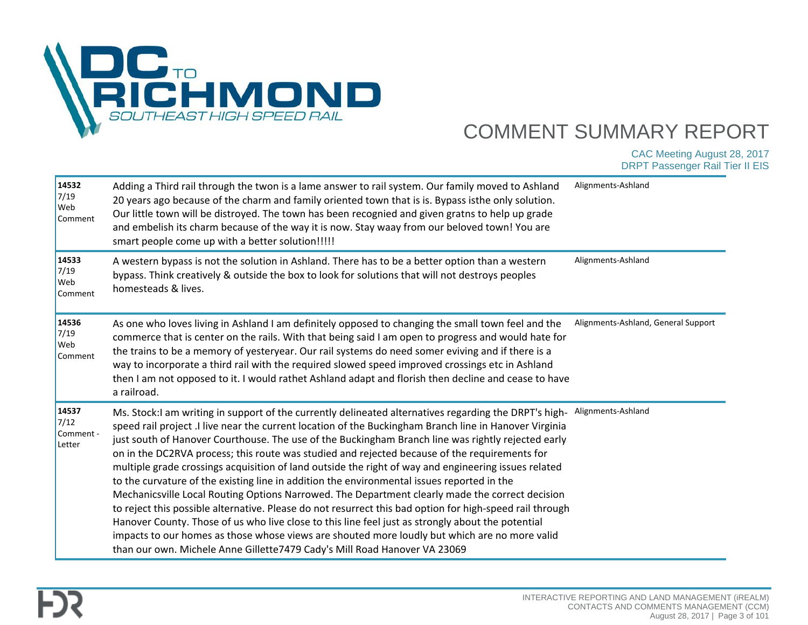

| 14532<br>7/19<br>Web<br>Comment      | Adding a Third rail through the twon is a lame answer to rail system. Our family moved to Ashland<br>20 years ago because of the charm and family oriented town that is is. Bypass isthe only solution.<br>Our little town will be distroyed. The town has been recognied and given gratns to help up grade<br>and embelish its charm because of the way it is now. Stay waay from our beloved town! You are<br>smart people come up with a better solution!!!!!                                                                                                                                                                                                                                                                                                                                                                                                                                                                                                                                                                                                                                                               | Alignments-Ashland                  |
|--------------------------------------|--------------------------------------------------------------------------------------------------------------------------------------------------------------------------------------------------------------------------------------------------------------------------------------------------------------------------------------------------------------------------------------------------------------------------------------------------------------------------------------------------------------------------------------------------------------------------------------------------------------------------------------------------------------------------------------------------------------------------------------------------------------------------------------------------------------------------------------------------------------------------------------------------------------------------------------------------------------------------------------------------------------------------------------------------------------------------------------------------------------------------------|-------------------------------------|
| 14533<br>7/19<br>Web<br>Comment      | A western bypass is not the solution in Ashland. There has to be a better option than a western<br>bypass. Think creatively & outside the box to look for solutions that will not destroys peoples<br>homesteads & lives.                                                                                                                                                                                                                                                                                                                                                                                                                                                                                                                                                                                                                                                                                                                                                                                                                                                                                                      | Alignments-Ashland                  |
| 14536<br>7/19<br>Web<br>Comment      | As one who loves living in Ashland I am definitely opposed to changing the small town feel and the<br>commerce that is center on the rails. With that being said I am open to progress and would hate for<br>the trains to be a memory of yesteryear. Our rail systems do need somer eviving and if there is a<br>way to incorporate a third rail with the required slowed speed improved crossings etc in Ashland<br>then I am not opposed to it. I would rathet Ashland adapt and florish then decline and cease to have<br>a railroad.                                                                                                                                                                                                                                                                                                                                                                                                                                                                                                                                                                                      | Alignments-Ashland, General Support |
| 14537<br>7/12<br>Comment -<br>Letter | Ms. Stock:I am writing in support of the currently delineated alternatives regarding the DRPT's high-<br>speed rail project .I live near the current location of the Buckingham Branch line in Hanover Virginia<br>just south of Hanover Courthouse. The use of the Buckingham Branch line was rightly rejected early<br>on in the DC2RVA process; this route was studied and rejected because of the requirements for<br>multiple grade crossings acquisition of land outside the right of way and engineering issues related<br>to the curvature of the existing line in addition the environmental issues reported in the<br>Mechanicsville Local Routing Options Narrowed. The Department clearly made the correct decision<br>to reject this possible alternative. Please do not resurrect this bad option for high-speed rail through<br>Hanover County. Those of us who live close to this line feel just as strongly about the potential<br>impacts to our homes as those whose views are shouted more loudly but which are no more valid<br>than our own. Michele Anne Gillette7479 Cady's Mill Road Hanover VA 23069 | Alignments-Ashland                  |

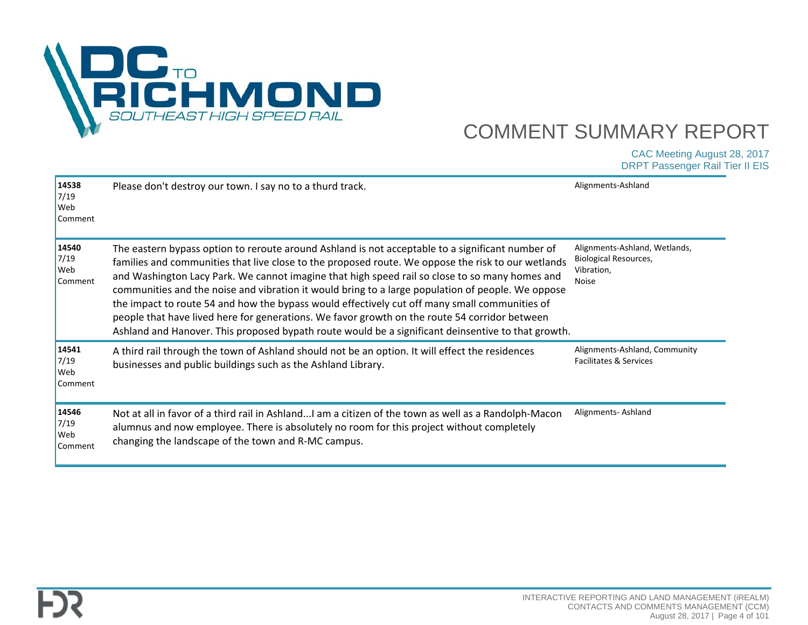

| 14538<br>7/19<br>Web<br>Comment | Please don't destroy our town. I say no to a thurd track.                                                                                                                                                                                                                                                                                                                                                                                                                                                                                                                                                                                                                                                             | Alignments-Ashland                                                            |
|---------------------------------|-----------------------------------------------------------------------------------------------------------------------------------------------------------------------------------------------------------------------------------------------------------------------------------------------------------------------------------------------------------------------------------------------------------------------------------------------------------------------------------------------------------------------------------------------------------------------------------------------------------------------------------------------------------------------------------------------------------------------|-------------------------------------------------------------------------------|
| 14540<br>7/19<br>Web<br>Comment | The eastern bypass option to reroute around Ashland is not acceptable to a significant number of<br>families and communities that live close to the proposed route. We oppose the risk to our wetlands<br>and Washington Lacy Park. We cannot imagine that high speed rail so close to so many homes and<br>communities and the noise and vibration it would bring to a large population of people. We oppose<br>the impact to route 54 and how the bypass would effectively cut off many small communities of<br>people that have lived here for generations. We favor growth on the route 54 corridor between<br>Ashland and Hanover. This proposed bypath route would be a significant deinsentive to that growth. | Alignments-Ashland, Wetlands,<br>Biological Resources,<br>Vibration,<br>Noise |
| 14541<br>7/19<br>Web<br>Comment | A third rail through the town of Ashland should not be an option. It will effect the residences<br>businesses and public buildings such as the Ashland Library.                                                                                                                                                                                                                                                                                                                                                                                                                                                                                                                                                       | Alignments-Ashland, Community<br>Facilitates & Services                       |
| 14546<br>7/19<br>Web<br>Comment | Not at all in favor of a third rail in AshlandI am a citizen of the town as well as a Randolph-Macon<br>alumnus and now employee. There is absolutely no room for this project without completely<br>changing the landscape of the town and R-MC campus.                                                                                                                                                                                                                                                                                                                                                                                                                                                              | Alignments-Ashland                                                            |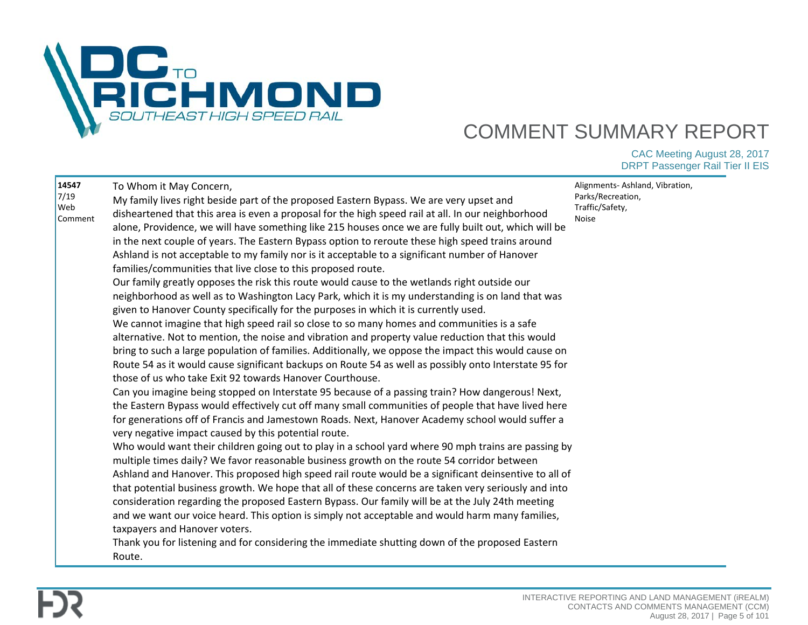

| 14547<br>7/19<br>Web<br>Comment | To Whom it May Concern,<br>My family lives right beside part of the proposed Eastern Bypass. We are very upset and<br>disheartened that this area is even a proposal for the high speed rail at all. In our neighborhood<br>alone, Providence, we will have something like 215 houses once we are fully built out, which will be<br>in the next couple of years. The Eastern Bypass option to reroute these high speed trains around<br>Ashland is not acceptable to my family nor is it acceptable to a significant number of Hanover<br>families/communities that live close to this proposed route.<br>Our family greatly opposes the risk this route would cause to the wetlands right outside our<br>neighborhood as well as to Washington Lacy Park, which it is my understanding is on land that was<br>given to Hanover County specifically for the purposes in which it is currently used.<br>We cannot imagine that high speed rail so close to so many homes and communities is a safe<br>alternative. Not to mention, the noise and vibration and property value reduction that this would<br>bring to such a large population of families. Additionally, we oppose the impact this would cause on<br>Route 54 as it would cause significant backups on Route 54 as well as possibly onto Interstate 95 for<br>those of us who take Exit 92 towards Hanover Courthouse.<br>Can you imagine being stopped on Interstate 95 because of a passing train? How dangerous! Next,<br>the Eastern Bypass would effectively cut off many small communities of people that have lived here<br>for generations off of Francis and Jamestown Roads. Next, Hanover Academy school would suffer a<br>very negative impact caused by this potential route.<br>Who would want their children going out to play in a school yard where 90 mph trains are passing by<br>multiple times daily? We favor reasonable business growth on the route 54 corridor between<br>Ashland and Hanover. This proposed high speed rail route would be a significant deinsentive to all of<br>that potential business growth. We hope that all of these concerns are taken very seriously and into<br>consideration regarding the proposed Eastern Bypass. Our family will be at the July 24th meeting<br>and we want our voice heard. This option is simply not acceptable and would harm many families,<br>taxpayers and Hanover voters.<br>Thank you for listening and for considering the immediate shutting down of the proposed Eastern<br>Route. | Alignments-Ashland, Vibration,<br>Parks/Recreation,<br>Traffic/Safety,<br>Noise |
|---------------------------------|------------------------------------------------------------------------------------------------------------------------------------------------------------------------------------------------------------------------------------------------------------------------------------------------------------------------------------------------------------------------------------------------------------------------------------------------------------------------------------------------------------------------------------------------------------------------------------------------------------------------------------------------------------------------------------------------------------------------------------------------------------------------------------------------------------------------------------------------------------------------------------------------------------------------------------------------------------------------------------------------------------------------------------------------------------------------------------------------------------------------------------------------------------------------------------------------------------------------------------------------------------------------------------------------------------------------------------------------------------------------------------------------------------------------------------------------------------------------------------------------------------------------------------------------------------------------------------------------------------------------------------------------------------------------------------------------------------------------------------------------------------------------------------------------------------------------------------------------------------------------------------------------------------------------------------------------------------------------------------------------------------------------------------------------------------------------------------------------------------------------------------------------------------------------------------------------------------------------------------------------------------------------------------------------------------------------------------------------------------------------------------------------------------------------------------------------------------------------------------------------------------------------------------|---------------------------------------------------------------------------------|
|---------------------------------|------------------------------------------------------------------------------------------------------------------------------------------------------------------------------------------------------------------------------------------------------------------------------------------------------------------------------------------------------------------------------------------------------------------------------------------------------------------------------------------------------------------------------------------------------------------------------------------------------------------------------------------------------------------------------------------------------------------------------------------------------------------------------------------------------------------------------------------------------------------------------------------------------------------------------------------------------------------------------------------------------------------------------------------------------------------------------------------------------------------------------------------------------------------------------------------------------------------------------------------------------------------------------------------------------------------------------------------------------------------------------------------------------------------------------------------------------------------------------------------------------------------------------------------------------------------------------------------------------------------------------------------------------------------------------------------------------------------------------------------------------------------------------------------------------------------------------------------------------------------------------------------------------------------------------------------------------------------------------------------------------------------------------------------------------------------------------------------------------------------------------------------------------------------------------------------------------------------------------------------------------------------------------------------------------------------------------------------------------------------------------------------------------------------------------------------------------------------------------------------------------------------------------------|---------------------------------------------------------------------------------|

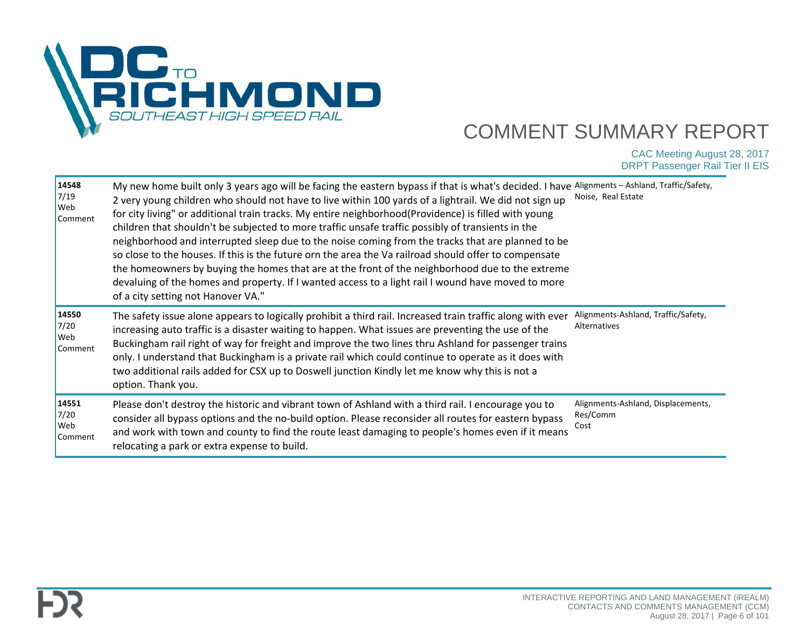

| 14548<br>7/19<br>Web<br>Comment        | My new home built only 3 years ago will be facing the eastern bypass if that is what's decided. I have<br>2 very young children who should not have to live within 100 yards of a lightrail. We did not sign up<br>for city living" or additional train tracks. My entire neighborhood(Providence) is filled with young<br>children that shouldn't be subjected to more traffic unsafe traffic possibly of transients in the<br>neighborhood and interrupted sleep due to the noise coming from the tracks that are planned to be<br>so close to the houses. If this is the future orn the area the Va railroad should offer to compensate<br>the homeowners by buying the homes that are at the front of the neighborhood due to the extreme<br>devaluing of the homes and property. If I wanted access to a light rail I wound have moved to more<br>of a city setting not Hanover VA." | Alignments - Ashland, Traffic/Safety,<br>Noise, Real Estate |
|----------------------------------------|-------------------------------------------------------------------------------------------------------------------------------------------------------------------------------------------------------------------------------------------------------------------------------------------------------------------------------------------------------------------------------------------------------------------------------------------------------------------------------------------------------------------------------------------------------------------------------------------------------------------------------------------------------------------------------------------------------------------------------------------------------------------------------------------------------------------------------------------------------------------------------------------|-------------------------------------------------------------|
| 14550<br>7/20<br>Web<br>Comment        | The safety issue alone appears to logically prohibit a third rail. Increased train traffic along with ever<br>increasing auto traffic is a disaster waiting to happen. What issues are preventing the use of the<br>Buckingham rail right of way for freight and improve the two lines thru Ashland for passenger trains<br>only. I understand that Buckingham is a private rail which could continue to operate as it does with<br>two additional rails added for CSX up to Doswell junction Kindly let me know why this is not a<br>option. Thank you.                                                                                                                                                                                                                                                                                                                                  | Alignments-Ashland, Traffic/Safety,<br>Alternatives         |
| 14551<br>7/20<br><b>Web</b><br>Comment | Please don't destroy the historic and vibrant town of Ashland with a third rail. I encourage you to<br>consider all bypass options and the no-build option. Please reconsider all routes for eastern bypass<br>and work with town and county to find the route least damaging to people's homes even if it means<br>relocating a park or extra expense to build.                                                                                                                                                                                                                                                                                                                                                                                                                                                                                                                          | Alignments-Ashland, Displacements,<br>Res/Comm<br>Cost      |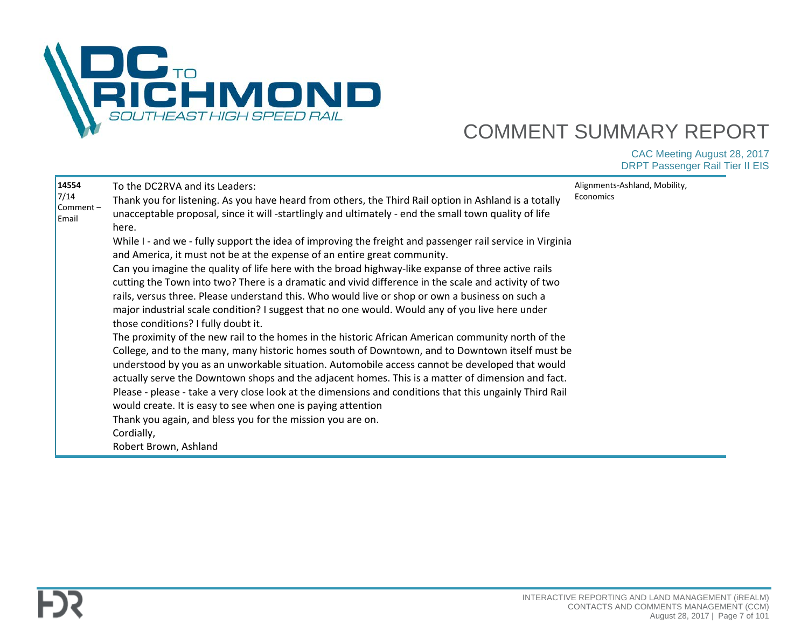

| 14554<br>7/14<br>Comment-<br>Email | To the DC2RVA and its Leaders:<br>Thank you for listening. As you have heard from others, the Third Rail option in Ashland is a totally<br>unacceptable proposal, since it will -startlingly and ultimately - end the small town quality of life<br>here.<br>While I - and we - fully support the idea of improving the freight and passenger rail service in Virginia<br>and America, it must not be at the expense of an entire great community.<br>Can you imagine the quality of life here with the broad highway-like expanse of three active rails<br>cutting the Town into two? There is a dramatic and vivid difference in the scale and activity of two<br>rails, versus three. Please understand this. Who would live or shop or own a business on such a<br>major industrial scale condition? I suggest that no one would. Would any of you live here under<br>those conditions? I fully doubt it.<br>The proximity of the new rail to the homes in the historic African American community north of the<br>College, and to the many, many historic homes south of Downtown, and to Downtown itself must be<br>understood by you as an unworkable situation. Automobile access cannot be developed that would<br>actually serve the Downtown shops and the adjacent homes. This is a matter of dimension and fact.<br>Please - please - take a very close look at the dimensions and conditions that this ungainly Third Rail<br>would create. It is easy to see when one is paying attention<br>Thank you again, and bless you for the mission you are on.<br>Cordially,<br>Robert Brown, Ashland | Alignments-Ashland, Mobility,<br>Economics |
|------------------------------------|---------------------------------------------------------------------------------------------------------------------------------------------------------------------------------------------------------------------------------------------------------------------------------------------------------------------------------------------------------------------------------------------------------------------------------------------------------------------------------------------------------------------------------------------------------------------------------------------------------------------------------------------------------------------------------------------------------------------------------------------------------------------------------------------------------------------------------------------------------------------------------------------------------------------------------------------------------------------------------------------------------------------------------------------------------------------------------------------------------------------------------------------------------------------------------------------------------------------------------------------------------------------------------------------------------------------------------------------------------------------------------------------------------------------------------------------------------------------------------------------------------------------------------------------------------------------------------------------------------------|--------------------------------------------|
|------------------------------------|---------------------------------------------------------------------------------------------------------------------------------------------------------------------------------------------------------------------------------------------------------------------------------------------------------------------------------------------------------------------------------------------------------------------------------------------------------------------------------------------------------------------------------------------------------------------------------------------------------------------------------------------------------------------------------------------------------------------------------------------------------------------------------------------------------------------------------------------------------------------------------------------------------------------------------------------------------------------------------------------------------------------------------------------------------------------------------------------------------------------------------------------------------------------------------------------------------------------------------------------------------------------------------------------------------------------------------------------------------------------------------------------------------------------------------------------------------------------------------------------------------------------------------------------------------------------------------------------------------------|--------------------------------------------|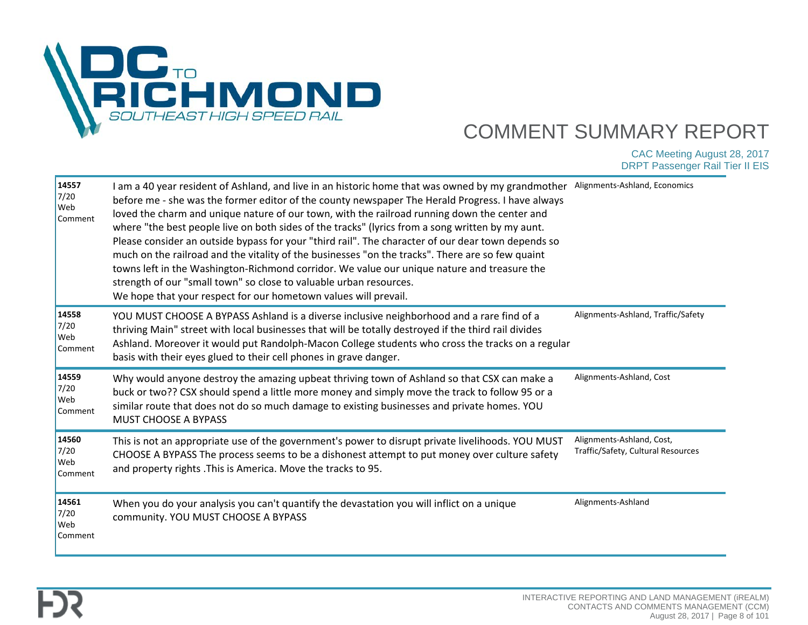

| 14557<br>7/20<br>Web<br>Comment        | I am a 40 year resident of Ashland, and live in an historic home that was owned by my grandmother<br>before me - she was the former editor of the county newspaper The Herald Progress. I have always<br>loved the charm and unique nature of our town, with the railroad running down the center and<br>where "the best people live on both sides of the tracks" (lyrics from a song written by my aunt.<br>Please consider an outside bypass for your "third rail". The character of our dear town depends so<br>much on the railroad and the vitality of the businesses "on the tracks". There are so few quaint<br>towns left in the Washington-Richmond corridor. We value our unique nature and treasure the<br>strength of our "small town" so close to valuable urban resources.<br>We hope that your respect for our hometown values will prevail. | Alignments-Ashland, Economics                                   |
|----------------------------------------|-------------------------------------------------------------------------------------------------------------------------------------------------------------------------------------------------------------------------------------------------------------------------------------------------------------------------------------------------------------------------------------------------------------------------------------------------------------------------------------------------------------------------------------------------------------------------------------------------------------------------------------------------------------------------------------------------------------------------------------------------------------------------------------------------------------------------------------------------------------|-----------------------------------------------------------------|
| 14558<br>7/20<br><b>Web</b><br>Comment | YOU MUST CHOOSE A BYPASS Ashland is a diverse inclusive neighborhood and a rare find of a<br>thriving Main" street with local businesses that will be totally destroyed if the third rail divides<br>Ashland. Moreover it would put Randolph-Macon College students who cross the tracks on a regular<br>basis with their eyes glued to their cell phones in grave danger.                                                                                                                                                                                                                                                                                                                                                                                                                                                                                  | Alignments-Ashland, Traffic/Safety                              |
| 14559<br>7/20<br>Web<br>Comment        | Why would anyone destroy the amazing upbeat thriving town of Ashland so that CSX can make a<br>buck or two?? CSX should spend a little more money and simply move the track to follow 95 or a<br>similar route that does not do so much damage to existing businesses and private homes. YOU<br>MUST CHOOSE A BYPASS                                                                                                                                                                                                                                                                                                                                                                                                                                                                                                                                        | Alignments-Ashland, Cost                                        |
| 14560<br>7/20<br>Web<br>Comment        | This is not an appropriate use of the government's power to disrupt private livelihoods. YOU MUST<br>CHOOSE A BYPASS The process seems to be a dishonest attempt to put money over culture safety<br>and property rights . This is America. Move the tracks to 95.                                                                                                                                                                                                                                                                                                                                                                                                                                                                                                                                                                                          | Alignments-Ashland, Cost,<br>Traffic/Safety, Cultural Resources |
| 14561<br>7/20<br>Web<br>Comment        | When you do your analysis you can't quantify the devastation you will inflict on a unique<br>community. YOU MUST CHOOSE A BYPASS                                                                                                                                                                                                                                                                                                                                                                                                                                                                                                                                                                                                                                                                                                                            | Alignments-Ashland                                              |

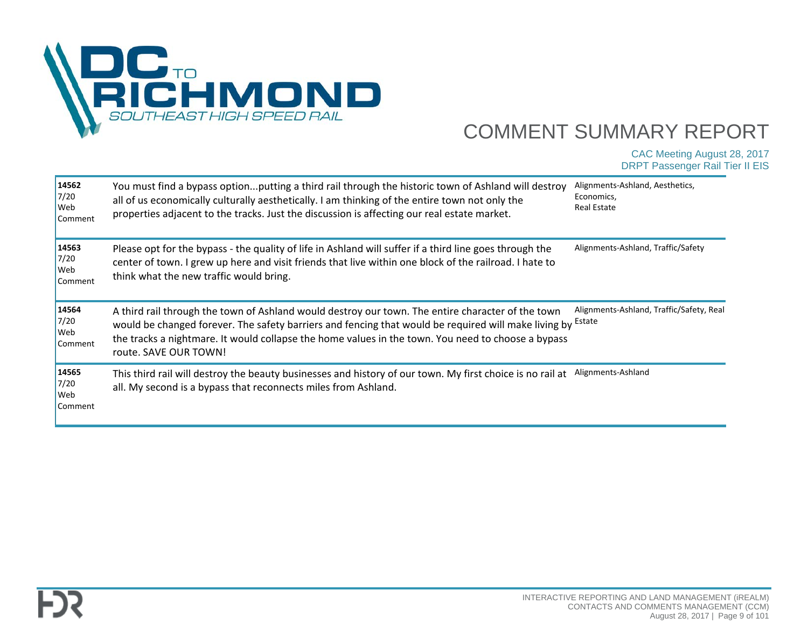

| 14562<br>7/20<br>Web<br>Comment | You must find a bypass optionputting a third rail through the historic town of Ashland will destroy<br>all of us economically culturally aesthetically. I am thinking of the entire town not only the<br>properties adjacent to the tracks. Just the discussion is affecting our real estate market.                                                       | Alignments-Ashland, Aesthetics,<br>Economics,<br>Real Estate |
|---------------------------------|------------------------------------------------------------------------------------------------------------------------------------------------------------------------------------------------------------------------------------------------------------------------------------------------------------------------------------------------------------|--------------------------------------------------------------|
| 14563<br>7/20<br>Web<br>Comment | Please opt for the bypass - the quality of life in Ashland will suffer if a third line goes through the<br>center of town. I grew up here and visit friends that live within one block of the railroad. I hate to<br>think what the new traffic would bring.                                                                                               | Alignments-Ashland, Traffic/Safety                           |
| 14564<br>7/20<br>Web<br>Comment | A third rail through the town of Ashland would destroy our town. The entire character of the town<br>would be changed forever. The safety barriers and fencing that would be required will make living by <sup>Estate</sup><br>the tracks a nightmare. It would collapse the home values in the town. You need to choose a bypass<br>route. SAVE OUR TOWN! | Alignments-Ashland, Traffic/Safety, Real                     |
| 14565<br>7/20<br>Web<br>Comment | This third rail will destroy the beauty businesses and history of our town. My first choice is no rail at<br>all. My second is a bypass that reconnects miles from Ashland.                                                                                                                                                                                | Alignments-Ashland                                           |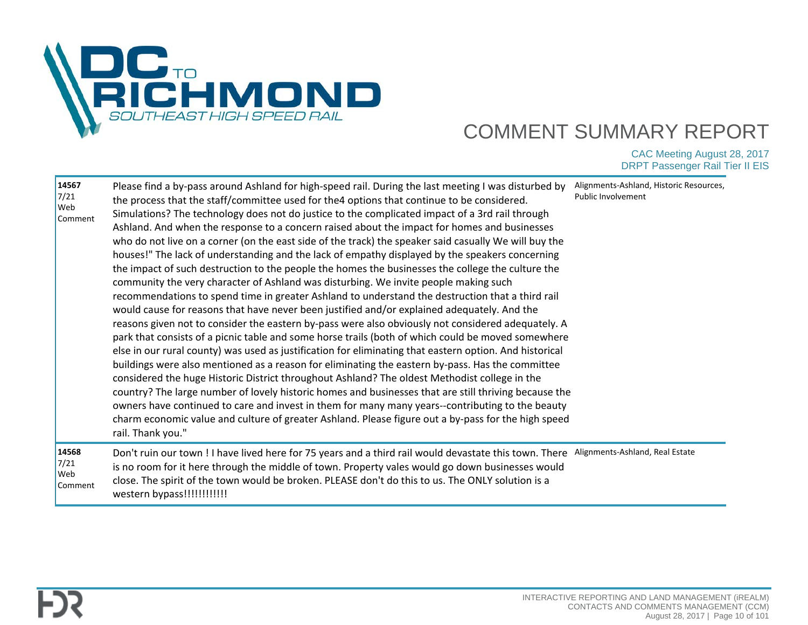

| 14567<br>7/21<br>Web<br>Comment | Please find a by-pass around Ashland for high-speed rail. During the last meeting I was disturbed by<br>the process that the staff/committee used for the4 options that continue to be considered.<br>Simulations? The technology does not do justice to the complicated impact of a 3rd rail through<br>Ashland. And when the response to a concern raised about the impact for homes and businesses<br>who do not live on a corner (on the east side of the track) the speaker said casually We will buy the<br>houses!" The lack of understanding and the lack of empathy displayed by the speakers concerning<br>the impact of such destruction to the people the homes the businesses the college the culture the<br>community the very character of Ashland was disturbing. We invite people making such<br>recommendations to spend time in greater Ashland to understand the destruction that a third rail<br>would cause for reasons that have never been justified and/or explained adequately. And the<br>reasons given not to consider the eastern by-pass were also obviously not considered adequately. A<br>park that consists of a picnic table and some horse trails (both of which could be moved somewhere<br>else in our rural county) was used as justification for eliminating that eastern option. And historical<br>buildings were also mentioned as a reason for eliminating the eastern by-pass. Has the committee<br>considered the huge Historic District throughout Ashland? The oldest Methodist college in the<br>country? The large number of lovely historic homes and businesses that are still thriving because the<br>owners have continued to care and invest in them for many many years--contributing to the beauty<br>charm economic value and culture of greater Ashland. Please figure out a by-pass for the high speed<br>rail. Thank you." | Alignments-Ashland, Historic Resources,<br>Public Involvement |
|---------------------------------|----------------------------------------------------------------------------------------------------------------------------------------------------------------------------------------------------------------------------------------------------------------------------------------------------------------------------------------------------------------------------------------------------------------------------------------------------------------------------------------------------------------------------------------------------------------------------------------------------------------------------------------------------------------------------------------------------------------------------------------------------------------------------------------------------------------------------------------------------------------------------------------------------------------------------------------------------------------------------------------------------------------------------------------------------------------------------------------------------------------------------------------------------------------------------------------------------------------------------------------------------------------------------------------------------------------------------------------------------------------------------------------------------------------------------------------------------------------------------------------------------------------------------------------------------------------------------------------------------------------------------------------------------------------------------------------------------------------------------------------------------------------------------------------------------------------------------------------------------------------------------------------|---------------------------------------------------------------|
| 14568<br>7/21<br>Web<br>Comment | Don't ruin our town ! I have lived here for 75 years and a third rail would devastate this town. There<br>is no room for it here through the middle of town. Property vales would go down businesses would<br>close. The spirit of the town would be broken. PLEASE don't do this to us. The ONLY solution is a<br>western bypass!!!!!!!!!!!!                                                                                                                                                                                                                                                                                                                                                                                                                                                                                                                                                                                                                                                                                                                                                                                                                                                                                                                                                                                                                                                                                                                                                                                                                                                                                                                                                                                                                                                                                                                                          | Alignments-Ashland, Real Estate                               |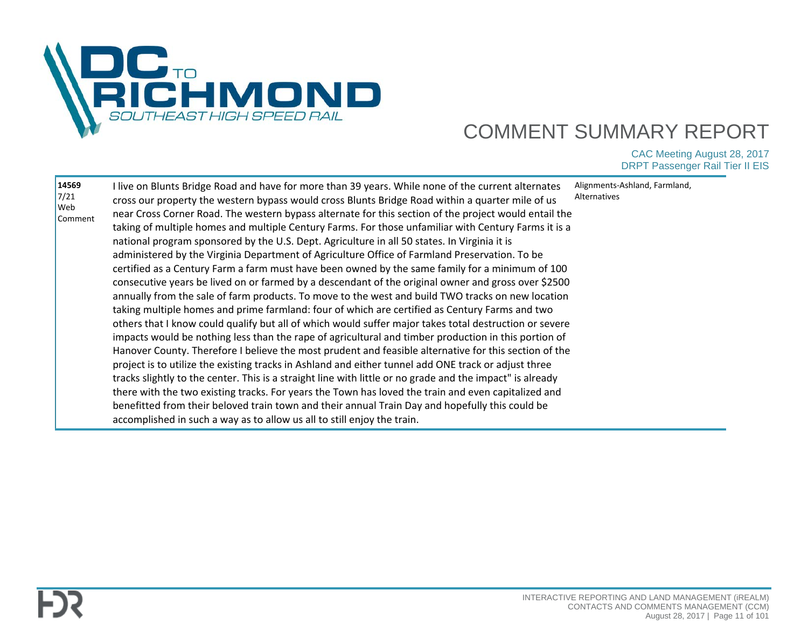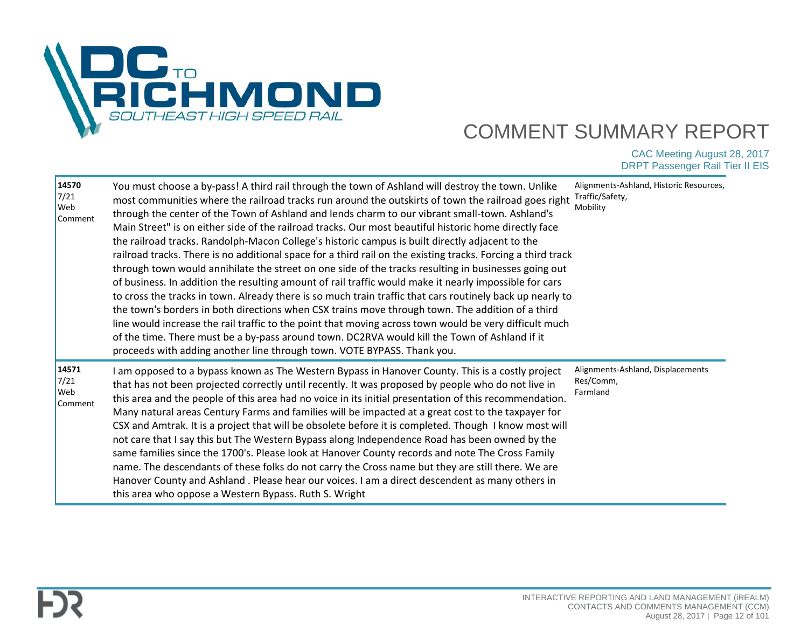

| 14570<br>7/21<br> Web<br>Comment              | You must choose a by-pass! A third rail through the town of Ashland will destroy the town. Unlike<br>most communities where the railroad tracks run around the outskirts of town the railroad goes right<br>through the center of the Town of Ashland and lends charm to our vibrant small-town. Ashland's<br>Main Street" is on either side of the railroad tracks. Our most beautiful historic home directly face<br>the railroad tracks. Randolph-Macon College's historic campus is built directly adjacent to the<br>railroad tracks. There is no additional space for a third rail on the existing tracks. Forcing a third track<br>through town would annihilate the street on one side of the tracks resulting in businesses going out<br>of business. In addition the resulting amount of rail traffic would make it nearly impossible for cars<br>to cross the tracks in town. Already there is so much train traffic that cars routinely back up nearly to<br>the town's borders in both directions when CSX trains move through town. The addition of a third<br>line would increase the rail traffic to the point that moving across town would be very difficult much<br>of the time. There must be a by-pass around town. DC2RVA would kill the Town of Ashland if it<br>proceeds with adding another line through town. VOTE BYPASS. Thank you. | Alignments-Ashland, Historic Resources,<br>Traffic/Safety,<br>Mobility |
|-----------------------------------------------|-----------------------------------------------------------------------------------------------------------------------------------------------------------------------------------------------------------------------------------------------------------------------------------------------------------------------------------------------------------------------------------------------------------------------------------------------------------------------------------------------------------------------------------------------------------------------------------------------------------------------------------------------------------------------------------------------------------------------------------------------------------------------------------------------------------------------------------------------------------------------------------------------------------------------------------------------------------------------------------------------------------------------------------------------------------------------------------------------------------------------------------------------------------------------------------------------------------------------------------------------------------------------------------------------------------------------------------------------------------------|------------------------------------------------------------------------|
| 14571<br>7/21<br><b>Web</b><br><b>Comment</b> | I am opposed to a bypass known as The Western Bypass in Hanover County. This is a costly project<br>that has not been projected correctly until recently. It was proposed by people who do not live in<br>this area and the people of this area had no voice in its initial presentation of this recommendation.<br>Many natural areas Century Farms and families will be impacted at a great cost to the taxpayer for<br>CSX and Amtrak. It is a project that will be obsolete before it is completed. Though I know most will<br>not care that I say this but The Western Bypass along Independence Road has been owned by the<br>same families since the 1700's. Please look at Hanover County records and note The Cross Family<br>name. The descendants of these folks do not carry the Cross name but they are still there. We are<br>Hanover County and Ashland . Please hear our voices. I am a direct descendent as many others in<br>this area who oppose a Western Bypass. Ruth S. Wright                                                                                                                                                                                                                                                                                                                                                            | Alignments-Ashland, Displacements<br>Res/Comm,<br>Farmland             |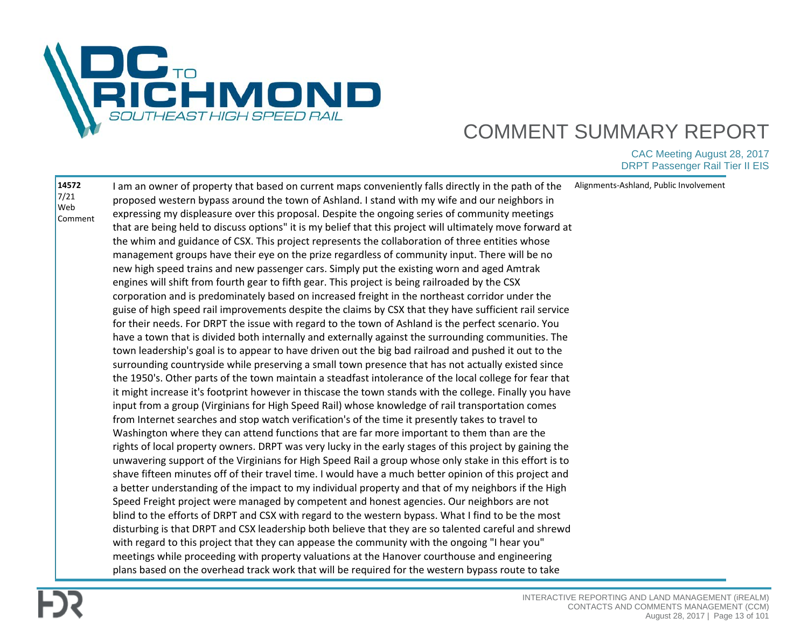

| 14572<br>I am an owner of property that based on current maps conveniently falls directly in the path of the<br>7/21<br>proposed western bypass around the town of Ashland. I stand with my wife and our neighbors in<br>Web<br>expressing my displeasure over this proposal. Despite the ongoing series of community meetings<br>Comment<br>that are being held to discuss options" it is my belief that this project will ultimately move forward at<br>the whim and guidance of CSX. This project represents the collaboration of three entities whose<br>management groups have their eye on the prize regardless of community input. There will be no<br>new high speed trains and new passenger cars. Simply put the existing worn and aged Amtrak<br>engines will shift from fourth gear to fifth gear. This project is being railroaded by the CSX<br>corporation and is predominately based on increased freight in the northeast corridor under the<br>guise of high speed rail improvements despite the claims by CSX that they have sufficient rail service<br>for their needs. For DRPT the issue with regard to the town of Ashland is the perfect scenario. You<br>have a town that is divided both internally and externally against the surrounding communities. The<br>town leadership's goal is to appear to have driven out the big bad railroad and pushed it out to the<br>surrounding countryside while preserving a small town presence that has not actually existed since<br>the 1950's. Other parts of the town maintain a steadfast intolerance of the local college for fear that<br>it might increase it's footprint however in thiscase the town stands with the college. Finally you have<br>input from a group (Virginians for High Speed Rail) whose knowledge of rail transportation comes<br>from Internet searches and stop watch verification's of the time it presently takes to travel to<br>Washington where they can attend functions that are far more important to them than are the<br>rights of local property owners. DRPT was very lucky in the early stages of this project by gaining the<br>unwavering support of the Virginians for High Speed Rail a group whose only stake in this effort is to<br>shave fifteen minutes off of their travel time. I would have a much better opinion of this project and<br>a better understanding of the impact to my individual property and that of my neighbors if the High |                                                                                            |                                        |
|------------------------------------------------------------------------------------------------------------------------------------------------------------------------------------------------------------------------------------------------------------------------------------------------------------------------------------------------------------------------------------------------------------------------------------------------------------------------------------------------------------------------------------------------------------------------------------------------------------------------------------------------------------------------------------------------------------------------------------------------------------------------------------------------------------------------------------------------------------------------------------------------------------------------------------------------------------------------------------------------------------------------------------------------------------------------------------------------------------------------------------------------------------------------------------------------------------------------------------------------------------------------------------------------------------------------------------------------------------------------------------------------------------------------------------------------------------------------------------------------------------------------------------------------------------------------------------------------------------------------------------------------------------------------------------------------------------------------------------------------------------------------------------------------------------------------------------------------------------------------------------------------------------------------------------------------------------------------------------------------------------------------------------------------------------------------------------------------------------------------------------------------------------------------------------------------------------------------------------------------------------------------------------------------------------------------------------------------------------------------------------------------------------------------------------------------------------------------|--------------------------------------------------------------------------------------------|----------------------------------------|
| blind to the efforts of DRPT and CSX with regard to the western bypass. What I find to be the most<br>disturbing is that DRPT and CSX leadership both believe that they are so talented careful and shrewd<br>with regard to this project that they can appease the community with the ongoing "I hear you"<br>meetings while proceeding with property valuations at the Hanover courthouse and engineering                                                                                                                                                                                                                                                                                                                                                                                                                                                                                                                                                                                                                                                                                                                                                                                                                                                                                                                                                                                                                                                                                                                                                                                                                                                                                                                                                                                                                                                                                                                                                                                                                                                                                                                                                                                                                                                                                                                                                                                                                                                            | Speed Freight project were managed by competent and honest agencies. Our neighbors are not | Alignments-Ashland, Public Involvement |
| plans based on the overhead track work that will be required for the western bypass route to take                                                                                                                                                                                                                                                                                                                                                                                                                                                                                                                                                                                                                                                                                                                                                                                                                                                                                                                                                                                                                                                                                                                                                                                                                                                                                                                                                                                                                                                                                                                                                                                                                                                                                                                                                                                                                                                                                                                                                                                                                                                                                                                                                                                                                                                                                                                                                                      |                                                                                            |                                        |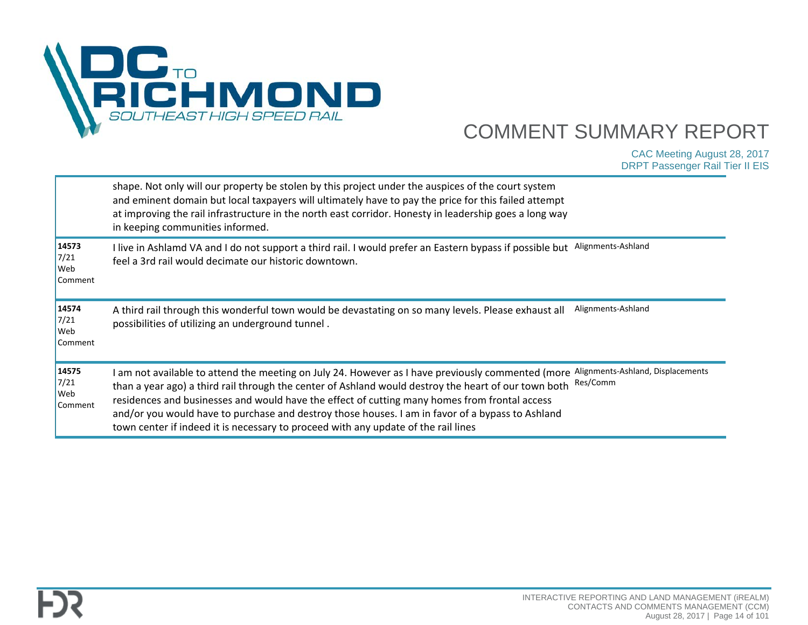

|                                 | shape. Not only will our property be stolen by this project under the auspices of the court system<br>and eminent domain but local taxpayers will ultimately have to pay the price for this failed attempt<br>at improving the rail infrastructure in the north east corridor. Honesty in leadership goes a long way<br>in keeping communities informed.                                                                                                                                             |                                               |
|---------------------------------|------------------------------------------------------------------------------------------------------------------------------------------------------------------------------------------------------------------------------------------------------------------------------------------------------------------------------------------------------------------------------------------------------------------------------------------------------------------------------------------------------|-----------------------------------------------|
| 14573<br>7/21<br>Web<br>Comment | I live in Ashlamd VA and I do not support a third rail. I would prefer an Eastern bypass if possible but<br>feel a 3rd rail would decimate our historic downtown.                                                                                                                                                                                                                                                                                                                                    | Alignments-Ashland                            |
| 14574<br>7/21<br>Web<br>Comment | A third rail through this wonderful town would be devastating on so many levels. Please exhaust all<br>possibilities of utilizing an underground tunnel.                                                                                                                                                                                                                                                                                                                                             | Alignments-Ashland                            |
| 14575<br>7/21<br>Web<br>Comment | I am not available to attend the meeting on July 24. However as I have previously commented (more<br>than a year ago) a third rail through the center of Ashland would destroy the heart of our town both<br>residences and businesses and would have the effect of cutting many homes from frontal access<br>and/or you would have to purchase and destroy those houses. I am in favor of a bypass to Ashland<br>town center if indeed it is necessary to proceed with any update of the rail lines | Alignments-Ashland, Displacements<br>Res/Comm |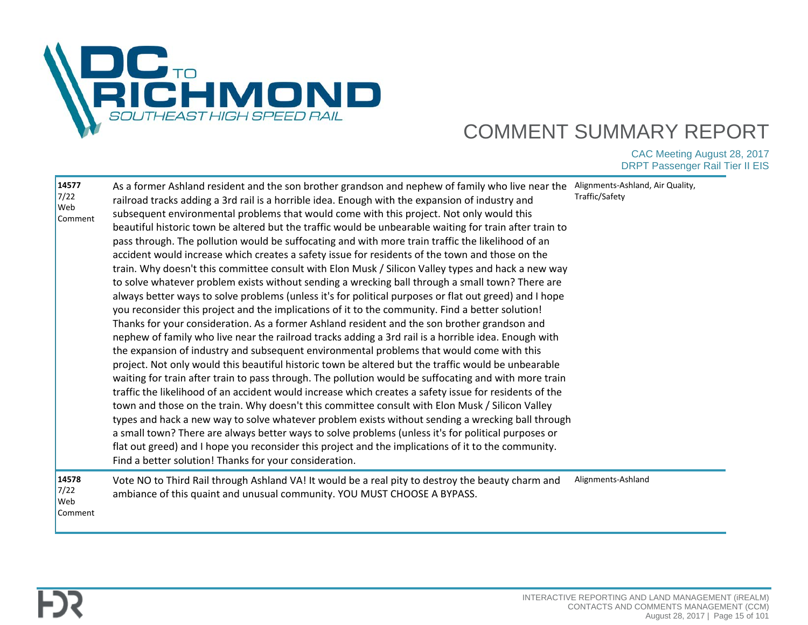

| 14577<br>7/22<br>Web<br>Comment        | As a former Ashland resident and the son brother grandson and nephew of family who live near the<br>railroad tracks adding a 3rd rail is a horrible idea. Enough with the expansion of industry and<br>subsequent environmental problems that would come with this project. Not only would this<br>beautiful historic town be altered but the traffic would be unbearable waiting for train after train to<br>pass through. The pollution would be suffocating and with more train traffic the likelihood of an<br>accident would increase which creates a safety issue for residents of the town and those on the<br>train. Why doesn't this committee consult with Elon Musk / Silicon Valley types and hack a new way<br>to solve whatever problem exists without sending a wrecking ball through a small town? There are<br>always better ways to solve problems (unless it's for political purposes or flat out greed) and I hope<br>you reconsider this project and the implications of it to the community. Find a better solution!<br>Thanks for your consideration. As a former Ashland resident and the son brother grandson and<br>nephew of family who live near the railroad tracks adding a 3rd rail is a horrible idea. Enough with<br>the expansion of industry and subsequent environmental problems that would come with this<br>project. Not only would this beautiful historic town be altered but the traffic would be unbearable<br>waiting for train after train to pass through. The pollution would be suffocating and with more train<br>traffic the likelihood of an accident would increase which creates a safety issue for residents of the<br>town and those on the train. Why doesn't this committee consult with Elon Musk / Silicon Valley<br>types and hack a new way to solve whatever problem exists without sending a wrecking ball through<br>a small town? There are always better ways to solve problems (unless it's for political purposes or<br>flat out greed) and I hope you reconsider this project and the implications of it to the community.<br>Find a better solution! Thanks for your consideration. | Alignments-Ashland, Air Quality,<br>Traffic/Safety |
|----------------------------------------|-----------------------------------------------------------------------------------------------------------------------------------------------------------------------------------------------------------------------------------------------------------------------------------------------------------------------------------------------------------------------------------------------------------------------------------------------------------------------------------------------------------------------------------------------------------------------------------------------------------------------------------------------------------------------------------------------------------------------------------------------------------------------------------------------------------------------------------------------------------------------------------------------------------------------------------------------------------------------------------------------------------------------------------------------------------------------------------------------------------------------------------------------------------------------------------------------------------------------------------------------------------------------------------------------------------------------------------------------------------------------------------------------------------------------------------------------------------------------------------------------------------------------------------------------------------------------------------------------------------------------------------------------------------------------------------------------------------------------------------------------------------------------------------------------------------------------------------------------------------------------------------------------------------------------------------------------------------------------------------------------------------------------------------------------------------------------------------------------------------------------------------------------------------|----------------------------------------------------|
| 14578<br>7/22<br><b>Web</b><br>Comment | Vote NO to Third Rail through Ashland VA! It would be a real pity to destroy the beauty charm and<br>ambiance of this quaint and unusual community. YOU MUST CHOOSE A BYPASS.                                                                                                                                                                                                                                                                                                                                                                                                                                                                                                                                                                                                                                                                                                                                                                                                                                                                                                                                                                                                                                                                                                                                                                                                                                                                                                                                                                                                                                                                                                                                                                                                                                                                                                                                                                                                                                                                                                                                                                             | Alignments-Ashland                                 |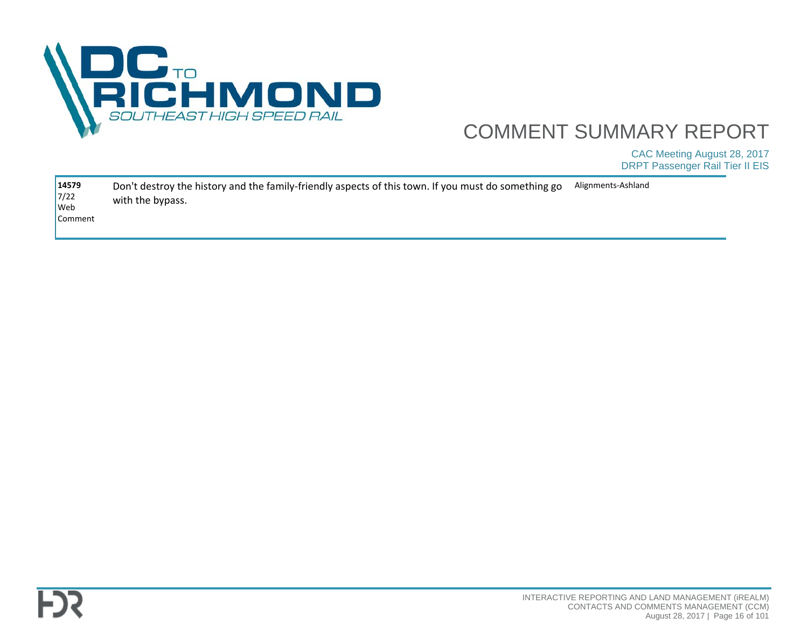

| 14579<br>$7/22$      | Don't destroy the history and the family-friendly aspects of this town. If you must do something go | Alignments-Ashland |
|----------------------|-----------------------------------------------------------------------------------------------------|--------------------|
| $\sqrt{\frac{1}{1}}$ | with the bypass.                                                                                    |                    |
| <b>Comment</b>       |                                                                                                     |                    |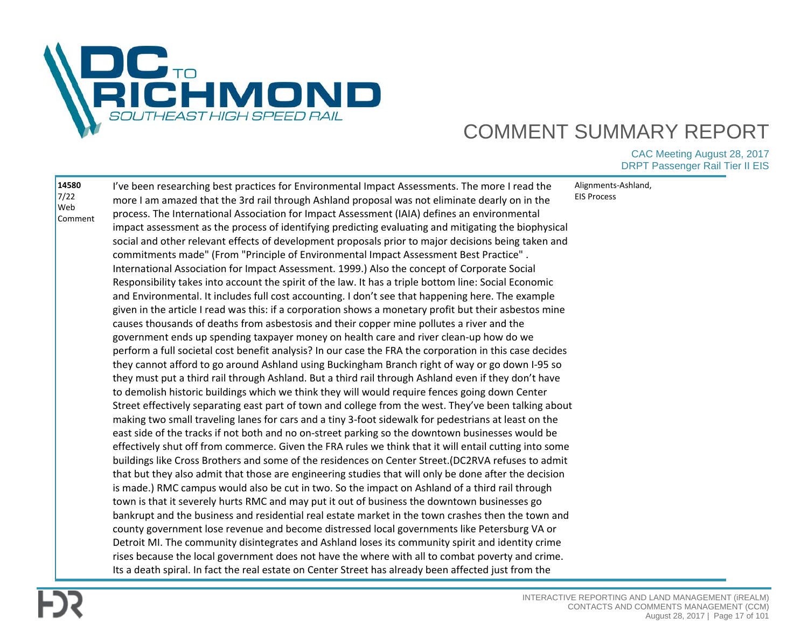

| 14580          | I've been researching best practices for Environmental Impact Assessments. The more I read the          | Alignments-Ashland, |
|----------------|---------------------------------------------------------------------------------------------------------|---------------------|
| 7/22           | more I am amazed that the 3rd rail through Ashland proposal was not eliminate dearly on in the          | <b>EIS Process</b>  |
| Web<br>Comment | process. The International Association for Impact Assessment (IAIA) defines an environmental            |                     |
|                | impact assessment as the process of identifying predicting evaluating and mitigating the biophysical    |                     |
|                | social and other relevant effects of development proposals prior to major decisions being taken and     |                     |
|                | commitments made" (From "Principle of Environmental Impact Assessment Best Practice".                   |                     |
|                | International Association for Impact Assessment. 1999.) Also the concept of Corporate Social            |                     |
|                | Responsibility takes into account the spirit of the law. It has a triple bottom line: Social Economic   |                     |
|                | and Environmental. It includes full cost accounting. I don't see that happening here. The example       |                     |
|                | given in the article I read was this: if a corporation shows a monetary profit but their asbestos mine  |                     |
|                | causes thousands of deaths from asbestosis and their copper mine pollutes a river and the               |                     |
|                | government ends up spending taxpayer money on health care and river clean-up how do we                  |                     |
|                | perform a full societal cost benefit analysis? In our case the FRA the corporation in this case decides |                     |
|                | they cannot afford to go around Ashland using Buckingham Branch right of way or go down I-95 so         |                     |
|                | they must put a third rail through Ashland. But a third rail through Ashland even if they don't have    |                     |
|                | to demolish historic buildings which we think they will would require fences going down Center          |                     |
|                | Street effectively separating east part of town and college from the west. They've been talking about   |                     |
|                | making two small traveling lanes for cars and a tiny 3-foot sidewalk for pedestrians at least on the    |                     |
|                | east side of the tracks if not both and no on-street parking so the downtown businesses would be        |                     |
|                | effectively shut off from commerce. Given the FRA rules we think that it will entail cutting into some  |                     |
|                | buildings like Cross Brothers and some of the residences on Center Street.(DC2RVA refuses to admit      |                     |
|                | that but they also admit that those are engineering studies that will only be done after the decision   |                     |
|                | is made.) RMC campus would also be cut in two. So the impact on Ashland of a third rail through         |                     |
|                | town is that it severely hurts RMC and may put it out of business the downtown businesses go            |                     |
|                | bankrupt and the business and residential real estate market in the town crashes then the town and      |                     |
|                | county government lose revenue and become distressed local governments like Petersburg VA or            |                     |
|                | Detroit MI. The community disintegrates and Ashland loses its community spirit and identity crime       |                     |
|                | rises because the local government does not have the where with all to combat poverty and crime.        |                     |
|                | Its a death spiral. In fact the real estate on Center Street has already been affected just from the    |                     |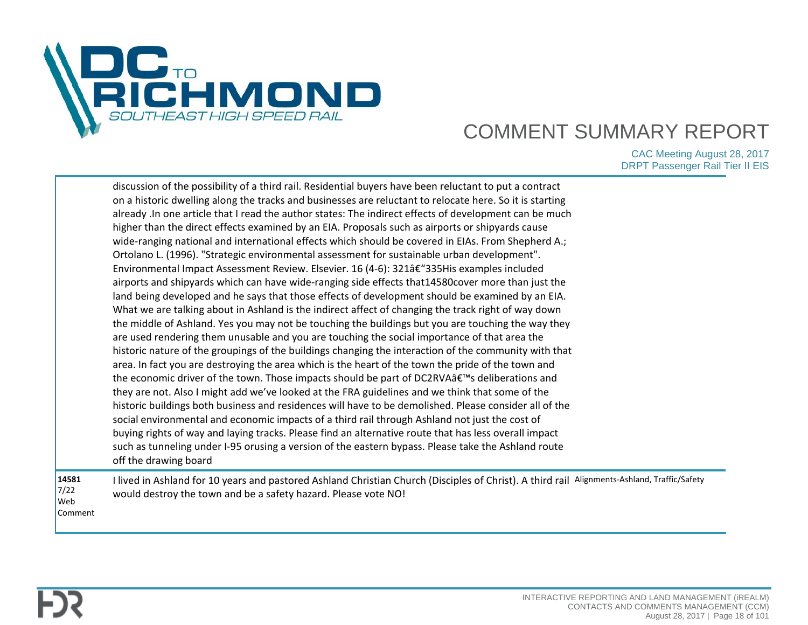

|                                 | discussion of the possibility of a third rail. Residential buyers have been reluctant to put a contract<br>on a historic dwelling along the tracks and businesses are reluctant to relocate here. So it is starting<br>already . In one article that I read the author states: The indirect effects of development can be much<br>higher than the direct effects examined by an EIA. Proposals such as airports or shipyards cause<br>wide-ranging national and international effects which should be covered in EIAs. From Shepherd A.;<br>Ortolano L. (1996). "Strategic environmental assessment for sustainable urban development".<br>Environmental Impact Assessment Review. Elsevier. 16 (4-6): 321†"335His examples included<br>airports and shipyards which can have wide-ranging side effects that 14580 cover more than just the<br>land being developed and he says that those effects of development should be examined by an EIA.<br>What we are talking about in Ashland is the indirect affect of changing the track right of way down<br>the middle of Ashland. Yes you may not be touching the buildings but you are touching the way they<br>are used rendering them unusable and you are touching the social importance of that area the<br>historic nature of the groupings of the buildings changing the interaction of the community with that<br>area. In fact you are destroying the area which is the heart of the town the pride of the town and<br>the economic driver of the town. Those impacts should be part of DC2RVA's deliberations and<br>they are not. Also I might add we've looked at the FRA guidelines and we think that some of the<br>historic buildings both business and residences will have to be demolished. Please consider all of the<br>social environmental and economic impacts of a third rail through Ashland not just the cost of<br>buying rights of way and laying tracks. Please find an alternative route that has less overall impact<br>such as tunneling under I-95 orusing a version of the eastern bypass. Please take the Ashland route<br>off the drawing board |  |
|---------------------------------|------------------------------------------------------------------------------------------------------------------------------------------------------------------------------------------------------------------------------------------------------------------------------------------------------------------------------------------------------------------------------------------------------------------------------------------------------------------------------------------------------------------------------------------------------------------------------------------------------------------------------------------------------------------------------------------------------------------------------------------------------------------------------------------------------------------------------------------------------------------------------------------------------------------------------------------------------------------------------------------------------------------------------------------------------------------------------------------------------------------------------------------------------------------------------------------------------------------------------------------------------------------------------------------------------------------------------------------------------------------------------------------------------------------------------------------------------------------------------------------------------------------------------------------------------------------------------------------------------------------------------------------------------------------------------------------------------------------------------------------------------------------------------------------------------------------------------------------------------------------------------------------------------------------------------------------------------------------------------------------------------------------------------------------------------------------------------------------------------------------------------------|--|
| 14581<br>7/22<br>Web<br>Comment | I lived in Ashland for 10 years and pastored Ashland Christian Church (Disciples of Christ). A third rail Alignments-Ashland, Traffic/Safety<br>would destroy the town and be a safety hazard. Please vote NO!                                                                                                                                                                                                                                                                                                                                                                                                                                                                                                                                                                                                                                                                                                                                                                                                                                                                                                                                                                                                                                                                                                                                                                                                                                                                                                                                                                                                                                                                                                                                                                                                                                                                                                                                                                                                                                                                                                                     |  |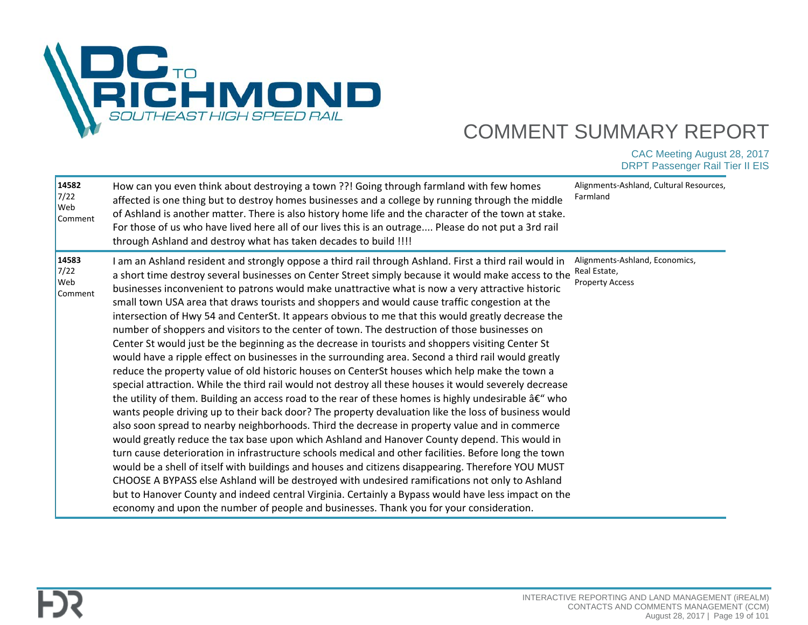

| 14582<br>$7/22$<br>Web<br>Comment | How can you even think about destroying a town ??! Going through farmland with few homes<br>affected is one thing but to destroy homes businesses and a college by running through the middle<br>of Ashland is another matter. There is also history home life and the character of the town at stake.<br>For those of us who have lived here all of our lives this is an outrage Please do not put a 3rd rail<br>through Ashland and destroy what has taken decades to build !!!!                                                                                                                                                                                                                                                                                                                                                                                                                                                                                                                                                                                                                                                                                                                                                                                                                                                                                                                                                                                                                                                                                                                                                                                                                                                                                                                                                                                                                                                                                                                          | Alignments-Ashland, Cultural Resources,<br>Farmland                      |
|-----------------------------------|-------------------------------------------------------------------------------------------------------------------------------------------------------------------------------------------------------------------------------------------------------------------------------------------------------------------------------------------------------------------------------------------------------------------------------------------------------------------------------------------------------------------------------------------------------------------------------------------------------------------------------------------------------------------------------------------------------------------------------------------------------------------------------------------------------------------------------------------------------------------------------------------------------------------------------------------------------------------------------------------------------------------------------------------------------------------------------------------------------------------------------------------------------------------------------------------------------------------------------------------------------------------------------------------------------------------------------------------------------------------------------------------------------------------------------------------------------------------------------------------------------------------------------------------------------------------------------------------------------------------------------------------------------------------------------------------------------------------------------------------------------------------------------------------------------------------------------------------------------------------------------------------------------------------------------------------------------------------------------------------------------------|--------------------------------------------------------------------------|
| 14583<br>$7/22$<br>Web<br>Comment | I am an Ashland resident and strongly oppose a third rail through Ashland. First a third rail would in<br>a short time destroy several businesses on Center Street simply because it would make access to the<br>businesses inconvenient to patrons would make unattractive what is now a very attractive historic<br>small town USA area that draws tourists and shoppers and would cause traffic congestion at the<br>intersection of Hwy 54 and CenterSt. It appears obvious to me that this would greatly decrease the<br>number of shoppers and visitors to the center of town. The destruction of those businesses on<br>Center St would just be the beginning as the decrease in tourists and shoppers visiting Center St<br>would have a ripple effect on businesses in the surrounding area. Second a third rail would greatly<br>reduce the property value of old historic houses on CenterSt houses which help make the town a<br>special attraction. While the third rail would not destroy all these houses it would severely decrease<br>the utility of them. Building an access road to the rear of these homes is highly undesirable $a \in \mathscr{C}$ who<br>wants people driving up to their back door? The property devaluation like the loss of business would<br>also soon spread to nearby neighborhoods. Third the decrease in property value and in commerce<br>would greatly reduce the tax base upon which Ashland and Hanover County depend. This would in<br>turn cause deterioration in infrastructure schools medical and other facilities. Before long the town<br>would be a shell of itself with buildings and houses and citizens disappearing. Therefore YOU MUST<br>CHOOSE A BYPASS else Ashland will be destroyed with undesired ramifications not only to Ashland<br>but to Hanover County and indeed central Virginia. Certainly a Bypass would have less impact on the<br>economy and upon the number of people and businesses. Thank you for your consideration. | Alignments-Ashland, Economics,<br>Real Estate,<br><b>Property Access</b> |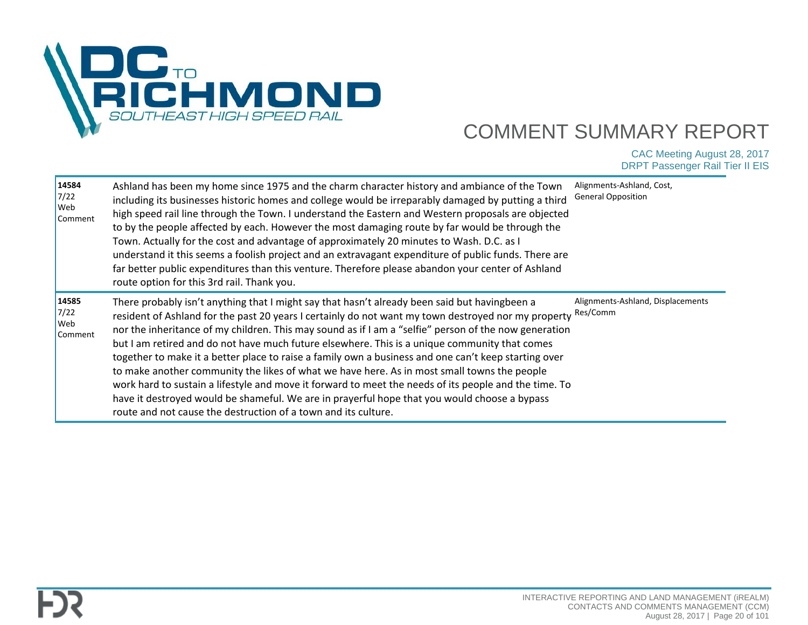

| 14584<br>7/22<br><b>Web</b><br>Comment | Ashland has been my home since 1975 and the charm character history and ambiance of the Town<br>including its businesses historic homes and college would be irreparably damaged by putting a third<br>high speed rail line through the Town. I understand the Eastern and Western proposals are objected<br>to by the people affected by each. However the most damaging route by far would be through the<br>Town. Actually for the cost and advantage of approximately 20 minutes to Wash. D.C. as I<br>understand it this seems a foolish project and an extravagant expenditure of public funds. There are<br>far better public expenditures than this venture. Therefore please abandon your center of Ashland<br>route option for this 3rd rail. Thank you.                                                                                                                               | Alignments-Ashland, Cost,<br><b>General Opposition</b> |
|----------------------------------------|--------------------------------------------------------------------------------------------------------------------------------------------------------------------------------------------------------------------------------------------------------------------------------------------------------------------------------------------------------------------------------------------------------------------------------------------------------------------------------------------------------------------------------------------------------------------------------------------------------------------------------------------------------------------------------------------------------------------------------------------------------------------------------------------------------------------------------------------------------------------------------------------------|--------------------------------------------------------|
| 14585<br>7/22<br><b>Web</b><br>Comment | There probably isn't anything that I might say that hasn't already been said but havingbeen a<br>resident of Ashland for the past 20 years I certainly do not want my town destroyed nor my property<br>nor the inheritance of my children. This may sound as if I am a "selfie" person of the now generation<br>but I am retired and do not have much future elsewhere. This is a unique community that comes<br>together to make it a better place to raise a family own a business and one can't keep starting over<br>to make another community the likes of what we have here. As in most small towns the people<br>work hard to sustain a lifestyle and move it forward to meet the needs of its people and the time. To<br>have it destroyed would be shameful. We are in prayerful hope that you would choose a bypass<br>route and not cause the destruction of a town and its culture. | Alignments-Ashland, Displacements<br>Res/Comm          |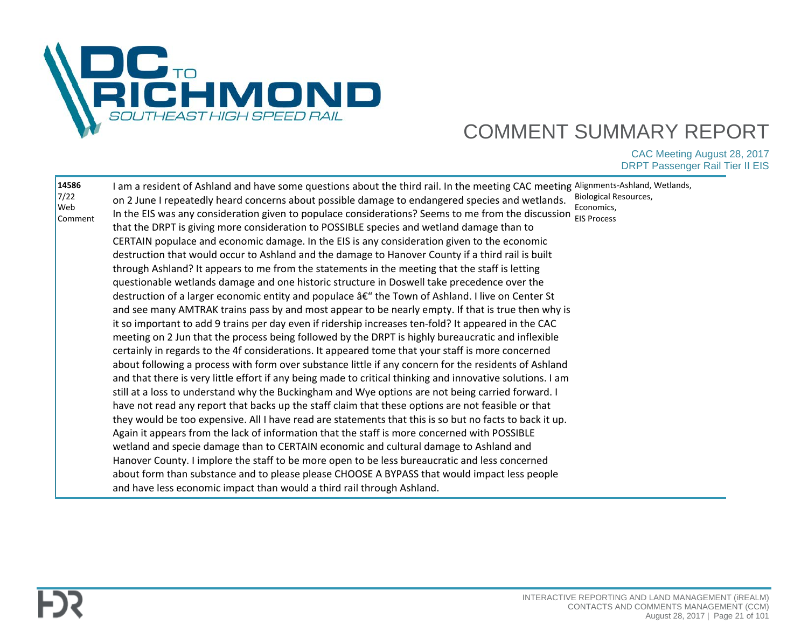

| 14586<br>7/22<br>Web<br>Comment | I am a resident of Ashland and have some questions about the third rail. In the meeting CAC meeting Alignments-Ashland, Wetlands,<br>on 2 June I repeatedly heard concerns about possible damage to endangered species and wetlands.<br>In the EIS was any consideration given to populace considerations? Seems to me from the discussion $\frac{1}{\text{EIS Process}}$<br>that the DRPT is giving more consideration to POSSIBLE species and wetland damage than to<br>CERTAIN populace and economic damage. In the EIS is any consideration given to the economic<br>destruction that would occur to Ashland and the damage to Hanover County if a third rail is built<br>through Ashland? It appears to me from the statements in the meeting that the staff is letting<br>questionable wetlands damage and one historic structure in Doswell take precedence over the<br>destruction of a larger economic entity and populace â€" the Town of Ashland. I live on Center St<br>and see many AMTRAK trains pass by and most appear to be nearly empty. If that is true then why is<br>it so important to add 9 trains per day even if ridership increases ten-fold? It appeared in the CAC<br>meeting on 2 Jun that the process being followed by the DRPT is highly bureaucratic and inflexible<br>certainly in regards to the 4f considerations. It appeared tome that your staff is more concerned<br>about following a process with form over substance little if any concern for the residents of Ashland<br>and that there is very little effort if any being made to critical thinking and innovative solutions. I am<br>still at a loss to understand why the Buckingham and Wye options are not being carried forward. I<br>have not read any report that backs up the staff claim that these options are not feasible or that<br>they would be too expensive. All I have read are statements that this is so but no facts to back it up.<br>Again it appears from the lack of information that the staff is more concerned with POSSIBLE<br>wetland and specie damage than to CERTAIN economic and cultural damage to Ashland and<br>Hanover County. I implore the staff to be more open to be less bureaucratic and less concerned<br>about form than substance and to please please CHOOSE A BYPASS that would impact less people<br>and have less economic impact than would a third rail through Ashland. | Biological Resources,<br>Economics, |
|---------------------------------|-----------------------------------------------------------------------------------------------------------------------------------------------------------------------------------------------------------------------------------------------------------------------------------------------------------------------------------------------------------------------------------------------------------------------------------------------------------------------------------------------------------------------------------------------------------------------------------------------------------------------------------------------------------------------------------------------------------------------------------------------------------------------------------------------------------------------------------------------------------------------------------------------------------------------------------------------------------------------------------------------------------------------------------------------------------------------------------------------------------------------------------------------------------------------------------------------------------------------------------------------------------------------------------------------------------------------------------------------------------------------------------------------------------------------------------------------------------------------------------------------------------------------------------------------------------------------------------------------------------------------------------------------------------------------------------------------------------------------------------------------------------------------------------------------------------------------------------------------------------------------------------------------------------------------------------------------------------------------------------------------------------------------------------------------------------------------------------------------------------------------------------------------------------------------------------------------------------------------------------------------------------------------------------------------------------------------------------------------------------------------------------------------------------------------------|-------------------------------------|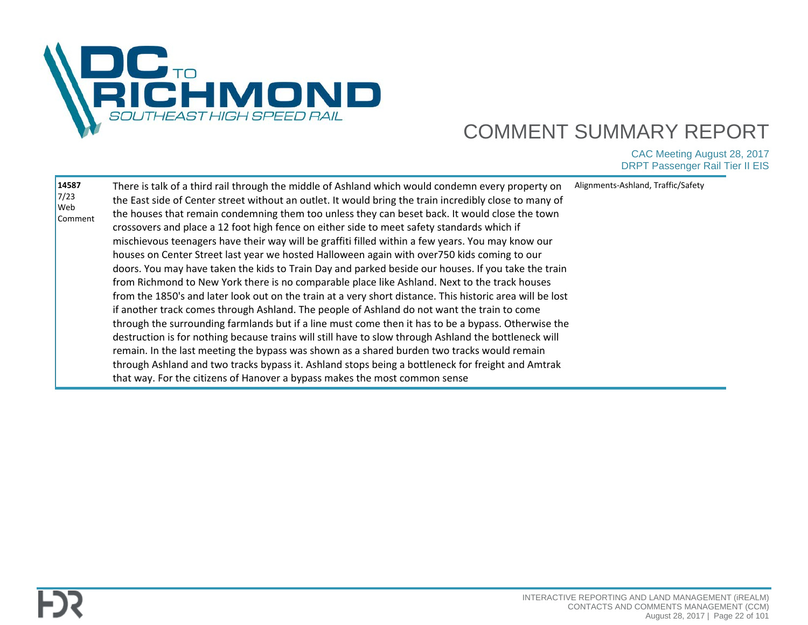

| 14587<br>There is talk of a third rail through the middle of Ashland which would condemn every property on<br>7/23<br>the East side of Center street without an outlet. It would bring the train incredibly close to many of<br>Web<br>the houses that remain condemning them too unless they can beset back. It would close the town<br>Comment<br>crossovers and place a 12 foot high fence on either side to meet safety standards which if<br>mischievous teenagers have their way will be graffiti filled within a few years. You may know our<br>houses on Center Street last year we hosted Halloween again with over750 kids coming to our<br>doors. You may have taken the kids to Train Day and parked beside our houses. If you take the train<br>from Richmond to New York there is no comparable place like Ashland. Next to the track houses<br>from the 1850's and later look out on the train at a very short distance. This historic area will be lost<br>if another track comes through Ashland. The people of Ashland do not want the train to come<br>through the surrounding farmlands but if a line must come then it has to be a bypass. Otherwise the<br>destruction is for nothing because trains will still have to slow through Ashland the bottleneck will<br>remain. In the last meeting the bypass was shown as a shared burden two tracks would remain<br>through Ashland and two tracks bypass it. Ashland stops being a bottleneck for freight and Amtrak<br>that way. For the citizens of Hanover a bypass makes the most common sense | Alignments-Ashland, Traffic/Safety |
|--------------------------------------------------------------------------------------------------------------------------------------------------------------------------------------------------------------------------------------------------------------------------------------------------------------------------------------------------------------------------------------------------------------------------------------------------------------------------------------------------------------------------------------------------------------------------------------------------------------------------------------------------------------------------------------------------------------------------------------------------------------------------------------------------------------------------------------------------------------------------------------------------------------------------------------------------------------------------------------------------------------------------------------------------------------------------------------------------------------------------------------------------------------------------------------------------------------------------------------------------------------------------------------------------------------------------------------------------------------------------------------------------------------------------------------------------------------------------------------------------------------------------------------------------------------------------|------------------------------------|
|--------------------------------------------------------------------------------------------------------------------------------------------------------------------------------------------------------------------------------------------------------------------------------------------------------------------------------------------------------------------------------------------------------------------------------------------------------------------------------------------------------------------------------------------------------------------------------------------------------------------------------------------------------------------------------------------------------------------------------------------------------------------------------------------------------------------------------------------------------------------------------------------------------------------------------------------------------------------------------------------------------------------------------------------------------------------------------------------------------------------------------------------------------------------------------------------------------------------------------------------------------------------------------------------------------------------------------------------------------------------------------------------------------------------------------------------------------------------------------------------------------------------------------------------------------------------------|------------------------------------|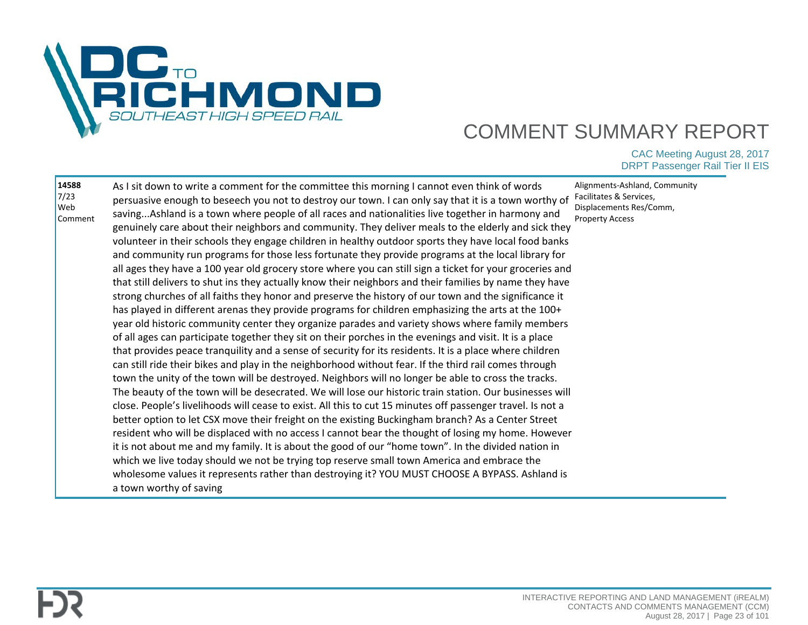

| 14588<br>7/23<br>Web<br>Comment | As I sit down to write a comment for the committee this morning I cannot even think of words<br>persuasive enough to beseech you not to destroy our town. I can only say that it is a town worthy of<br>savingAshland is a town where people of all races and nationalities live together in harmony and<br>genuinely care about their neighbors and community. They deliver meals to the elderly and sick they<br>volunteer in their schools they engage children in healthy outdoor sports they have local food banks<br>and community run programs for those less fortunate they provide programs at the local library for<br>all ages they have a 100 year old grocery store where you can still sign a ticket for your groceries and<br>that still delivers to shut ins they actually know their neighbors and their families by name they have<br>strong churches of all faiths they honor and preserve the history of our town and the significance it<br>has played in different arenas they provide programs for children emphasizing the arts at the 100+<br>year old historic community center they organize parades and variety shows where family members<br>of all ages can participate together they sit on their porches in the evenings and visit. It is a place<br>that provides peace tranquility and a sense of security for its residents. It is a place where children<br>can still ride their bikes and play in the neighborhood without fear. If the third rail comes through<br>town the unity of the town will be destroyed. Neighbors will no longer be able to cross the tracks.<br>The beauty of the town will be desecrated. We will lose our historic train station. Our businesses will<br>close. People's livelihoods will cease to exist. All this to cut 15 minutes off passenger travel. Is not a<br>better option to let CSX move their freight on the existing Buckingham branch? As a Center Street<br>resident who will be displaced with no access I cannot bear the thought of losing my home. However<br>it is not about me and my family. It is about the good of our "home town". In the divided nation in<br>which we live today should we not be trying top reserve small town America and embrace the<br>wholesome values it represents rather than destroying it? YOU MUST CHOOSE A BYPASS. Ashland is<br>a town worthy of saving | Alignments-Ashland, Community<br>Facilitates & Services,<br>Displacements Res/Comm,<br><b>Property Access</b> |
|---------------------------------|------------------------------------------------------------------------------------------------------------------------------------------------------------------------------------------------------------------------------------------------------------------------------------------------------------------------------------------------------------------------------------------------------------------------------------------------------------------------------------------------------------------------------------------------------------------------------------------------------------------------------------------------------------------------------------------------------------------------------------------------------------------------------------------------------------------------------------------------------------------------------------------------------------------------------------------------------------------------------------------------------------------------------------------------------------------------------------------------------------------------------------------------------------------------------------------------------------------------------------------------------------------------------------------------------------------------------------------------------------------------------------------------------------------------------------------------------------------------------------------------------------------------------------------------------------------------------------------------------------------------------------------------------------------------------------------------------------------------------------------------------------------------------------------------------------------------------------------------------------------------------------------------------------------------------------------------------------------------------------------------------------------------------------------------------------------------------------------------------------------------------------------------------------------------------------------------------------------------------------------------------------------------------------------------------------------------------------------------------------------------------------|---------------------------------------------------------------------------------------------------------------|
|---------------------------------|------------------------------------------------------------------------------------------------------------------------------------------------------------------------------------------------------------------------------------------------------------------------------------------------------------------------------------------------------------------------------------------------------------------------------------------------------------------------------------------------------------------------------------------------------------------------------------------------------------------------------------------------------------------------------------------------------------------------------------------------------------------------------------------------------------------------------------------------------------------------------------------------------------------------------------------------------------------------------------------------------------------------------------------------------------------------------------------------------------------------------------------------------------------------------------------------------------------------------------------------------------------------------------------------------------------------------------------------------------------------------------------------------------------------------------------------------------------------------------------------------------------------------------------------------------------------------------------------------------------------------------------------------------------------------------------------------------------------------------------------------------------------------------------------------------------------------------------------------------------------------------------------------------------------------------------------------------------------------------------------------------------------------------------------------------------------------------------------------------------------------------------------------------------------------------------------------------------------------------------------------------------------------------------------------------------------------------------------------------------------------------|---------------------------------------------------------------------------------------------------------------|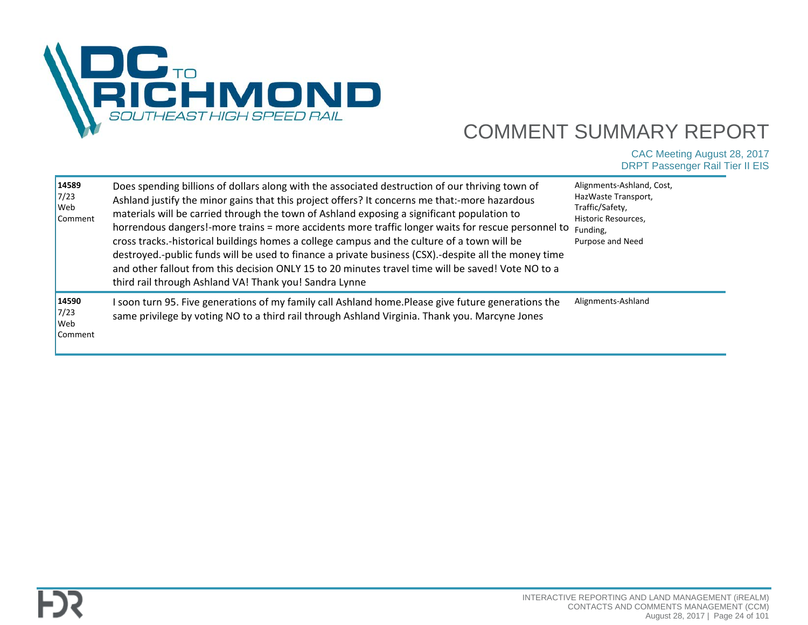

| 14589<br>7/23<br>Web<br>Comment | Does spending billions of dollars along with the associated destruction of our thriving town of<br>Ashland justify the minor gains that this project offers? It concerns me that:-more hazardous<br>materials will be carried through the town of Ashland exposing a significant population to<br>horrendous dangers!-more trains = more accidents more traffic longer waits for rescue personnel to<br>cross tracks.-historical buildings homes a college campus and the culture of a town will be<br>destroyed.-public funds will be used to finance a private business (CSX).-despite all the money time<br>and other fallout from this decision ONLY 15 to 20 minutes travel time will be saved! Vote NO to a<br>third rail through Ashland VA! Thank you! Sandra Lynne | Alignments-Ashland, Cost,<br>HazWaste Transport,<br>Traffic/Safety,<br>Historic Resources,<br>Funding,<br>Purpose and Need |
|---------------------------------|-----------------------------------------------------------------------------------------------------------------------------------------------------------------------------------------------------------------------------------------------------------------------------------------------------------------------------------------------------------------------------------------------------------------------------------------------------------------------------------------------------------------------------------------------------------------------------------------------------------------------------------------------------------------------------------------------------------------------------------------------------------------------------|----------------------------------------------------------------------------------------------------------------------------|
| 14590<br>7/23<br>Web<br>Comment | I soon turn 95. Five generations of my family call Ashland home.Please give future generations the<br>same privilege by voting NO to a third rail through Ashland Virginia. Thank you. Marcyne Jones                                                                                                                                                                                                                                                                                                                                                                                                                                                                                                                                                                        | Alignments-Ashland                                                                                                         |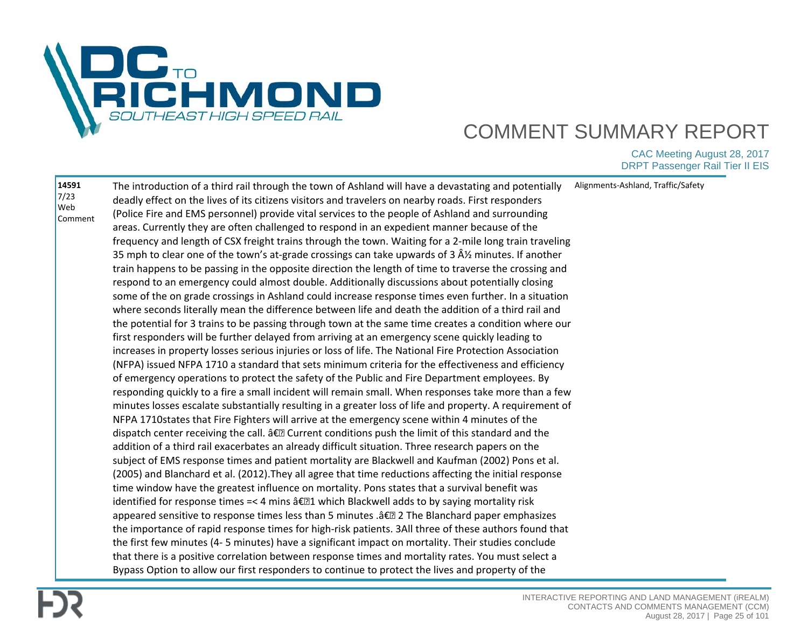

| 14591<br>7/23 | The introduction of a third rail through the town of Ashland will have a devastating and potentially       | Alignments-Ashland, Traffic/Safety |
|---------------|------------------------------------------------------------------------------------------------------------|------------------------------------|
| Web           | deadly effect on the lives of its citizens visitors and travelers on nearby roads. First responders        |                                    |
| Comment       | (Police Fire and EMS personnel) provide vital services to the people of Ashland and surrounding            |                                    |
|               | areas. Currently they are often challenged to respond in an expedient manner because of the                |                                    |
|               | frequency and length of CSX freight trains through the town. Waiting for a 2-mile long train traveling     |                                    |
|               | 35 mph to clear one of the town's at-grade crossings can take upwards of 3 $\hat{A}$ % minutes. If another |                                    |
|               | train happens to be passing in the opposite direction the length of time to traverse the crossing and      |                                    |
|               | respond to an emergency could almost double. Additionally discussions about potentially closing            |                                    |
|               | some of the on grade crossings in Ashland could increase response times even further. In a situation       |                                    |
|               | where seconds literally mean the difference between life and death the addition of a third rail and        |                                    |
|               | the potential for 3 trains to be passing through town at the same time creates a condition where our       |                                    |
|               | first responders will be further delayed from arriving at an emergency scene quickly leading to            |                                    |
|               | increases in property losses serious injuries or loss of life. The National Fire Protection Association    |                                    |
|               | (NFPA) issued NFPA 1710 a standard that sets minimum criteria for the effectiveness and efficiency         |                                    |
|               | of emergency operations to protect the safety of the Public and Fire Department employees. By              |                                    |
|               | responding quickly to a fire a small incident will remain small. When responses take more than a few       |                                    |
|               | minutes losses escalate substantially resulting in a greater loss of life and property. A requirement of   |                                    |
|               | NFPA 1710states that Fire Fighters will arrive at the emergency scene within 4 minutes of the              |                                    |
|               | dispatch center receiving the call. †D Current conditions push the limit of this standard and the          |                                    |
|               | addition of a third rail exacerbates an already difficult situation. Three research papers on the          |                                    |
|               | subject of EMS response times and patient mortality are Blackwell and Kaufman (2002) Pons et al.           |                                    |
|               | (2005) and Blanchard et al. (2012). They all agree that time reductions affecting the initial response     |                                    |
|               | time window have the greatest influence on mortality. Pons states that a survival benefit was              |                                    |
|               | identified for response times =< 4 mins †[21 which Blackwell adds to by saying mortality risk              |                                    |
|               | appeared sensitive to response times less than 5 minutes .â€[2] 2 The Blanchard paper emphasizes           |                                    |
|               | the importance of rapid response times for high-risk patients. 3All three of these authors found that      |                                    |
|               | the first few minutes (4-5 minutes) have a significant impact on mortality. Their studies conclude         |                                    |
|               | that there is a positive correlation between response times and mortality rates. You must select a         |                                    |
|               | Bypass Option to allow our first responders to continue to protect the lives and property of the           |                                    |
|               |                                                                                                            |                                    |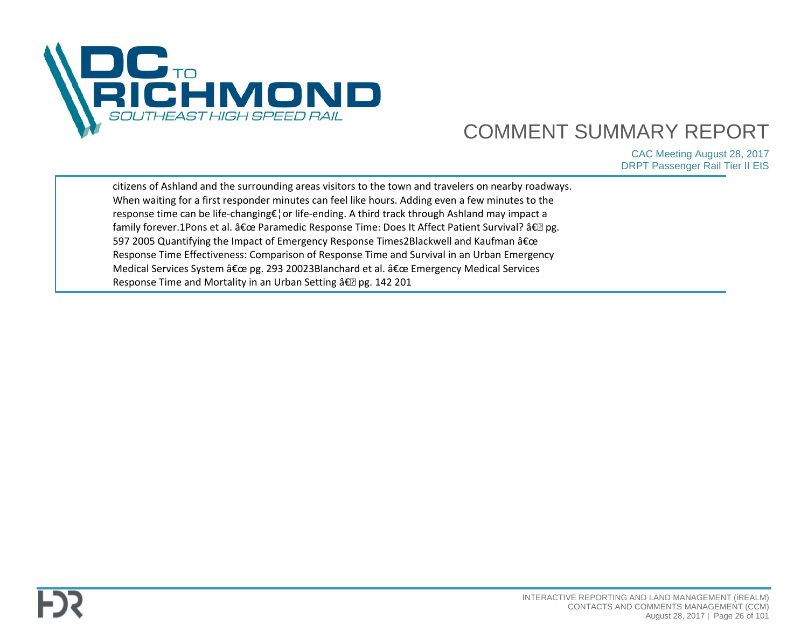

| citizens of Ashland and the surrounding areas visitors to the town and travelers on nearby roadways. |  |
|------------------------------------------------------------------------------------------------------|--|
| When waiting for a first responder minutes can feel like hours. Adding even a few minutes to the     |  |
| response time can be life-changing€¦or life-ending. A third track through Ashland may impact a       |  |
| family forever.1Pons et al. " Paramedic Response Time: Does It Affect Patient Survival? †? pg.       |  |
| 597 2005 Quantifying the Impact of Emergency Response Times2Blackwell and Kaufman "                  |  |
| Response Time Effectiveness: Comparison of Response Time and Survival in an Urban Emergency          |  |
| Medical Services System " pg. 293 20023Blanchard et al. " Emergency Medical Services                 |  |
| Response Time and Mortality in an Urban Setting †?? pg. 142 201                                      |  |
|                                                                                                      |  |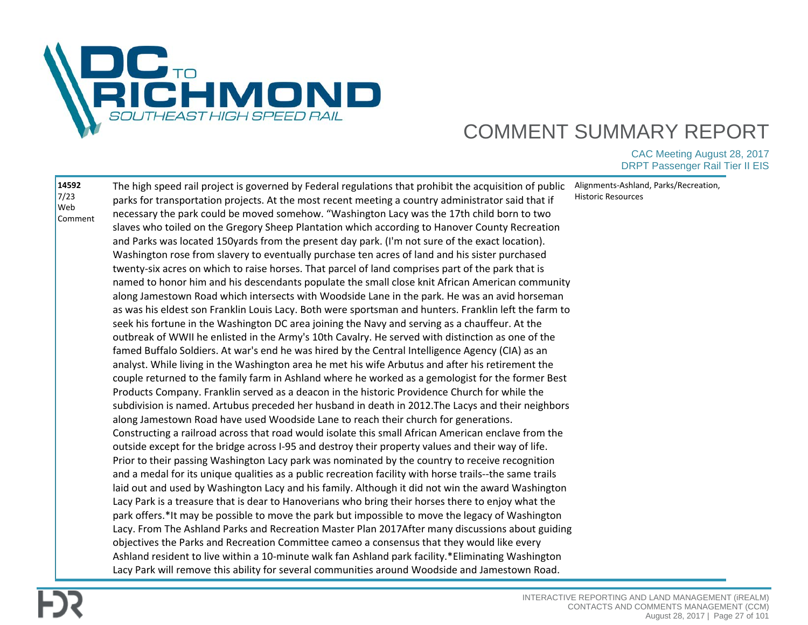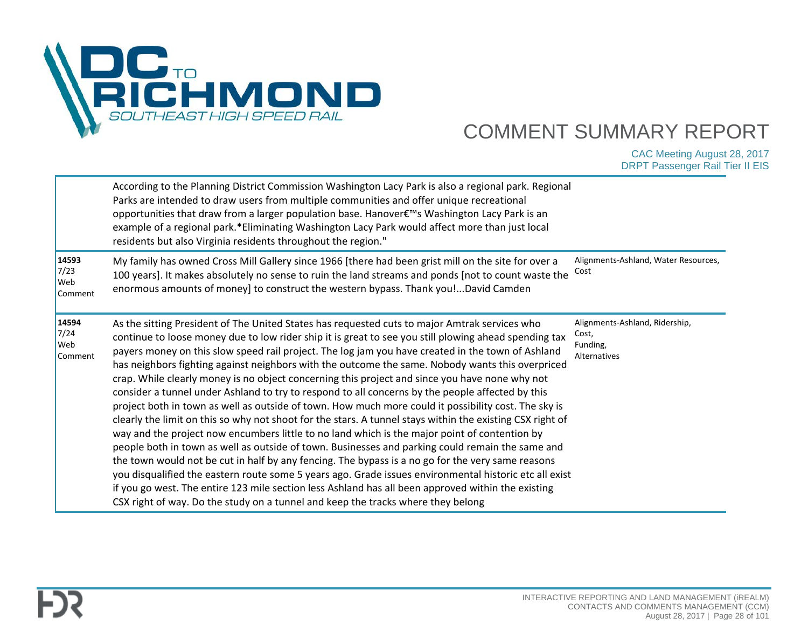

|                                        | According to the Planning District Commission Washington Lacy Park is also a regional park. Regional<br>Parks are intended to draw users from multiple communities and offer unique recreational<br>opportunities that draw from a larger population base. Hanover€™s Washington Lacy Park is an<br>example of a regional park.*Eliminating Washington Lacy Park would affect more than just local<br>residents but also Virginia residents throughout the region."                                                                                                                                                                                                                                                                                                                                                                                                                                                                                                                                                                                                                                                                                                                                                                                                                                                                                                                                                                                      |                                                                     |
|----------------------------------------|----------------------------------------------------------------------------------------------------------------------------------------------------------------------------------------------------------------------------------------------------------------------------------------------------------------------------------------------------------------------------------------------------------------------------------------------------------------------------------------------------------------------------------------------------------------------------------------------------------------------------------------------------------------------------------------------------------------------------------------------------------------------------------------------------------------------------------------------------------------------------------------------------------------------------------------------------------------------------------------------------------------------------------------------------------------------------------------------------------------------------------------------------------------------------------------------------------------------------------------------------------------------------------------------------------------------------------------------------------------------------------------------------------------------------------------------------------|---------------------------------------------------------------------|
| 14593<br>7/23<br><b>Web</b><br>Comment | My family has owned Cross Mill Gallery since 1966 [there had been grist mill on the site for over a<br>100 years]. It makes absolutely no sense to ruin the land streams and ponds [not to count waste the<br>enormous amounts of money] to construct the western bypass. Thank you!David Camden                                                                                                                                                                                                                                                                                                                                                                                                                                                                                                                                                                                                                                                                                                                                                                                                                                                                                                                                                                                                                                                                                                                                                         | Alignments-Ashland, Water Resources,<br>Cost                        |
| 14594<br>7/24<br>Web<br>Comment        | As the sitting President of The United States has requested cuts to major Amtrak services who<br>continue to loose money due to low rider ship it is great to see you still plowing ahead spending tax<br>payers money on this slow speed rail project. The log jam you have created in the town of Ashland<br>has neighbors fighting against neighbors with the outcome the same. Nobody wants this overpriced<br>crap. While clearly money is no object concerning this project and since you have none why not<br>consider a tunnel under Ashland to try to respond to all concerns by the people affected by this<br>project both in town as well as outside of town. How much more could it possibility cost. The sky is<br>clearly the limit on this so why not shoot for the stars. A tunnel stays within the existing CSX right of<br>way and the project now encumbers little to no land which is the major point of contention by<br>people both in town as well as outside of town. Businesses and parking could remain the same and<br>the town would not be cut in half by any fencing. The bypass is a no go for the very same reasons<br>you disqualified the eastern route some 5 years ago. Grade issues environmental historic etc all exist<br>if you go west. The entire 123 mile section less Ashland has all been approved within the existing<br>CSX right of way. Do the study on a tunnel and keep the tracks where they belong | Alignments-Ashland, Ridership,<br>Cost,<br>Funding,<br>Alternatives |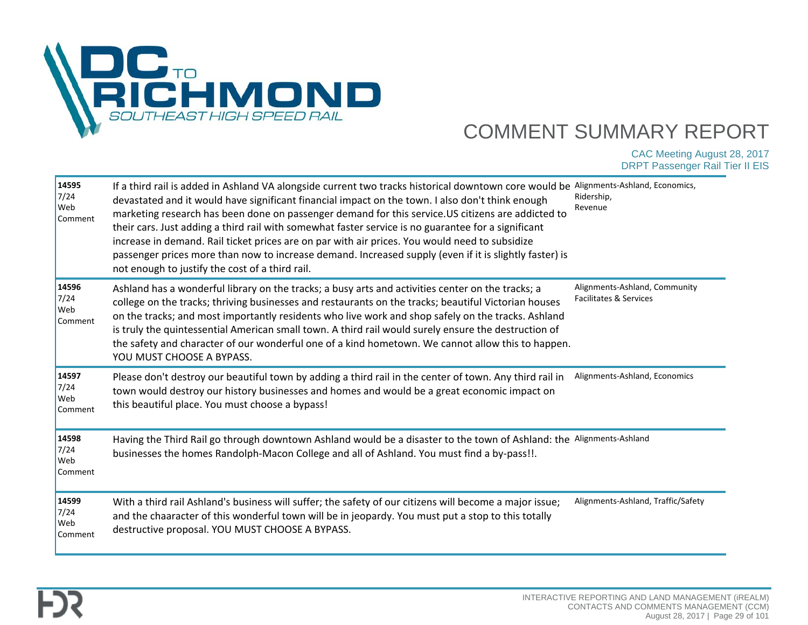

| 14595<br>7/24<br>Web<br>Comment   | If a third rail is added in Ashland VA alongside current two tracks historical downtown core would be<br>devastated and it would have significant financial impact on the town. I also don't think enough<br>marketing research has been done on passenger demand for this service. US citizens are addicted to<br>their cars. Just adding a third rail with somewhat faster service is no guarantee for a significant<br>increase in demand. Rail ticket prices are on par with air prices. You would need to subsidize<br>passenger prices more than now to increase demand. Increased supply (even if it is slightly faster) is<br>not enough to justify the cost of a third rail. | Alignments-Ashland, Economics,<br>Ridership,<br>Revenue |
|-----------------------------------|---------------------------------------------------------------------------------------------------------------------------------------------------------------------------------------------------------------------------------------------------------------------------------------------------------------------------------------------------------------------------------------------------------------------------------------------------------------------------------------------------------------------------------------------------------------------------------------------------------------------------------------------------------------------------------------|---------------------------------------------------------|
| 14596<br>$7/24$<br>Web<br>Comment | Ashland has a wonderful library on the tracks; a busy arts and activities center on the tracks; a<br>college on the tracks; thriving businesses and restaurants on the tracks; beautiful Victorian houses<br>on the tracks; and most importantly residents who live work and shop safely on the tracks. Ashland<br>is truly the quintessential American small town. A third rail would surely ensure the destruction of<br>the safety and character of our wonderful one of a kind hometown. We cannot allow this to happen.<br>YOU MUST CHOOSE A BYPASS.                                                                                                                             | Alignments-Ashland, Community<br>Facilitates & Services |
| 14597<br>7/24<br>Web<br>Comment   | Please don't destroy our beautiful town by adding a third rail in the center of town. Any third rail in<br>town would destroy our history businesses and homes and would be a great economic impact on<br>this beautiful place. You must choose a bypass!                                                                                                                                                                                                                                                                                                                                                                                                                             | Alignments-Ashland, Economics                           |
| 14598<br>7/24<br>Web<br>Comment   | Having the Third Rail go through downtown Ashland would be a disaster to the town of Ashland: the Alignments-Ashland<br>businesses the homes Randolph-Macon College and all of Ashland. You must find a by-pass!!.                                                                                                                                                                                                                                                                                                                                                                                                                                                                    |                                                         |
| 14599<br>7/24<br>Web<br>Comment   | With a third rail Ashland's business will suffer; the safety of our citizens will become a major issue;<br>and the chaaracter of this wonderful town will be in jeopardy. You must put a stop to this totally<br>destructive proposal. YOU MUST CHOOSE A BYPASS.                                                                                                                                                                                                                                                                                                                                                                                                                      | Alignments-Ashland, Traffic/Safety                      |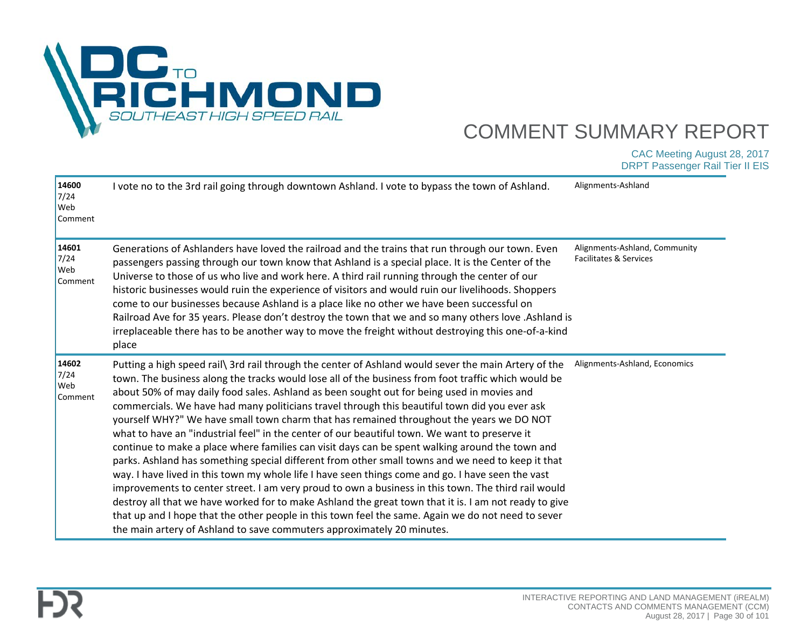

| 14600<br>7/24<br>Web<br>Comment | I vote no to the 3rd rail going through downtown Ashland. I vote to bypass the town of Ashland.                                                                                                                                                                                                                                                                                                                                                                                                                                                                                                                                                                                                                                                                                                                                                                                                                                                                                                                                                                                                                                                                                                                                                                                                                      | Alignments-Ashland                                      |
|---------------------------------|----------------------------------------------------------------------------------------------------------------------------------------------------------------------------------------------------------------------------------------------------------------------------------------------------------------------------------------------------------------------------------------------------------------------------------------------------------------------------------------------------------------------------------------------------------------------------------------------------------------------------------------------------------------------------------------------------------------------------------------------------------------------------------------------------------------------------------------------------------------------------------------------------------------------------------------------------------------------------------------------------------------------------------------------------------------------------------------------------------------------------------------------------------------------------------------------------------------------------------------------------------------------------------------------------------------------|---------------------------------------------------------|
| 14601<br>7/24<br>Web<br>Comment | Generations of Ashlanders have loved the railroad and the trains that run through our town. Even<br>passengers passing through our town know that Ashland is a special place. It is the Center of the<br>Universe to those of us who live and work here. A third rail running through the center of our<br>historic businesses would ruin the experience of visitors and would ruin our livelihoods. Shoppers<br>come to our businesses because Ashland is a place like no other we have been successful on<br>Railroad Ave for 35 years. Please don't destroy the town that we and so many others love .Ashland is<br>irreplaceable there has to be another way to move the freight without destroying this one-of-a-kind<br>place                                                                                                                                                                                                                                                                                                                                                                                                                                                                                                                                                                                  | Alignments-Ashland, Community<br>Facilitates & Services |
| 14602<br>7/24<br>Web<br>Comment | Putting a high speed rail\ 3rd rail through the center of Ashland would sever the main Artery of the<br>town. The business along the tracks would lose all of the business from foot traffic which would be<br>about 50% of may daily food sales. Ashland as been sought out for being used in movies and<br>commercials. We have had many politicians travel through this beautiful town did you ever ask<br>yourself WHY?" We have small town charm that has remained throughout the years we DO NOT<br>what to have an "industrial feel" in the center of our beautiful town. We want to preserve it<br>continue to make a place where families can visit days can be spent walking around the town and<br>parks. Ashland has something special different from other small towns and we need to keep it that<br>way. I have lived in this town my whole life I have seen things come and go. I have seen the vast<br>improvements to center street. I am very proud to own a business in this town. The third rail would<br>destroy all that we have worked for to make Ashland the great town that it is. I am not ready to give<br>that up and I hope that the other people in this town feel the same. Again we do not need to sever<br>the main artery of Ashland to save commuters approximately 20 minutes. | Alignments-Ashland, Economics                           |

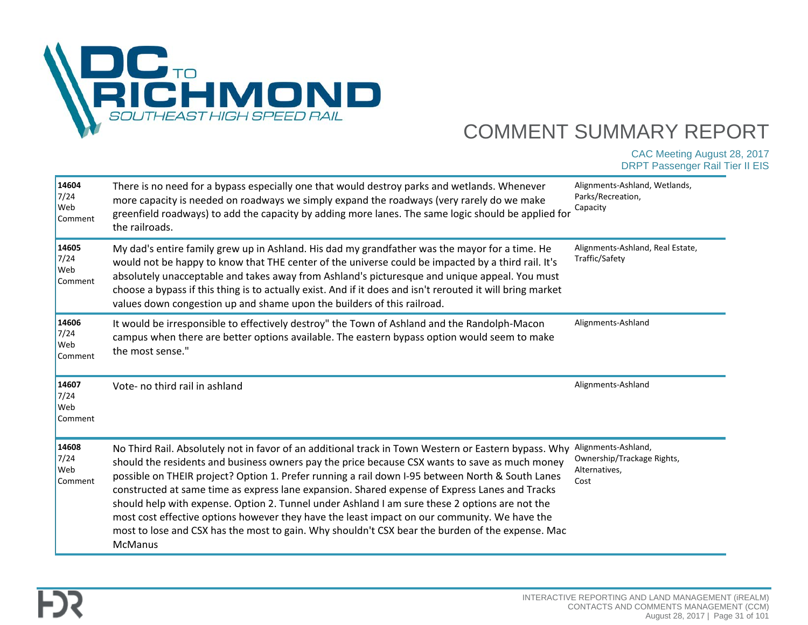

| 14604<br>7/24<br>Web<br>Comment | There is no need for a bypass especially one that would destroy parks and wetlands. Whenever<br>more capacity is needed on roadways we simply expand the roadways (very rarely do we make<br>greenfield roadways) to add the capacity by adding more lanes. The same logic should be applied for<br>the railroads.                                                                                                                                                                                                                                                                                                                                                                                                                   | Alignments-Ashland, Wetlands,<br>Parks/Recreation,<br>Capacity             |
|---------------------------------|--------------------------------------------------------------------------------------------------------------------------------------------------------------------------------------------------------------------------------------------------------------------------------------------------------------------------------------------------------------------------------------------------------------------------------------------------------------------------------------------------------------------------------------------------------------------------------------------------------------------------------------------------------------------------------------------------------------------------------------|----------------------------------------------------------------------------|
| 14605<br>7/24<br>Web<br>Comment | My dad's entire family grew up in Ashland. His dad my grandfather was the mayor for a time. He<br>would not be happy to know that THE center of the universe could be impacted by a third rail. It's<br>absolutely unacceptable and takes away from Ashland's picturesque and unique appeal. You must<br>choose a bypass if this thing is to actually exist. And if it does and isn't rerouted it will bring market<br>values down congestion up and shame upon the builders of this railroad.                                                                                                                                                                                                                                       | Alignments-Ashland, Real Estate,<br>Traffic/Safety                         |
| 14606<br>7/24<br>Web<br>Comment | It would be irresponsible to effectively destroy" the Town of Ashland and the Randolph-Macon<br>campus when there are better options available. The eastern bypass option would seem to make<br>the most sense."                                                                                                                                                                                                                                                                                                                                                                                                                                                                                                                     | Alignments-Ashland                                                         |
| 14607<br>7/24<br>Web<br>Comment | Vote- no third rail in ashland                                                                                                                                                                                                                                                                                                                                                                                                                                                                                                                                                                                                                                                                                                       | Alignments-Ashland                                                         |
| 14608<br>7/24<br>Web<br>Comment | No Third Rail. Absolutely not in favor of an additional track in Town Western or Eastern bypass. Why<br>should the residents and business owners pay the price because CSX wants to save as much money<br>possible on THEIR project? Option 1. Prefer running a rail down I-95 between North & South Lanes<br>constructed at same time as express lane expansion. Shared expense of Express Lanes and Tracks<br>should help with expense. Option 2. Tunnel under Ashland I am sure these 2 options are not the<br>most cost effective options however they have the least impact on our community. We have the<br>most to lose and CSX has the most to gain. Why shouldn't CSX bear the burden of the expense. Mac<br><b>McManus</b> | Alignments-Ashland,<br>Ownership/Trackage Rights,<br>Alternatives,<br>Cost |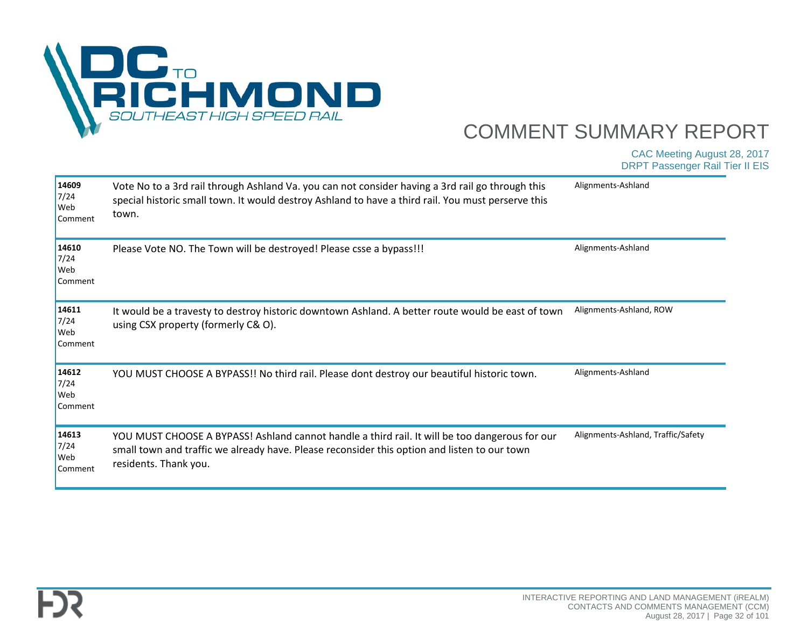

| 14609<br>7/24<br>Web<br>Comment | Vote No to a 3rd rail through Ashland Va. you can not consider having a 3rd rail go through this<br>special historic small town. It would destroy Ashland to have a third rail. You must perserve this<br>town.         | Alignments-Ashland                 |
|---------------------------------|-------------------------------------------------------------------------------------------------------------------------------------------------------------------------------------------------------------------------|------------------------------------|
| 14610<br>7/24<br>Web<br>Comment | Please Vote NO. The Town will be destroyed! Please csse a bypass!!!                                                                                                                                                     | Alignments-Ashland                 |
| 14611<br>7/24<br>Web<br>Comment | It would be a travesty to destroy historic downtown Ashland. A better route would be east of town<br>using CSX property (formerly C& O).                                                                                | Alignments-Ashland, ROW            |
| 14612<br>7/24<br>Web<br>Comment | YOU MUST CHOOSE A BYPASS!! No third rail. Please dont destroy our beautiful historic town.                                                                                                                              | Alignments-Ashland                 |
| 14613<br>7/24<br>Web<br>Comment | YOU MUST CHOOSE A BYPASS! Ashland cannot handle a third rail. It will be too dangerous for our<br>small town and traffic we already have. Please reconsider this option and listen to our town<br>residents. Thank you. | Alignments-Ashland, Traffic/Safety |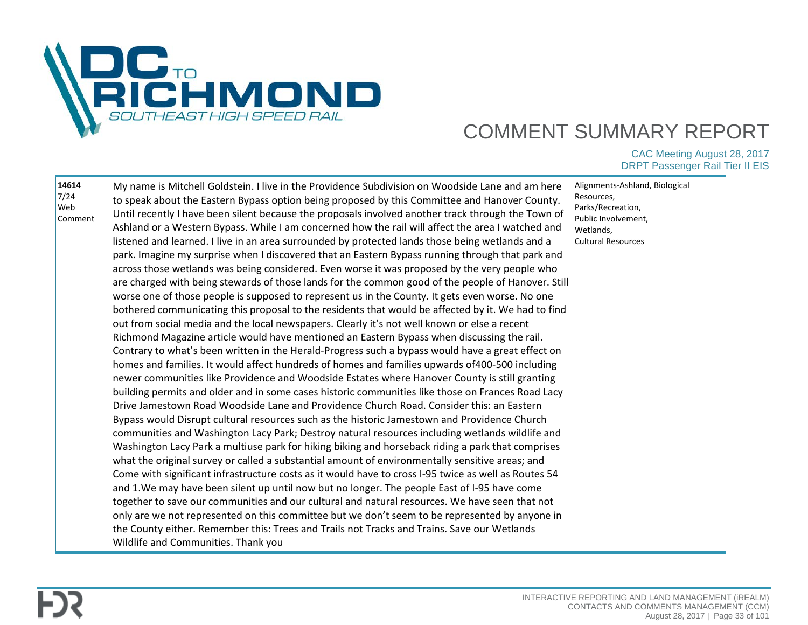

| 14614<br>$7/24$<br>Web<br>Comment | My name is Mitchell Goldstein. I live in the Providence Subdivision on Woodside Lane and am here<br>to speak about the Eastern Bypass option being proposed by this Committee and Hanover County.<br>Until recently I have been silent because the proposals involved another track through the Town of<br>Ashland or a Western Bypass. While I am concerned how the rail will affect the area I watched and<br>listened and learned. I live in an area surrounded by protected lands those being wetlands and a<br>park. Imagine my surprise when I discovered that an Eastern Bypass running through that park and<br>across those wetlands was being considered. Even worse it was proposed by the very people who<br>are charged with being stewards of those lands for the common good of the people of Hanover. Still<br>worse one of those people is supposed to represent us in the County. It gets even worse. No one<br>bothered communicating this proposal to the residents that would be affected by it. We had to find<br>out from social media and the local newspapers. Clearly it's not well known or else a recent<br>Richmond Magazine article would have mentioned an Eastern Bypass when discussing the rail.<br>Contrary to what's been written in the Herald-Progress such a bypass would have a great effect on<br>homes and families. It would affect hundreds of homes and families upwards of 400-500 including<br>newer communities like Providence and Woodside Estates where Hanover County is still granting<br>building permits and older and in some cases historic communities like those on Frances Road Lacy<br>Drive Jamestown Road Woodside Lane and Providence Church Road. Consider this: an Eastern<br>Bypass would Disrupt cultural resources such as the historic Jamestown and Providence Church<br>communities and Washington Lacy Park; Destroy natural resources including wetlands wildlife and<br>Washington Lacy Park a multiuse park for hiking biking and horseback riding a park that comprises<br>what the original survey or called a substantial amount of environmentally sensitive areas; and<br>Come with significant infrastructure costs as it would have to cross I-95 twice as well as Routes 54<br>and 1. We may have been silent up until now but no longer. The people East of I-95 have come<br>together to save our communities and our cultural and natural resources. We have seen that not<br>only are we not represented on this committee but we don't seem to be represented by anyone in<br>the County either. Remember this: Trees and Trails not Tracks and Trains. Save our Wetlands<br>Wildlife and Communities. Thank you | Alignments-Ashland, Biological<br>Resources,<br>Parks/Recreation,<br>Public Involvement.<br>Wetlands,<br>Cultural Resources |
|-----------------------------------|-----------------------------------------------------------------------------------------------------------------------------------------------------------------------------------------------------------------------------------------------------------------------------------------------------------------------------------------------------------------------------------------------------------------------------------------------------------------------------------------------------------------------------------------------------------------------------------------------------------------------------------------------------------------------------------------------------------------------------------------------------------------------------------------------------------------------------------------------------------------------------------------------------------------------------------------------------------------------------------------------------------------------------------------------------------------------------------------------------------------------------------------------------------------------------------------------------------------------------------------------------------------------------------------------------------------------------------------------------------------------------------------------------------------------------------------------------------------------------------------------------------------------------------------------------------------------------------------------------------------------------------------------------------------------------------------------------------------------------------------------------------------------------------------------------------------------------------------------------------------------------------------------------------------------------------------------------------------------------------------------------------------------------------------------------------------------------------------------------------------------------------------------------------------------------------------------------------------------------------------------------------------------------------------------------------------------------------------------------------------------------------------------------------------------------------------------------------------------------------------------------------------------------------------------------------------------------------------------------------------------------------------------------------------------------------------------------------|-----------------------------------------------------------------------------------------------------------------------------|
|-----------------------------------|-----------------------------------------------------------------------------------------------------------------------------------------------------------------------------------------------------------------------------------------------------------------------------------------------------------------------------------------------------------------------------------------------------------------------------------------------------------------------------------------------------------------------------------------------------------------------------------------------------------------------------------------------------------------------------------------------------------------------------------------------------------------------------------------------------------------------------------------------------------------------------------------------------------------------------------------------------------------------------------------------------------------------------------------------------------------------------------------------------------------------------------------------------------------------------------------------------------------------------------------------------------------------------------------------------------------------------------------------------------------------------------------------------------------------------------------------------------------------------------------------------------------------------------------------------------------------------------------------------------------------------------------------------------------------------------------------------------------------------------------------------------------------------------------------------------------------------------------------------------------------------------------------------------------------------------------------------------------------------------------------------------------------------------------------------------------------------------------------------------------------------------------------------------------------------------------------------------------------------------------------------------------------------------------------------------------------------------------------------------------------------------------------------------------------------------------------------------------------------------------------------------------------------------------------------------------------------------------------------------------------------------------------------------------------------------------------------------|-----------------------------------------------------------------------------------------------------------------------------|

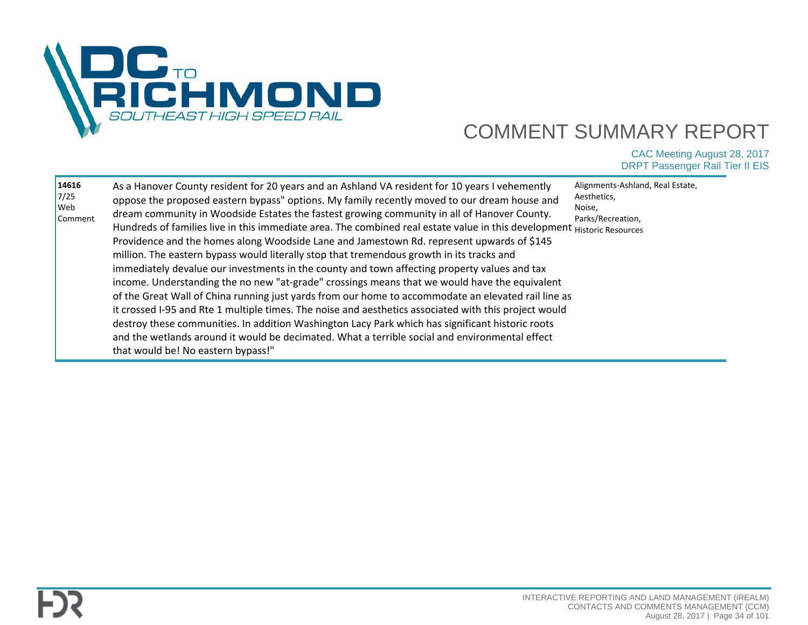

| Providence and the homes along Woodside Lane and Jamestown Rd. represent upwards of \$145<br>million. The eastern bypass would literally stop that tremendous growth in its tracks and<br>immediately devalue our investments in the county and town affecting property values and tax<br>income. Understanding the no new "at-grade" crossings means that we would have the equivalent<br>of the Great Wall of China running just yards from our home to accommodate an elevated rail line as<br>it crossed I-95 and Rte 1 multiple times. The noise and aesthetics associated with this project would<br>destroy these communities. In addition Washington Lacy Park which has significant historic roots<br>and the wetlands around it would be decimated. What a terrible social and environmental effect<br>that would be! No eastern bypass!" | Parks/Recreation,<br>Hundreds of families live in this immediate area. The combined real estate value in this development Historic Resources |
|-----------------------------------------------------------------------------------------------------------------------------------------------------------------------------------------------------------------------------------------------------------------------------------------------------------------------------------------------------------------------------------------------------------------------------------------------------------------------------------------------------------------------------------------------------------------------------------------------------------------------------------------------------------------------------------------------------------------------------------------------------------------------------------------------------------------------------------------------------|----------------------------------------------------------------------------------------------------------------------------------------------|
|-----------------------------------------------------------------------------------------------------------------------------------------------------------------------------------------------------------------------------------------------------------------------------------------------------------------------------------------------------------------------------------------------------------------------------------------------------------------------------------------------------------------------------------------------------------------------------------------------------------------------------------------------------------------------------------------------------------------------------------------------------------------------------------------------------------------------------------------------------|----------------------------------------------------------------------------------------------------------------------------------------------|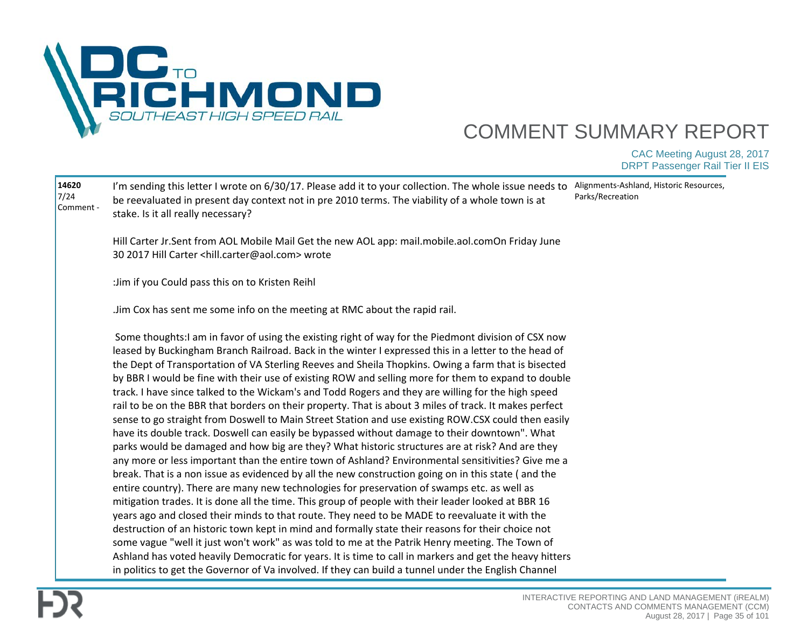

| 14620<br>$7/24$<br>Comment - | I'm sending this letter I wrote on 6/30/17. Please add it to your collection. The whole issue needs to<br>be reevaluated in present day context not in pre 2010 terms. The viability of a whole town is at<br>stake. Is it all really necessary?                                                                                                                                                                                                                                                                                                                                                                                                                                                                                                                                                                                                                                                                                                                                                                                                                                                                                                                                                                                                                                                                                                                                                                                                                                                                                                                                                                                                                                                                                                                                                                                                                                                       | Alignments-Ashland, Historic Resources,<br>Parks/Recreation |
|------------------------------|--------------------------------------------------------------------------------------------------------------------------------------------------------------------------------------------------------------------------------------------------------------------------------------------------------------------------------------------------------------------------------------------------------------------------------------------------------------------------------------------------------------------------------------------------------------------------------------------------------------------------------------------------------------------------------------------------------------------------------------------------------------------------------------------------------------------------------------------------------------------------------------------------------------------------------------------------------------------------------------------------------------------------------------------------------------------------------------------------------------------------------------------------------------------------------------------------------------------------------------------------------------------------------------------------------------------------------------------------------------------------------------------------------------------------------------------------------------------------------------------------------------------------------------------------------------------------------------------------------------------------------------------------------------------------------------------------------------------------------------------------------------------------------------------------------------------------------------------------------------------------------------------------------|-------------------------------------------------------------|
|                              | Hill Carter Jr.Sent from AOL Mobile Mail Get the new AOL app: mail.mobile.aol.comOn Friday June<br>30 2017 Hill Carter <hill.carter@aol.com> wrote</hill.carter@aol.com>                                                                                                                                                                                                                                                                                                                                                                                                                                                                                                                                                                                                                                                                                                                                                                                                                                                                                                                                                                                                                                                                                                                                                                                                                                                                                                                                                                                                                                                                                                                                                                                                                                                                                                                               |                                                             |
|                              | : Jim if you Could pass this on to Kristen Reihl                                                                                                                                                                                                                                                                                                                                                                                                                                                                                                                                                                                                                                                                                                                                                                                                                                                                                                                                                                                                                                                                                                                                                                                                                                                                                                                                                                                                                                                                                                                                                                                                                                                                                                                                                                                                                                                       |                                                             |
|                              | Jim Cox has sent me some info on the meeting at RMC about the rapid rail.                                                                                                                                                                                                                                                                                                                                                                                                                                                                                                                                                                                                                                                                                                                                                                                                                                                                                                                                                                                                                                                                                                                                                                                                                                                                                                                                                                                                                                                                                                                                                                                                                                                                                                                                                                                                                              |                                                             |
|                              | Some thoughts: I am in favor of using the existing right of way for the Piedmont division of CSX now<br>leased by Buckingham Branch Railroad. Back in the winter I expressed this in a letter to the head of<br>the Dept of Transportation of VA Sterling Reeves and Sheila Thopkins. Owing a farm that is bisected<br>by BBR I would be fine with their use of existing ROW and selling more for them to expand to double<br>track. I have since talked to the Wickam's and Todd Rogers and they are willing for the high speed<br>rail to be on the BBR that borders on their property. That is about 3 miles of track. It makes perfect<br>sense to go straight from Doswell to Main Street Station and use existing ROW.CSX could then easily<br>have its double track. Doswell can easily be bypassed without damage to their downtown". What<br>parks would be damaged and how big are they? What historic structures are at risk? And are they<br>any more or less important than the entire town of Ashland? Environmental sensitivities? Give me a<br>break. That is a non issue as evidenced by all the new construction going on in this state (and the<br>entire country). There are many new technologies for preservation of swamps etc. as well as<br>mitigation trades. It is done all the time. This group of people with their leader looked at BBR 16<br>years ago and closed their minds to that route. They need to be MADE to reevaluate it with the<br>destruction of an historic town kept in mind and formally state their reasons for their choice not<br>some vague "well it just won't work" as was told to me at the Patrik Henry meeting. The Town of<br>Ashland has voted heavily Democratic for years. It is time to call in markers and get the heavy hitters<br>in politics to get the Governor of Va involved. If they can build a tunnel under the English Channel |                                                             |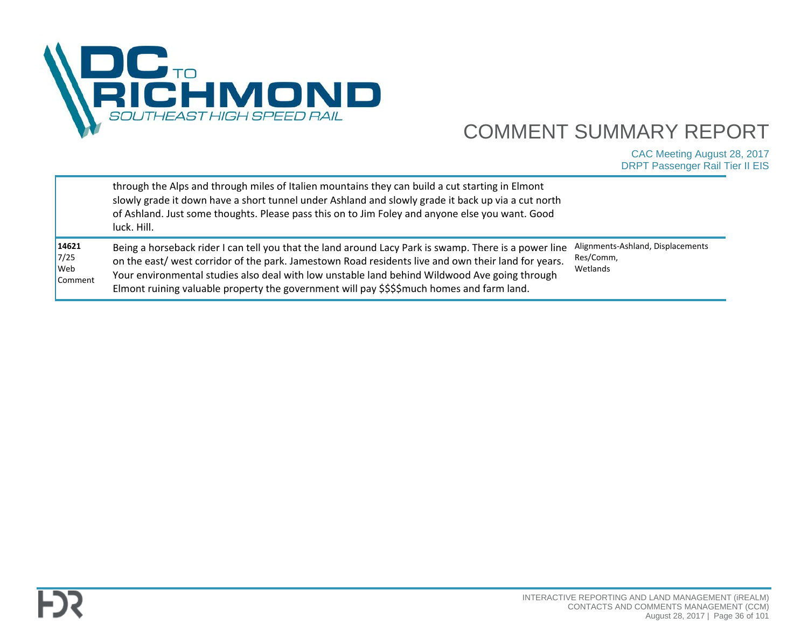

|                                                  | through the Alps and through miles of Italien mountains they can build a cut starting in Elmont<br>slowly grade it down have a short tunnel under Ashland and slowly grade it back up via a cut north<br>of Ashland. Just some thoughts. Please pass this on to Jim Foley and anyone else you want. Good<br>luck. Hill.                                                                                     |                                                            |
|--------------------------------------------------|-------------------------------------------------------------------------------------------------------------------------------------------------------------------------------------------------------------------------------------------------------------------------------------------------------------------------------------------------------------------------------------------------------------|------------------------------------------------------------|
| 14621<br>7/25<br>$\sqrt{\frac{1}{1}}$<br>Comment | Being a horseback rider I can tell you that the land around Lacy Park is swamp. There is a power line<br>on the east/ west corridor of the park. Jamestown Road residents live and own their land for years.<br>Your environmental studies also deal with low unstable land behind Wildwood Ave going through<br>Elmont ruining valuable property the government will pay \$\$\$\$much homes and farm land. | Alignments-Ashland, Displacements<br>Res/Comm,<br>Wetlands |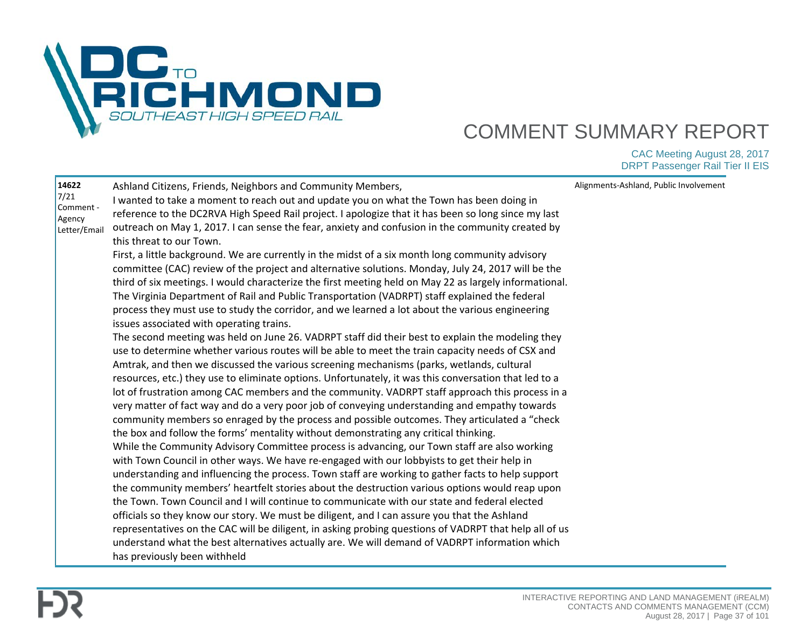

| 14622<br>7/21 | Ashland Citizens, Friends, Neighbors and Community Members,                                            | Alignments-Ashland, Public Involvement |
|---------------|--------------------------------------------------------------------------------------------------------|----------------------------------------|
| Comment -     | I wanted to take a moment to reach out and update you on what the Town has been doing in               |                                        |
| Agency        | reference to the DC2RVA High Speed Rail project. I apologize that it has been so long since my last    |                                        |
| Letter/Email  | outreach on May 1, 2017. I can sense the fear, anxiety and confusion in the community created by       |                                        |
|               | this threat to our Town.                                                                               |                                        |
|               | First, a little background. We are currently in the midst of a six month long community advisory       |                                        |
|               | committee (CAC) review of the project and alternative solutions. Monday, July 24, 2017 will be the     |                                        |
|               | third of six meetings. I would characterize the first meeting held on May 22 as largely informational. |                                        |
|               | The Virginia Department of Rail and Public Transportation (VADRPT) staff explained the federal         |                                        |
|               | process they must use to study the corridor, and we learned a lot about the various engineering        |                                        |
|               | issues associated with operating trains.                                                               |                                        |
|               | The second meeting was held on June 26. VADRPT staff did their best to explain the modeling they       |                                        |
|               | use to determine whether various routes will be able to meet the train capacity needs of CSX and       |                                        |
|               | Amtrak, and then we discussed the various screening mechanisms (parks, wetlands, cultural              |                                        |
|               | resources, etc.) they use to eliminate options. Unfortunately, it was this conversation that led to a  |                                        |
|               | lot of frustration among CAC members and the community. VADRPT staff approach this process in a        |                                        |
|               | very matter of fact way and do a very poor job of conveying understanding and empathy towards          |                                        |
|               | community members so enraged by the process and possible outcomes. They articulated a "check           |                                        |
|               | the box and follow the forms' mentality without demonstrating any critical thinking.                   |                                        |
|               | While the Community Advisory Committee process is advancing, our Town staff are also working           |                                        |
|               | with Town Council in other ways. We have re-engaged with our lobbyists to get their help in            |                                        |
|               | understanding and influencing the process. Town staff are working to gather facts to help support      |                                        |
|               | the community members' heartfelt stories about the destruction various options would reap upon         |                                        |
|               | the Town. Town Council and I will continue to communicate with our state and federal elected           |                                        |
|               | officials so they know our story. We must be diligent, and I can assure you that the Ashland           |                                        |
|               | representatives on the CAC will be diligent, in asking probing questions of VADRPT that help all of us |                                        |
|               | understand what the best alternatives actually are. We will demand of VADRPT information which         |                                        |
|               | has previously been withheld                                                                           |                                        |
|               |                                                                                                        |                                        |

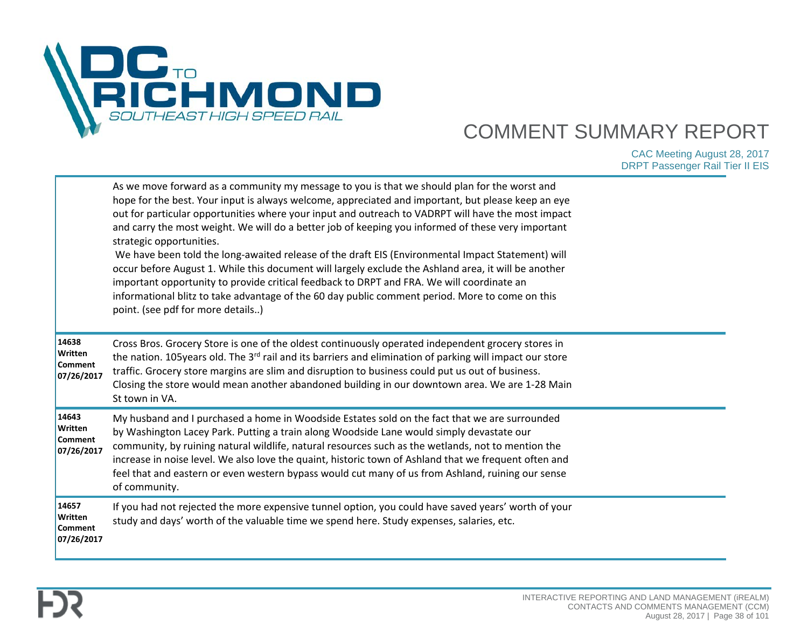

|                                                         | As we move forward as a community my message to you is that we should plan for the worst and<br>hope for the best. Your input is always welcome, appreciated and important, but please keep an eye<br>out for particular opportunities where your input and outreach to VADRPT will have the most impact<br>and carry the most weight. We will do a better job of keeping you informed of these very important<br>strategic opportunities.<br>We have been told the long-awaited release of the draft EIS (Environmental Impact Statement) will<br>occur before August 1. While this document will largely exclude the Ashland area, it will be another<br>important opportunity to provide critical feedback to DRPT and FRA. We will coordinate an<br>informational blitz to take advantage of the 60 day public comment period. More to come on this<br>point. (see pdf for more details) |  |
|---------------------------------------------------------|----------------------------------------------------------------------------------------------------------------------------------------------------------------------------------------------------------------------------------------------------------------------------------------------------------------------------------------------------------------------------------------------------------------------------------------------------------------------------------------------------------------------------------------------------------------------------------------------------------------------------------------------------------------------------------------------------------------------------------------------------------------------------------------------------------------------------------------------------------------------------------------------|--|
| 14638<br><b>Written</b><br><b>Comment</b><br>07/26/2017 | Cross Bros. Grocery Store is one of the oldest continuously operated independent grocery stores in<br>the nation. 105years old. The 3 <sup>rd</sup> rail and its barriers and elimination of parking will impact our store<br>traffic. Grocery store margins are slim and disruption to business could put us out of business.<br>Closing the store would mean another abandoned building in our downtown area. We are 1-28 Main<br>St town in VA.                                                                                                                                                                                                                                                                                                                                                                                                                                           |  |
| 14643<br>Written<br><b>Comment</b><br>07/26/2017        | My husband and I purchased a home in Woodside Estates sold on the fact that we are surrounded<br>by Washington Lacey Park. Putting a train along Woodside Lane would simply devastate our<br>community, by ruining natural wildlife, natural resources such as the wetlands, not to mention the<br>increase in noise level. We also love the quaint, historic town of Ashland that we frequent often and<br>feel that and eastern or even western bypass would cut many of us from Ashland, ruining our sense<br>of community.                                                                                                                                                                                                                                                                                                                                                               |  |
| 14657<br><b>Written</b><br><b>Comment</b><br>07/26/2017 | If you had not rejected the more expensive tunnel option, you could have saved years' worth of your<br>study and days' worth of the valuable time we spend here. Study expenses, salaries, etc.                                                                                                                                                                                                                                                                                                                                                                                                                                                                                                                                                                                                                                                                                              |  |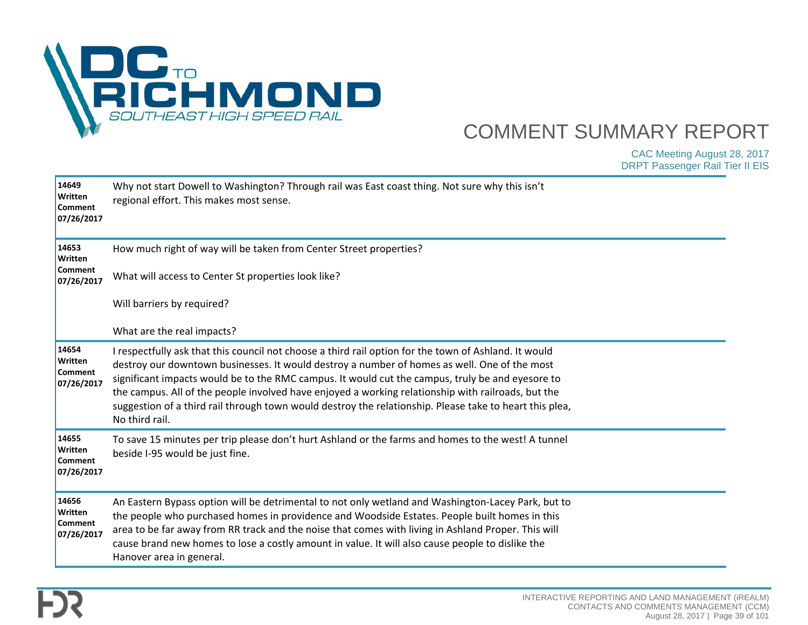

| 14649<br>Written<br><b>Comment</b><br>07/26/2017 | Why not start Dowell to Washington? Through rail was East coast thing. Not sure why this isn't<br>regional effort. This makes most sense.                                                                                                                                                                                                                                                                                                                                                                                                    |  |
|--------------------------------------------------|----------------------------------------------------------------------------------------------------------------------------------------------------------------------------------------------------------------------------------------------------------------------------------------------------------------------------------------------------------------------------------------------------------------------------------------------------------------------------------------------------------------------------------------------|--|
| 14653<br>Written<br><b>Comment</b><br>07/26/2017 | How much right of way will be taken from Center Street properties?<br>What will access to Center St properties look like?<br>Will barriers by required?                                                                                                                                                                                                                                                                                                                                                                                      |  |
|                                                  | What are the real impacts?                                                                                                                                                                                                                                                                                                                                                                                                                                                                                                                   |  |
| 14654<br>Written<br><b>Comment</b><br>07/26/2017 | I respectfully ask that this council not choose a third rail option for the town of Ashland. It would<br>destroy our downtown businesses. It would destroy a number of homes as well. One of the most<br>significant impacts would be to the RMC campus. It would cut the campus, truly be and eyesore to<br>the campus. All of the people involved have enjoyed a working relationship with railroads, but the<br>suggestion of a third rail through town would destroy the relationship. Please take to heart this plea,<br>No third rail. |  |
| 14655<br>Written<br><b>Comment</b><br>07/26/2017 | To save 15 minutes per trip please don't hurt Ashland or the farms and homes to the west! A tunnel<br>beside I-95 would be just fine.                                                                                                                                                                                                                                                                                                                                                                                                        |  |
| 14656<br>Written<br><b>Comment</b><br>07/26/2017 | An Eastern Bypass option will be detrimental to not only wetland and Washington-Lacey Park, but to<br>the people who purchased homes in providence and Woodside Estates. People built homes in this<br>area to be far away from RR track and the noise that comes with living in Ashland Proper. This will<br>cause brand new homes to lose a costly amount in value. It will also cause people to dislike the<br>Hanover area in general.                                                                                                   |  |

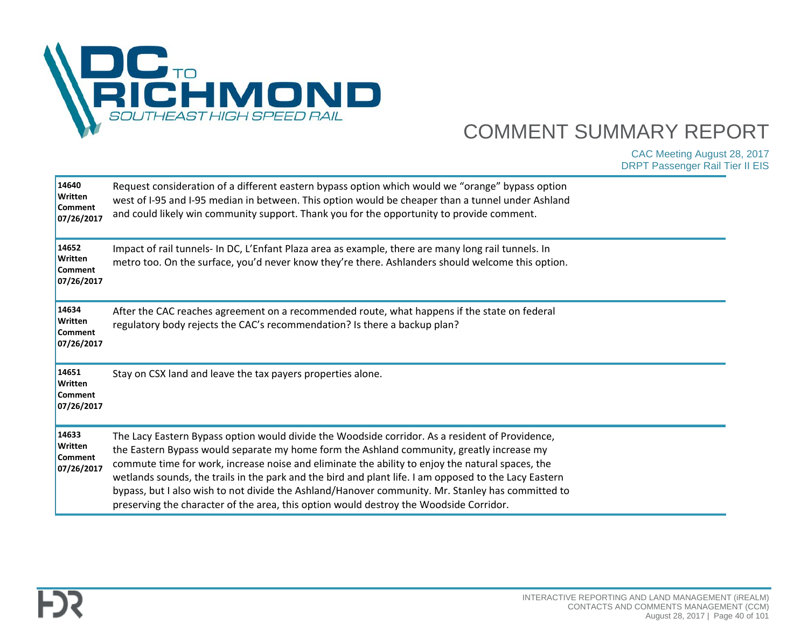

| 14640<br>Written<br><b>Comment</b><br>07/26/2017 | Request consideration of a different eastern bypass option which would we "orange" bypass option<br>west of I-95 and I-95 median in between. This option would be cheaper than a tunnel under Ashland<br>and could likely win community support. Thank you for the opportunity to provide comment.                                                                                                                                                                                                                                                                                                       |  |
|--------------------------------------------------|----------------------------------------------------------------------------------------------------------------------------------------------------------------------------------------------------------------------------------------------------------------------------------------------------------------------------------------------------------------------------------------------------------------------------------------------------------------------------------------------------------------------------------------------------------------------------------------------------------|--|
| 14652<br>Written<br><b>Comment</b><br>07/26/2017 | Impact of rail tunnels- In DC, L'Enfant Plaza area as example, there are many long rail tunnels. In<br>metro too. On the surface, you'd never know they're there. Ashlanders should welcome this option.                                                                                                                                                                                                                                                                                                                                                                                                 |  |
| 14634<br>Written<br><b>Comment</b><br>07/26/2017 | After the CAC reaches agreement on a recommended route, what happens if the state on federal<br>regulatory body rejects the CAC's recommendation? Is there a backup plan?                                                                                                                                                                                                                                                                                                                                                                                                                                |  |
| 14651<br>Written<br><b>Comment</b><br>07/26/2017 | Stay on CSX land and leave the tax payers properties alone.                                                                                                                                                                                                                                                                                                                                                                                                                                                                                                                                              |  |
| 14633<br>Written<br><b>Comment</b><br>07/26/2017 | The Lacy Eastern Bypass option would divide the Woodside corridor. As a resident of Providence,<br>the Eastern Bypass would separate my home form the Ashland community, greatly increase my<br>commute time for work, increase noise and eliminate the ability to enjoy the natural spaces, the<br>wetlands sounds, the trails in the park and the bird and plant life. I am opposed to the Lacy Eastern<br>bypass, but I also wish to not divide the Ashland/Hanover community. Mr. Stanley has committed to<br>preserving the character of the area, this option would destroy the Woodside Corridor. |  |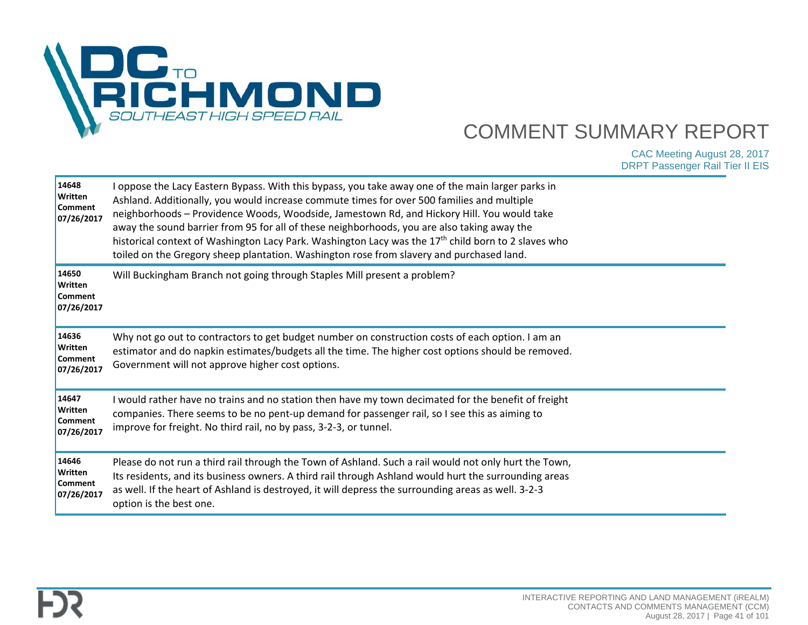

| 14648<br>Written<br><b>Comment</b><br>07/26/2017 | I oppose the Lacy Eastern Bypass. With this bypass, you take away one of the main larger parks in<br>Ashland. Additionally, you would increase commute times for over 500 families and multiple<br>neighborhoods - Providence Woods, Woodside, Jamestown Rd, and Hickory Hill. You would take<br>away the sound barrier from 95 for all of these neighborhoods, you are also taking away the<br>historical context of Washington Lacy Park. Washington Lacy was the 17 <sup>th</sup> child born to 2 slaves who<br>toiled on the Gregory sheep plantation. Washington rose from slavery and purchased land. |  |
|--------------------------------------------------|-------------------------------------------------------------------------------------------------------------------------------------------------------------------------------------------------------------------------------------------------------------------------------------------------------------------------------------------------------------------------------------------------------------------------------------------------------------------------------------------------------------------------------------------------------------------------------------------------------------|--|
| 14650<br>Written<br><b>Comment</b><br>07/26/2017 | Will Buckingham Branch not going through Staples Mill present a problem?                                                                                                                                                                                                                                                                                                                                                                                                                                                                                                                                    |  |
| 14636<br>Written<br><b>Comment</b><br>07/26/2017 | Why not go out to contractors to get budget number on construction costs of each option. I am an<br>estimator and do napkin estimates/budgets all the time. The higher cost options should be removed.<br>Government will not approve higher cost options.                                                                                                                                                                                                                                                                                                                                                  |  |
| 14647<br>Written<br><b>Comment</b><br>07/26/2017 | I would rather have no trains and no station then have my town decimated for the benefit of freight<br>companies. There seems to be no pent-up demand for passenger rail, so I see this as aiming to<br>improve for freight. No third rail, no by pass, 3-2-3, or tunnel.                                                                                                                                                                                                                                                                                                                                   |  |
| 14646<br>Written<br>Comment<br>07/26/2017        | Please do not run a third rail through the Town of Ashland. Such a rail would not only hurt the Town,<br>Its residents, and its business owners. A third rail through Ashland would hurt the surrounding areas<br>as well. If the heart of Ashland is destroyed, it will depress the surrounding areas as well. 3-2-3<br>option is the best one.                                                                                                                                                                                                                                                            |  |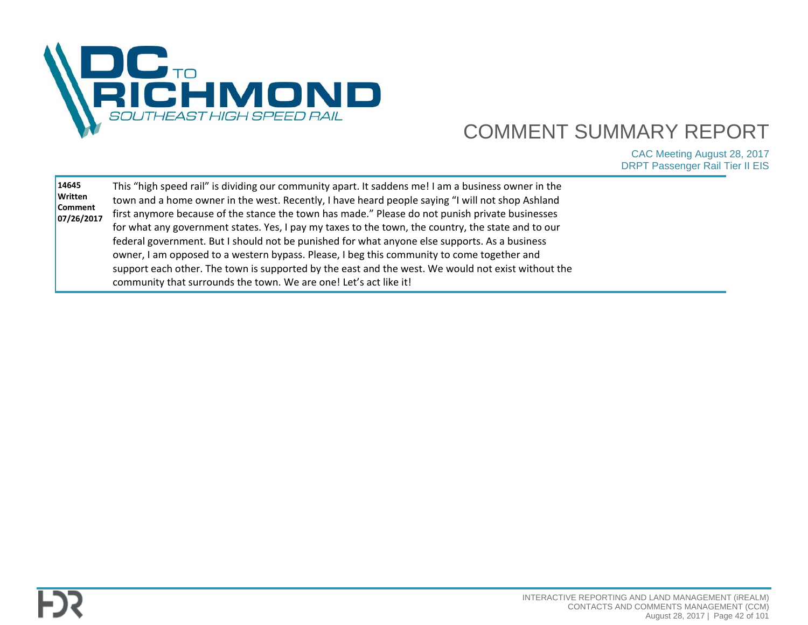

| federal government. But I should not be punished for what anyone else supports. As a business<br>owner, I am opposed to a western bypass. Please, I beg this community to come together and<br>support each other. The town is supported by the east and the west. We would not exist without the<br>community that surrounds the town. We are one! Let's act like it! |
|------------------------------------------------------------------------------------------------------------------------------------------------------------------------------------------------------------------------------------------------------------------------------------------------------------------------------------------------------------------------|
|------------------------------------------------------------------------------------------------------------------------------------------------------------------------------------------------------------------------------------------------------------------------------------------------------------------------------------------------------------------------|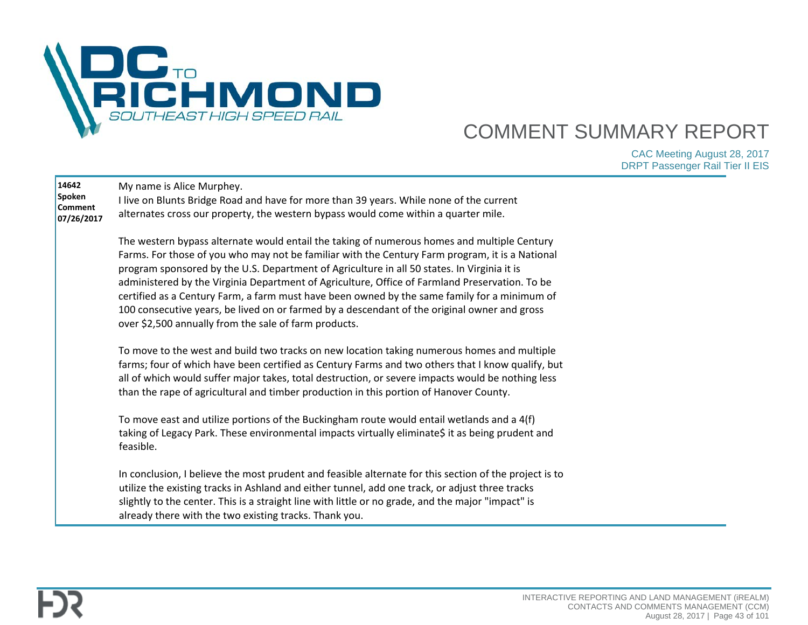

| 14642<br>Spoken<br><b>Comment</b><br>07/26/2017 | My name is Alice Murphey.<br>I live on Blunts Bridge Road and have for more than 39 years. While none of the current<br>alternates cross our property, the western bypass would come within a quarter mile.                                                                                                                                                                                                                                                                                                                                                                                                                                              |  |
|-------------------------------------------------|----------------------------------------------------------------------------------------------------------------------------------------------------------------------------------------------------------------------------------------------------------------------------------------------------------------------------------------------------------------------------------------------------------------------------------------------------------------------------------------------------------------------------------------------------------------------------------------------------------------------------------------------------------|--|
|                                                 | The western bypass alternate would entail the taking of numerous homes and multiple Century<br>Farms. For those of you who may not be familiar with the Century Farm program, it is a National<br>program sponsored by the U.S. Department of Agriculture in all 50 states. In Virginia it is<br>administered by the Virginia Department of Agriculture, Office of Farmland Preservation. To be<br>certified as a Century Farm, a farm must have been owned by the same family for a minimum of<br>100 consecutive years, be lived on or farmed by a descendant of the original owner and gross<br>over \$2,500 annually from the sale of farm products. |  |
|                                                 | To move to the west and build two tracks on new location taking numerous homes and multiple<br>farms; four of which have been certified as Century Farms and two others that I know qualify, but<br>all of which would suffer major takes, total destruction, or severe impacts would be nothing less<br>than the rape of agricultural and timber production in this portion of Hanover County.                                                                                                                                                                                                                                                          |  |
|                                                 | To move east and utilize portions of the Buckingham route would entail wetlands and a 4(f)<br>taking of Legacy Park. These environmental impacts virtually eliminate\$ it as being prudent and<br>feasible.                                                                                                                                                                                                                                                                                                                                                                                                                                              |  |
|                                                 | In conclusion, I believe the most prudent and feasible alternate for this section of the project is to<br>utilize the existing tracks in Ashland and either tunnel, add one track, or adjust three tracks<br>slightly to the center. This is a straight line with little or no grade, and the major "impact" is<br>already there with the two existing tracks. Thank you.                                                                                                                                                                                                                                                                                |  |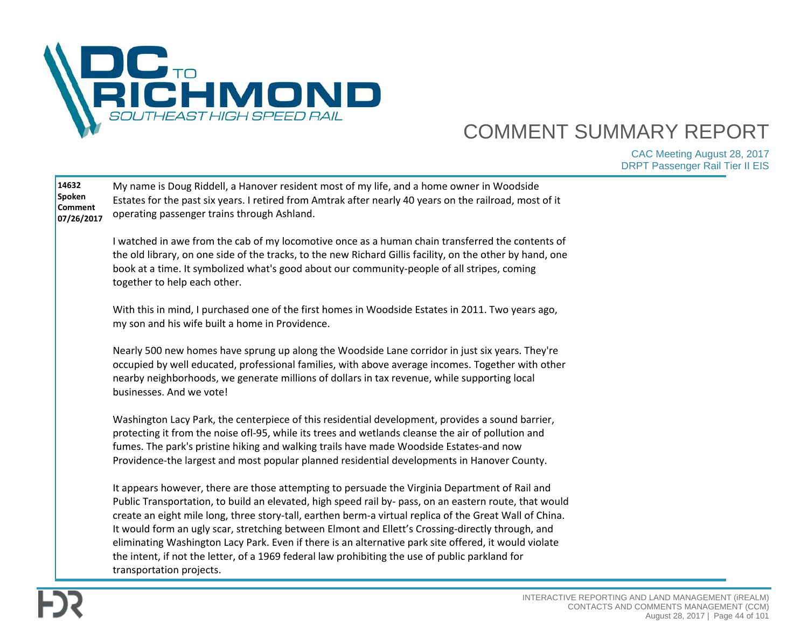

| 14632<br>Spoken<br>Comment<br>07/26/2017 | My name is Doug Riddell, a Hanover resident most of my life, and a home owner in Woodside<br>Estates for the past six years. I retired from Amtrak after nearly 40 years on the railroad, most of it<br>operating passenger trains through Ashland.                                                                                                                                                                                                                                                                                                                                                                                                              |  |
|------------------------------------------|------------------------------------------------------------------------------------------------------------------------------------------------------------------------------------------------------------------------------------------------------------------------------------------------------------------------------------------------------------------------------------------------------------------------------------------------------------------------------------------------------------------------------------------------------------------------------------------------------------------------------------------------------------------|--|
|                                          | I watched in awe from the cab of my locomotive once as a human chain transferred the contents of<br>the old library, on one side of the tracks, to the new Richard Gillis facility, on the other by hand, one<br>book at a time. It symbolized what's good about our community-people of all stripes, coming<br>together to help each other.                                                                                                                                                                                                                                                                                                                     |  |
|                                          | With this in mind, I purchased one of the first homes in Woodside Estates in 2011. Two years ago,<br>my son and his wife built a home in Providence.                                                                                                                                                                                                                                                                                                                                                                                                                                                                                                             |  |
|                                          | Nearly 500 new homes have sprung up along the Woodside Lane corridor in just six years. They're<br>occupied by well educated, professional families, with above average incomes. Together with other<br>nearby neighborhoods, we generate millions of dollars in tax revenue, while supporting local<br>businesses. And we vote!                                                                                                                                                                                                                                                                                                                                 |  |
|                                          | Washington Lacy Park, the centerpiece of this residential development, provides a sound barrier,<br>protecting it from the noise ofl-95, while its trees and wetlands cleanse the air of pollution and<br>fumes. The park's pristine hiking and walking trails have made Woodside Estates-and now<br>Providence-the largest and most popular planned residential developments in Hanover County.                                                                                                                                                                                                                                                                 |  |
|                                          | It appears however, there are those attempting to persuade the Virginia Department of Rail and<br>Public Transportation, to build an elevated, high speed rail by- pass, on an eastern route, that would<br>create an eight mile long, three story-tall, earthen berm-a virtual replica of the Great Wall of China.<br>It would form an ugly scar, stretching between Elmont and Ellett's Crossing-directly through, and<br>eliminating Washington Lacy Park. Even if there is an alternative park site offered, it would violate<br>the intent, if not the letter, of a 1969 federal law prohibiting the use of public parkland for<br>transportation projects. |  |

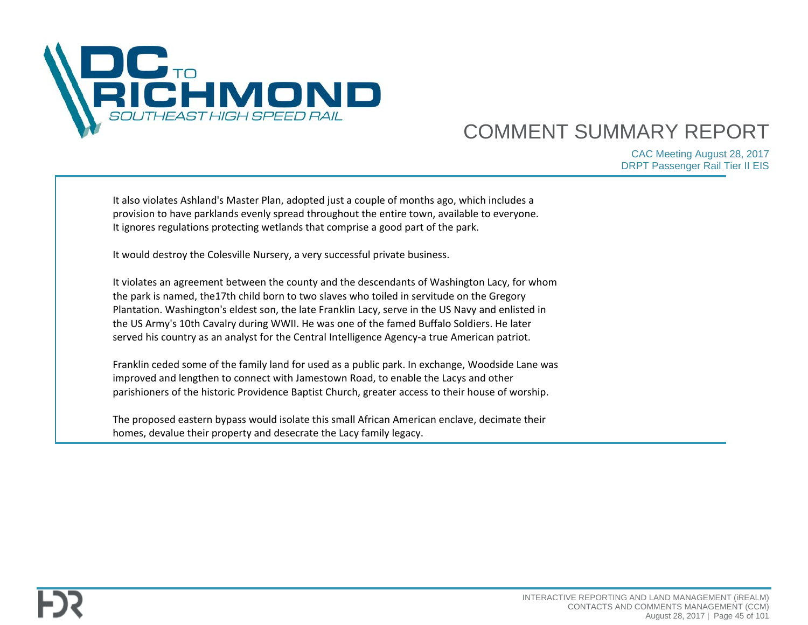

| It also violates Ashland's Master Plan, adopted just a couple of months ago, which includes a<br>provision to have parklands evenly spread throughout the entire town, available to everyone.<br>It ignores regulations protecting wetlands that comprise a good part of the park.                                                                                                                                                                                                             |  |
|------------------------------------------------------------------------------------------------------------------------------------------------------------------------------------------------------------------------------------------------------------------------------------------------------------------------------------------------------------------------------------------------------------------------------------------------------------------------------------------------|--|
| It would destroy the Colesville Nursery, a very successful private business.                                                                                                                                                                                                                                                                                                                                                                                                                   |  |
| It violates an agreement between the county and the descendants of Washington Lacy, for whom<br>the park is named, the17th child born to two slaves who toiled in servitude on the Gregory<br>Plantation. Washington's eldest son, the late Franklin Lacy, serve in the US Navy and enlisted in<br>the US Army's 10th Cavalry during WWII. He was one of the famed Buffalo Soldiers. He later<br>served his country as an analyst for the Central Intelligence Agency-a true American patriot. |  |
| Franklin ceded some of the family land for used as a public park. In exchange, Woodside Lane was<br>improved and lengthen to connect with Jamestown Road, to enable the Lacys and other<br>parishioners of the historic Providence Baptist Church, greater access to their house of worship.                                                                                                                                                                                                   |  |
| The proposed eastern bypass would isolate this small African American enclave, decimate their<br>homes, devalue their property and desecrate the Lacy family legacy.                                                                                                                                                                                                                                                                                                                           |  |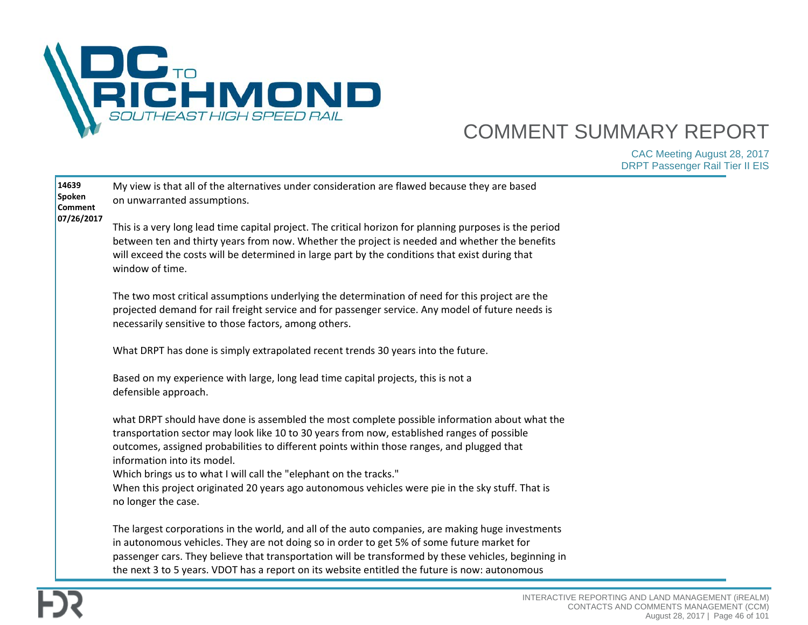

| 14639<br>Spoken<br>Comment | My view is that all of the alternatives under consideration are flawed because they are based<br>on unwarranted assumptions.                                                                                                                                                                                                                                                                              |  |
|----------------------------|-----------------------------------------------------------------------------------------------------------------------------------------------------------------------------------------------------------------------------------------------------------------------------------------------------------------------------------------------------------------------------------------------------------|--|
| 07/26/2017                 | This is a very long lead time capital project. The critical horizon for planning purposes is the period<br>between ten and thirty years from now. Whether the project is needed and whether the benefits<br>will exceed the costs will be determined in large part by the conditions that exist during that<br>window of time.                                                                            |  |
|                            | The two most critical assumptions underlying the determination of need for this project are the<br>projected demand for rail freight service and for passenger service. Any model of future needs is<br>necessarily sensitive to those factors, among others.                                                                                                                                             |  |
|                            | What DRPT has done is simply extrapolated recent trends 30 years into the future.                                                                                                                                                                                                                                                                                                                         |  |
|                            | Based on my experience with large, long lead time capital projects, this is not a<br>defensible approach.                                                                                                                                                                                                                                                                                                 |  |
|                            | what DRPT should have done is assembled the most complete possible information about what the<br>transportation sector may look like 10 to 30 years from now, established ranges of possible<br>outcomes, assigned probabilities to different points within those ranges, and plugged that<br>information into its model.                                                                                 |  |
|                            | Which brings us to what I will call the "elephant on the tracks."<br>When this project originated 20 years ago autonomous vehicles were pie in the sky stuff. That is<br>no longer the case.                                                                                                                                                                                                              |  |
|                            | The largest corporations in the world, and all of the auto companies, are making huge investments<br>in autonomous vehicles. They are not doing so in order to get 5% of some future market for<br>passenger cars. They believe that transportation will be transformed by these vehicles, beginning in<br>the next 3 to 5 years. VDOT has a report on its website entitled the future is now: autonomous |  |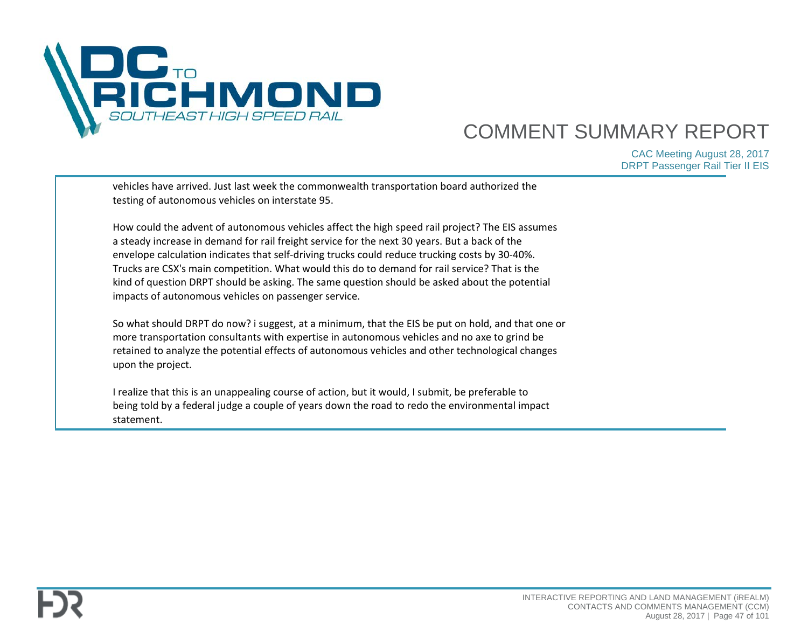

| vehicles have arrived. Just last week the commonwealth transportation board authorized the<br>testing of autonomous vehicles on interstate 95.                                                                                                                                                                                                                                                                                                                                                                                                               |  |
|--------------------------------------------------------------------------------------------------------------------------------------------------------------------------------------------------------------------------------------------------------------------------------------------------------------------------------------------------------------------------------------------------------------------------------------------------------------------------------------------------------------------------------------------------------------|--|
| How could the advent of autonomous vehicles affect the high speed rail project? The EIS assumes<br>a steady increase in demand for rail freight service for the next 30 years. But a back of the<br>envelope calculation indicates that self-driving trucks could reduce trucking costs by 30-40%.<br>Trucks are CSX's main competition. What would this do to demand for rail service? That is the<br>kind of question DRPT should be asking. The same question should be asked about the potential<br>impacts of autonomous vehicles on passenger service. |  |
| So what should DRPT do now? i suggest, at a minimum, that the EIS be put on hold, and that one or<br>more transportation consultants with expertise in autonomous vehicles and no axe to grind be<br>retained to analyze the potential effects of autonomous vehicles and other technological changes<br>upon the project.                                                                                                                                                                                                                                   |  |
| I realize that this is an unappealing course of action, but it would, I submit, be preferable to<br>being told by a federal judge a couple of years down the road to redo the environmental impact<br>statement.                                                                                                                                                                                                                                                                                                                                             |  |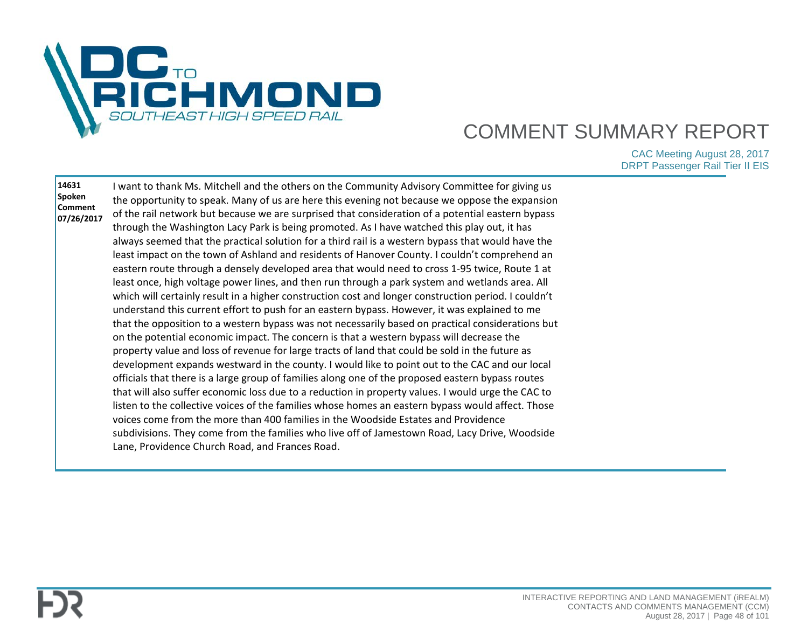

| 14631<br>Spoken<br>Comment<br>07/26/2017 | want to thank Ms. Mitchell and the others on the Community Advisory Committee for giving us<br>the opportunity to speak. Many of us are here this evening not because we oppose the expansion<br>of the rail network but because we are surprised that consideration of a potential eastern bypass<br>through the Washington Lacy Park is being promoted. As I have watched this play out, it has<br>always seemed that the practical solution for a third rail is a western bypass that would have the<br>least impact on the town of Ashland and residents of Hanover County. I couldn't comprehend an<br>eastern route through a densely developed area that would need to cross 1-95 twice, Route 1 at<br>least once, high voltage power lines, and then run through a park system and wetlands area. All<br>which will certainly result in a higher construction cost and longer construction period. I couldn't<br>understand this current effort to push for an eastern bypass. However, it was explained to me<br>that the opposition to a western bypass was not necessarily based on practical considerations but<br>on the potential economic impact. The concern is that a western bypass will decrease the<br>property value and loss of revenue for large tracts of land that could be sold in the future as<br>development expands westward in the county. I would like to point out to the CAC and our local<br>officials that there is a large group of families along one of the proposed eastern bypass routes<br>that will also suffer economic loss due to a reduction in property values. I would urge the CAC to<br>listen to the collective voices of the families whose homes an eastern bypass would affect. Those<br>voices come from the more than 400 families in the Woodside Estates and Providence<br>subdivisions. They come from the families who live off of Jamestown Road, Lacy Drive, Woodside<br>Lane, Providence Church Road, and Frances Road. |  |
|------------------------------------------|-----------------------------------------------------------------------------------------------------------------------------------------------------------------------------------------------------------------------------------------------------------------------------------------------------------------------------------------------------------------------------------------------------------------------------------------------------------------------------------------------------------------------------------------------------------------------------------------------------------------------------------------------------------------------------------------------------------------------------------------------------------------------------------------------------------------------------------------------------------------------------------------------------------------------------------------------------------------------------------------------------------------------------------------------------------------------------------------------------------------------------------------------------------------------------------------------------------------------------------------------------------------------------------------------------------------------------------------------------------------------------------------------------------------------------------------------------------------------------------------------------------------------------------------------------------------------------------------------------------------------------------------------------------------------------------------------------------------------------------------------------------------------------------------------------------------------------------------------------------------------------------------------------------------------------------------------------------------------------------------|--|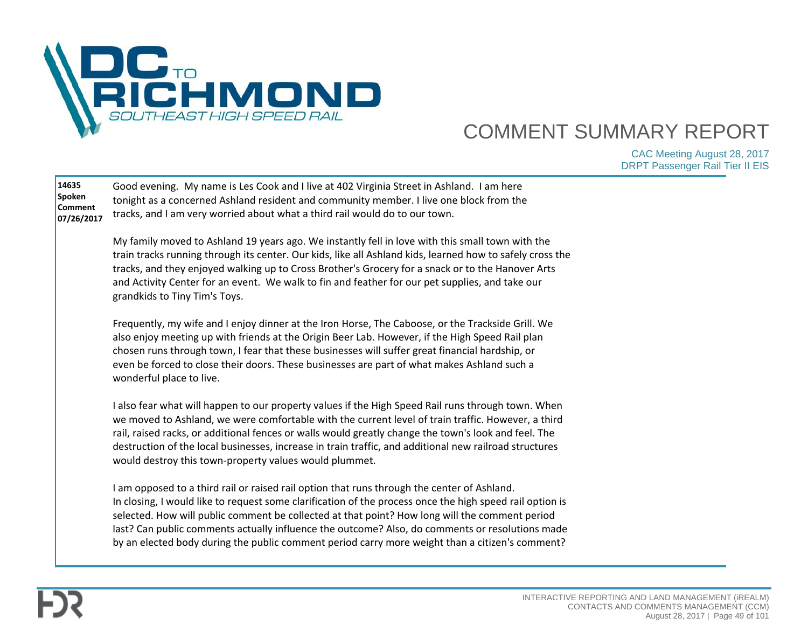

| 14635<br>Spoken<br><b>Comment</b><br>07/26/2017 | Good evening. My name is Les Cook and I live at 402 Virginia Street in Ashland. I am here<br>tonight as a concerned Ashland resident and community member. I live one block from the<br>tracks, and I am very worried about what a third rail would do to our town.                                                                                                                                                                                                                                             |  |
|-------------------------------------------------|-----------------------------------------------------------------------------------------------------------------------------------------------------------------------------------------------------------------------------------------------------------------------------------------------------------------------------------------------------------------------------------------------------------------------------------------------------------------------------------------------------------------|--|
|                                                 | My family moved to Ashland 19 years ago. We instantly fell in love with this small town with the<br>train tracks running through its center. Our kids, like all Ashland kids, learned how to safely cross the<br>tracks, and they enjoyed walking up to Cross Brother's Grocery for a snack or to the Hanover Arts<br>and Activity Center for an event. We walk to fin and feather for our pet supplies, and take our<br>grandkids to Tiny Tim's Toys.                                                          |  |
|                                                 | Frequently, my wife and I enjoy dinner at the Iron Horse, The Caboose, or the Trackside Grill. We<br>also enjoy meeting up with friends at the Origin Beer Lab. However, if the High Speed Rail plan<br>chosen runs through town, I fear that these businesses will suffer great financial hardship, or<br>even be forced to close their doors. These businesses are part of what makes Ashland such a<br>wonderful place to live.                                                                              |  |
|                                                 | I also fear what will happen to our property values if the High Speed Rail runs through town. When<br>we moved to Ashland, we were comfortable with the current level of train traffic. However, a third<br>rail, raised racks, or additional fences or walls would greatly change the town's look and feel. The<br>destruction of the local businesses, increase in train traffic, and additional new railroad structures<br>would destroy this town-property values would plummet.                            |  |
|                                                 | I am opposed to a third rail or raised rail option that runs through the center of Ashland.<br>In closing, I would like to request some clarification of the process once the high speed rail option is<br>selected. How will public comment be collected at that point? How long will the comment period<br>last? Can public comments actually influence the outcome? Also, do comments or resolutions made<br>by an elected body during the public comment period carry more weight than a citizen's comment? |  |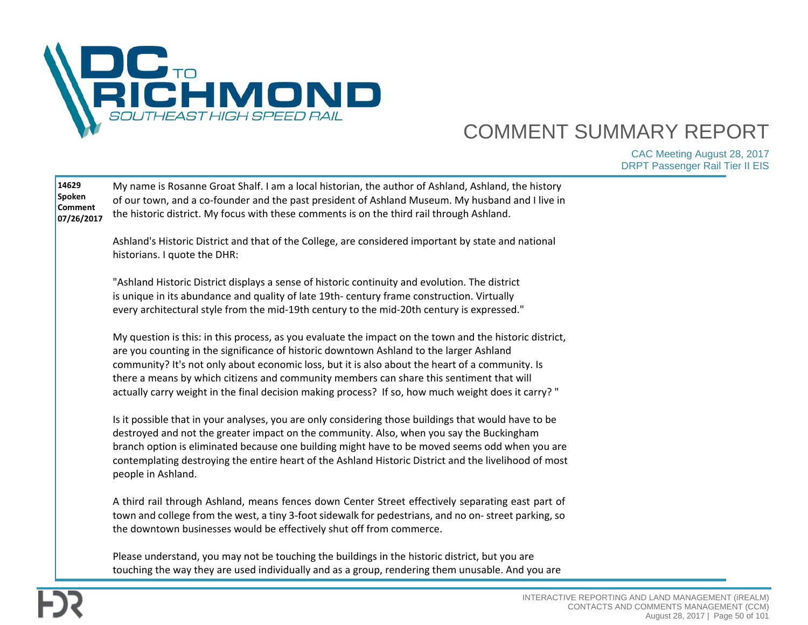

| 14629<br>Spoken<br><b>Comment</b><br>07/26/2017 | My name is Rosanne Groat Shalf. I am a local historian, the author of Ashland, Ashland, the history<br>of our town, and a co-founder and the past president of Ashland Museum. My husband and I live in<br>the historic district. My focus with these comments is on the third rail through Ashland.                                                                                                                                                                                                     |  |
|-------------------------------------------------|----------------------------------------------------------------------------------------------------------------------------------------------------------------------------------------------------------------------------------------------------------------------------------------------------------------------------------------------------------------------------------------------------------------------------------------------------------------------------------------------------------|--|
|                                                 | Ashland's Historic District and that of the College, are considered important by state and national<br>historians. I quote the DHR:                                                                                                                                                                                                                                                                                                                                                                      |  |
|                                                 | "Ashland Historic District displays a sense of historic continuity and evolution. The district<br>is unique in its abundance and quality of late 19th-century frame construction. Virtually<br>every architectural style from the mid-19th century to the mid-20th century is expressed."                                                                                                                                                                                                                |  |
|                                                 | My question is this: in this process, as you evaluate the impact on the town and the historic district,<br>are you counting in the significance of historic downtown Ashland to the larger Ashland<br>community? It's not only about economic loss, but it is also about the heart of a community. Is<br>there a means by which citizens and community members can share this sentiment that will<br>" (actually carry weight in the final decision making process? If so, how much weight does it carry |  |
|                                                 | Is it possible that in your analyses, you are only considering those buildings that would have to be<br>destroyed and not the greater impact on the community. Also, when you say the Buckingham<br>branch option is eliminated because one building might have to be moved seems odd when you are<br>contemplating destroying the entire heart of the Ashland Historic District and the livelihood of most<br>people in Ashland.                                                                        |  |
|                                                 | A third rail through Ashland, means fences down Center Street effectively separating east part of<br>town and college from the west, a tiny 3-foot sidewalk for pedestrians, and no on- street parking, so<br>the downtown businesses would be effectively shut off from commerce.                                                                                                                                                                                                                       |  |
|                                                 | Please understand, you may not be touching the buildings in the historic district, but you are<br>touching the way they are used individually and as a group, rendering them unusable. And you are                                                                                                                                                                                                                                                                                                       |  |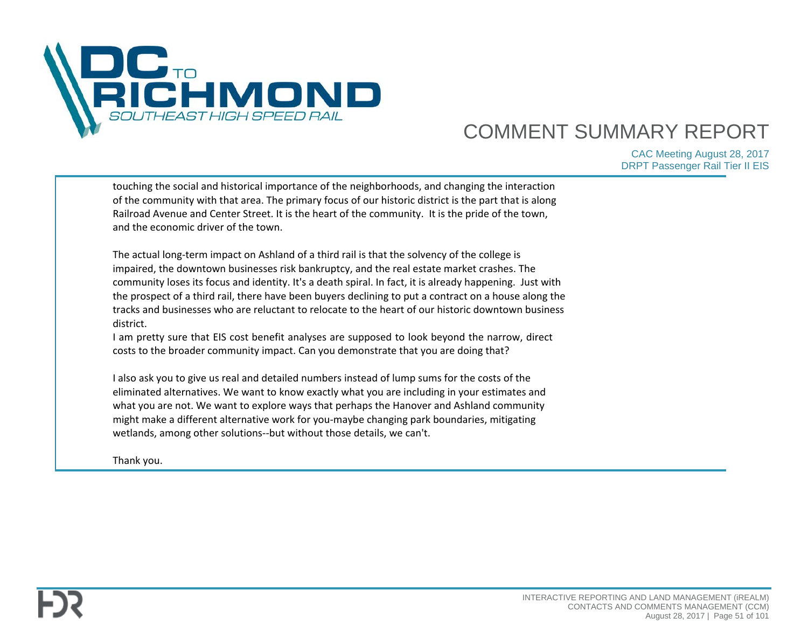

| touching the social and historical importance of the neighborhoods, and changing the interaction<br>of the community with that area. The primary focus of our historic district is the part that is along<br>Railroad Avenue and Center Street. It is the heart of the community. It is the pride of the town,<br>and the economic driver of the town.                                                                                                                                                                              |  |
|-------------------------------------------------------------------------------------------------------------------------------------------------------------------------------------------------------------------------------------------------------------------------------------------------------------------------------------------------------------------------------------------------------------------------------------------------------------------------------------------------------------------------------------|--|
| The actual long-term impact on Ashland of a third rail is that the solvency of the college is<br>impaired, the downtown businesses risk bankruptcy, and the real estate market crashes. The<br>community loses its focus and identity. It's a death spiral. In fact, it is already happening. Just with<br>the prospect of a third rail, there have been buyers declining to put a contract on a house along the<br>tracks and businesses who are reluctant to relocate to the heart of our historic downtown business<br>district. |  |
| I am pretty sure that EIS cost benefit analyses are supposed to look beyond the narrow, direct<br>costs to the broader community impact. Can you demonstrate that you are doing that?                                                                                                                                                                                                                                                                                                                                               |  |
| I also ask you to give us real and detailed numbers instead of lump sums for the costs of the<br>eliminated alternatives. We want to know exactly what you are including in your estimates and<br>what you are not. We want to explore ways that perhaps the Hanover and Ashland community<br>might make a different alternative work for you-maybe changing park boundaries, mitigating<br>wetlands, among other solutions--but without those details, we can't.                                                                   |  |
| Thank you.                                                                                                                                                                                                                                                                                                                                                                                                                                                                                                                          |  |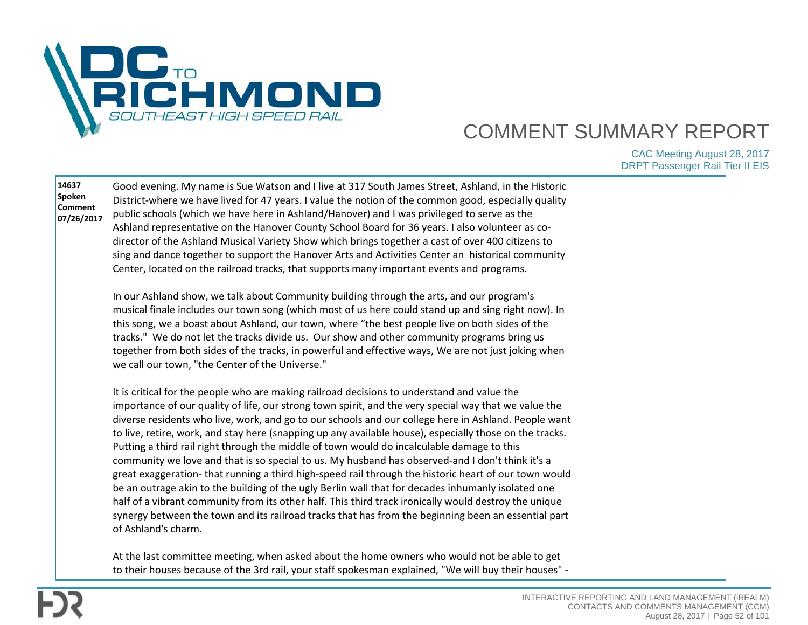

| 14637<br>Spoken<br><b>Comment</b><br>07/26/2017 | Good evening. My name is Sue Watson and I live at 317 South James Street, Ashland, in the Historic<br>District-where we have lived for 47 years. I value the notion of the common good, especially quality<br>public schools (which we have here in Ashland/Hanover) and I was privileged to serve as the<br>Ashland representative on the Hanover County School Board for 36 years. I also volunteer as co-<br>director of the Ashland Musical Variety Show which brings together a cast of over 400 citizens to<br>sing and dance together to support the Hanover Arts and Activities Center an historical community<br>Center, located on the railroad tracks, that supports many important events and programs.                                                                                                                                                                                                                                                                                                                                                            |  |
|-------------------------------------------------|--------------------------------------------------------------------------------------------------------------------------------------------------------------------------------------------------------------------------------------------------------------------------------------------------------------------------------------------------------------------------------------------------------------------------------------------------------------------------------------------------------------------------------------------------------------------------------------------------------------------------------------------------------------------------------------------------------------------------------------------------------------------------------------------------------------------------------------------------------------------------------------------------------------------------------------------------------------------------------------------------------------------------------------------------------------------------------|--|
|                                                 | In our Ashland show, we talk about Community building through the arts, and our program's<br>musical finale includes our town song (which most of us here could stand up and sing right now). In<br>this song, we a boast about Ashland, our town, where "the best people live on both sides of the<br>tracks." We do not let the tracks divide us. Our show and other community programs bring us<br>together from both sides of the tracks, in powerful and effective ways, We are not just joking when<br>we call our town, "the Center of the Universe."                                                                                                                                                                                                                                                                                                                                                                                                                                                                                                                   |  |
|                                                 | It is critical for the people who are making railroad decisions to understand and value the<br>importance of our quality of life, our strong town spirit, and the very special way that we value the<br>diverse residents who live, work, and go to our schools and our college here in Ashland. People want<br>to live, retire, work, and stay here (snapping up any available house), especially those on the tracks.<br>Putting a third rail right through the middle of town would do incalculable damage to this<br>community we love and that is so special to us. My husband has observed-and I don't think it's a<br>great exaggeration-that running a third high-speed rail through the historic heart of our town would<br>be an outrage akin to the building of the ugly Berlin wall that for decades inhumanly isolated one<br>half of a vibrant community from its other half. This third track ironically would destroy the unique<br>synergy between the town and its railroad tracks that has from the beginning been an essential part<br>of Ashland's charm. |  |
|                                                 | At the last committee meeting, when asked about the home owners who would not be able to get<br>to their houses because of the 3rd rail, your staff spokesman explained, "We will buy their houses" -                                                                                                                                                                                                                                                                                                                                                                                                                                                                                                                                                                                                                                                                                                                                                                                                                                                                          |  |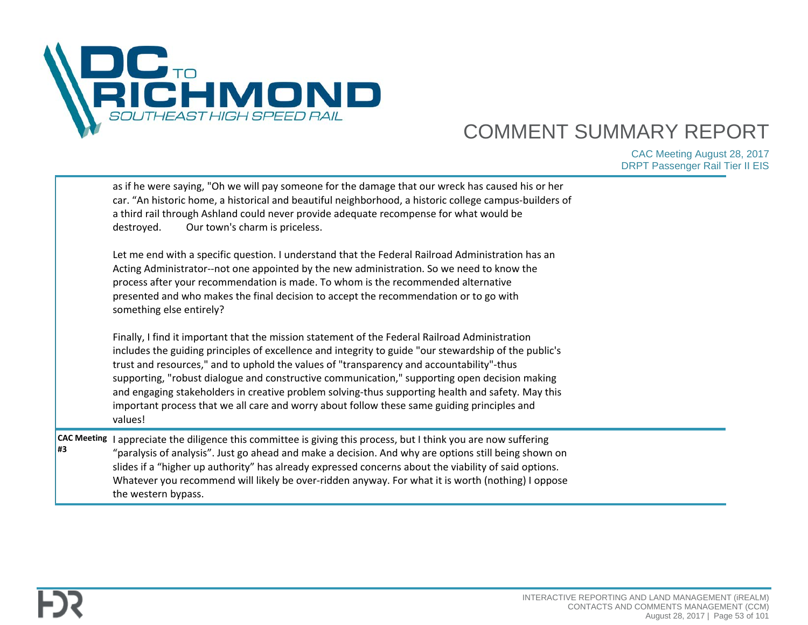

|                          | as if he were saying, "Oh we will pay someone for the damage that our wreck has caused his or her<br>car. "An historic home, a historical and beautiful neighborhood, a historic college campus-builders of<br>a third rail through Ashland could never provide adequate recompense for what would be<br>Our town's charm is priceless.<br>destroyed.<br>Let me end with a specific question. I understand that the Federal Railroad Administration has an<br>Acting Administrator--not one appointed by the new administration. So we need to know the<br>process after your recommendation is made. To whom is the recommended alternative<br>presented and who makes the final decision to accept the recommendation or to go with<br>something else entirely?<br>Finally, I find it important that the mission statement of the Federal Railroad Administration<br>includes the guiding principles of excellence and integrity to guide "our stewardship of the public's<br>trust and resources," and to uphold the values of "transparency and accountability"-thus<br>supporting, "robust dialogue and constructive communication," supporting open decision making<br>and engaging stakeholders in creative problem solving-thus supporting health and safety. May this<br>important process that we all care and worry about follow these same guiding principles and<br>values! |  |
|--------------------------|------------------------------------------------------------------------------------------------------------------------------------------------------------------------------------------------------------------------------------------------------------------------------------------------------------------------------------------------------------------------------------------------------------------------------------------------------------------------------------------------------------------------------------------------------------------------------------------------------------------------------------------------------------------------------------------------------------------------------------------------------------------------------------------------------------------------------------------------------------------------------------------------------------------------------------------------------------------------------------------------------------------------------------------------------------------------------------------------------------------------------------------------------------------------------------------------------------------------------------------------------------------------------------------------------------------------------------------------------------------------------------------|--|
| <b>CAC Meeting</b><br>#3 | I appreciate the diligence this committee is giving this process, but I think you are now suffering<br>"paralysis of analysis". Just go ahead and make a decision. And why are options still being shown on<br>slides if a "higher up authority" has already expressed concerns about the viability of said options.<br>Whatever you recommend will likely be over-ridden anyway. For what it is worth (nothing) I oppose<br>the western bypass.                                                                                                                                                                                                                                                                                                                                                                                                                                                                                                                                                                                                                                                                                                                                                                                                                                                                                                                                         |  |

**#3**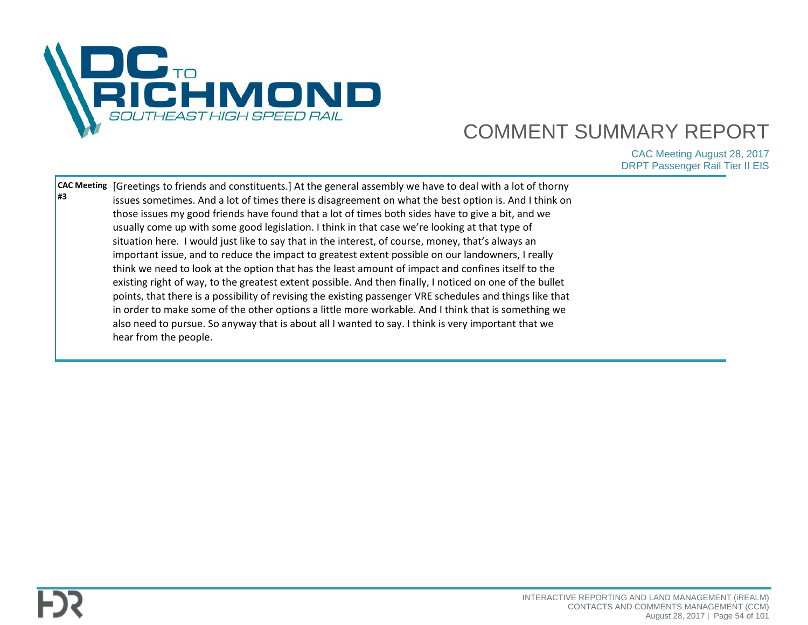

| #3 | <b>CAC Meeting</b> Greetings to friends and constituents.] At the general assembly we have to deal with a lot of thorny<br>issues sometimes. And a lot of times there is disagreement on what the best option is. And I think on<br>those issues my good friends have found that a lot of times both sides have to give a bit, and we<br>usually come up with some good legislation. I think in that case we're looking at that type of<br>situation here. I would just like to say that in the interest, of course, money, that's always an<br>important issue, and to reduce the impact to greatest extent possible on our landowners, I really<br>think we need to look at the option that has the least amount of impact and confines itself to the<br>existing right of way, to the greatest extent possible. And then finally, I noticed on one of the bullet<br>points, that there is a possibility of revising the existing passenger VRE schedules and things like that<br>in order to make some of the other options a little more workable. And I think that is something we<br>also need to pursue. So anyway that is about all I wanted to say. I think is very important that we |  |
|----|------------------------------------------------------------------------------------------------------------------------------------------------------------------------------------------------------------------------------------------------------------------------------------------------------------------------------------------------------------------------------------------------------------------------------------------------------------------------------------------------------------------------------------------------------------------------------------------------------------------------------------------------------------------------------------------------------------------------------------------------------------------------------------------------------------------------------------------------------------------------------------------------------------------------------------------------------------------------------------------------------------------------------------------------------------------------------------------------------------------------------------------------------------------------------------------------|--|
|    | hear from the people.                                                                                                                                                                                                                                                                                                                                                                                                                                                                                                                                                                                                                                                                                                                                                                                                                                                                                                                                                                                                                                                                                                                                                                          |  |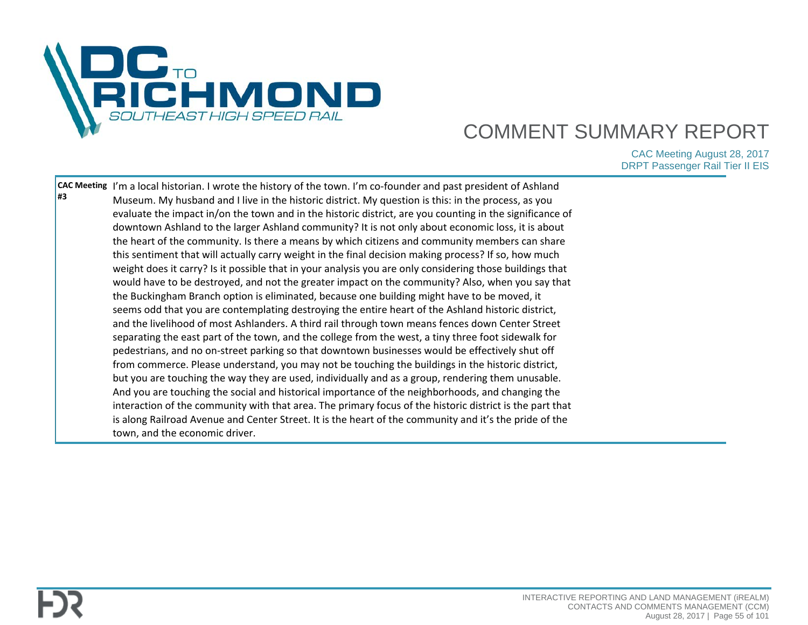

| <b>H3</b> | CAC Meeting  I'm a local historian. I wrote the history of the town. I'm co-founder and past president of Ashland<br>Museum. My husband and I live in the historic district. My question is this: in the process, as you<br>evaluate the impact in/on the town and in the historic district, are you counting in the significance of<br>downtown Ashland to the larger Ashland community? It is not only about economic loss, it is about<br>the heart of the community. Is there a means by which citizens and community members can share<br>this sentiment that will actually carry weight in the final decision making process? If so, how much<br>weight does it carry? Is it possible that in your analysis you are only considering those buildings that<br>would have to be destroyed, and not the greater impact on the community? Also, when you say that<br>the Buckingham Branch option is eliminated, because one building might have to be moved, it<br>seems odd that you are contemplating destroying the entire heart of the Ashland historic district,<br>and the livelihood of most Ashlanders. A third rail through town means fences down Center Street<br>separating the east part of the town, and the college from the west, a tiny three foot sidewalk for<br>pedestrians, and no on-street parking so that downtown businesses would be effectively shut off<br>from commerce. Please understand, you may not be touching the buildings in the historic district,<br>but you are touching the way they are used, individually and as a group, rendering them unusable.<br>And you are touching the social and historical importance of the neighborhoods, and changing the<br>interaction of the community with that area. The primary focus of the historic district is the part that<br>is along Railroad Avenue and Center Street. It is the heart of the community and it's the pride of the |  |
|-----------|----------------------------------------------------------------------------------------------------------------------------------------------------------------------------------------------------------------------------------------------------------------------------------------------------------------------------------------------------------------------------------------------------------------------------------------------------------------------------------------------------------------------------------------------------------------------------------------------------------------------------------------------------------------------------------------------------------------------------------------------------------------------------------------------------------------------------------------------------------------------------------------------------------------------------------------------------------------------------------------------------------------------------------------------------------------------------------------------------------------------------------------------------------------------------------------------------------------------------------------------------------------------------------------------------------------------------------------------------------------------------------------------------------------------------------------------------------------------------------------------------------------------------------------------------------------------------------------------------------------------------------------------------------------------------------------------------------------------------------------------------------------------------------------------------------------------------------------------------------------------------------------------------------------------------|--|
|           | town, and the economic driver.                                                                                                                                                                                                                                                                                                                                                                                                                                                                                                                                                                                                                                                                                                                                                                                                                                                                                                                                                                                                                                                                                                                                                                                                                                                                                                                                                                                                                                                                                                                                                                                                                                                                                                                                                                                                                                                                                             |  |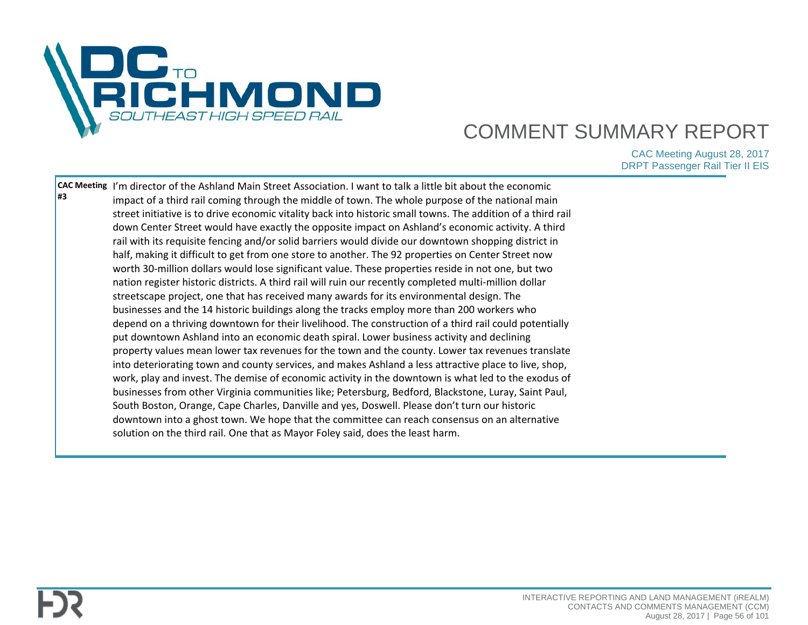

| l#3 | CAC Meeting I'm director of the Ashland Main Street Association. I want to talk a little bit about the economic<br>impact of a third rail coming through the middle of town. The whole purpose of the national main<br>street initiative is to drive economic vitality back into historic small towns. The addition of a third rail<br>down Center Street would have exactly the opposite impact on Ashland's economic activity. A third<br>rail with its requisite fencing and/or solid barriers would divide our downtown shopping district in<br>half, making it difficult to get from one store to another. The 92 properties on Center Street now<br>worth 30-million dollars would lose significant value. These properties reside in not one, but two<br>nation register historic districts. A third rail will ruin our recently completed multi-million dollar<br>streetscape project, one that has received many awards for its environmental design. The<br>businesses and the 14 historic buildings along the tracks employ more than 200 workers who<br>depend on a thriving downtown for their livelihood. The construction of a third rail could potentially<br>put downtown Ashland into an economic death spiral. Lower business activity and declining<br>property values mean lower tax revenues for the town and the county. Lower tax revenues translate<br>into deteriorating town and county services, and makes Ashland a less attractive place to live, shop,<br>work, play and invest. The demise of economic activity in the downtown is what led to the exodus of<br>businesses from other Virginia communities like; Petersburg, Bedford, Blackstone, Luray, Saint Paul,<br>South Boston, Orange, Cape Charles, Danville and yes, Doswell. Please don't turn our historic<br>downtown into a ghost town. We hope that the committee can reach consensus on an alternative |  |
|-----|-------------------------------------------------------------------------------------------------------------------------------------------------------------------------------------------------------------------------------------------------------------------------------------------------------------------------------------------------------------------------------------------------------------------------------------------------------------------------------------------------------------------------------------------------------------------------------------------------------------------------------------------------------------------------------------------------------------------------------------------------------------------------------------------------------------------------------------------------------------------------------------------------------------------------------------------------------------------------------------------------------------------------------------------------------------------------------------------------------------------------------------------------------------------------------------------------------------------------------------------------------------------------------------------------------------------------------------------------------------------------------------------------------------------------------------------------------------------------------------------------------------------------------------------------------------------------------------------------------------------------------------------------------------------------------------------------------------------------------------------------------------------------------------------------------------------------------------------------------------------------------------------------------|--|
|     | solution on the third rail. One that as Mayor Foley said, does the least harm.                                                                                                                                                                                                                                                                                                                                                                                                                                                                                                                                                                                                                                                                                                                                                                                                                                                                                                                                                                                                                                                                                                                                                                                                                                                                                                                                                                                                                                                                                                                                                                                                                                                                                                                                                                                                                        |  |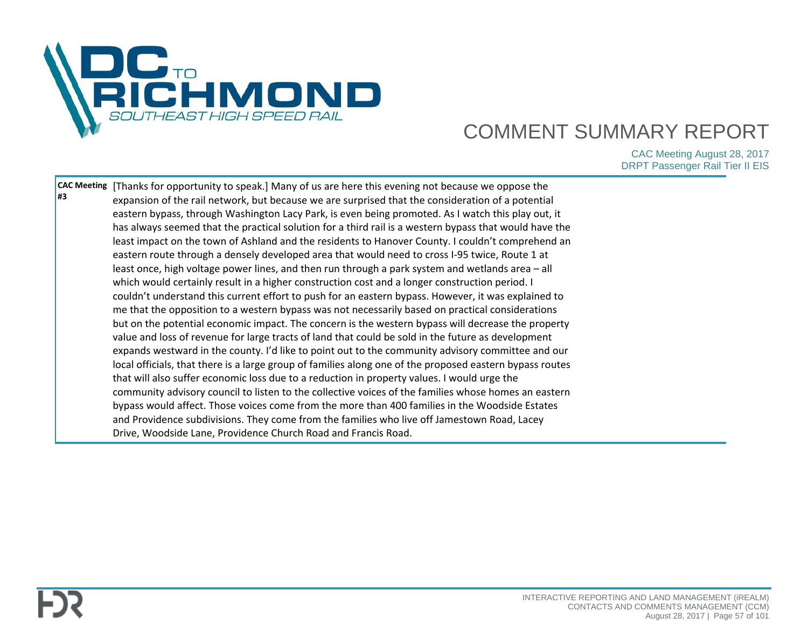

| l#3 | <b>CAC Meeting</b> [Thanks for opportunity to speak.] Many of us are here this evening not because we oppose the |  |
|-----|------------------------------------------------------------------------------------------------------------------|--|
|     | expansion of the rail network, but because we are surprised that the consideration of a potential                |  |
|     | eastern bypass, through Washington Lacy Park, is even being promoted. As I watch this play out, it               |  |
|     | has always seemed that the practical solution for a third rail is a western bypass that would have the           |  |
|     | least impact on the town of Ashland and the residents to Hanover County. I couldn't comprehend an                |  |
|     | eastern route through a densely developed area that would need to cross I-95 twice, Route 1 at                   |  |
|     | least once, high voltage power lines, and then run through a park system and wetlands area - all                 |  |
|     | which would certainly result in a higher construction cost and a longer construction period. I                   |  |
|     | couldn't understand this current effort to push for an eastern bypass. However, it was explained to              |  |
|     | me that the opposition to a western bypass was not necessarily based on practical considerations                 |  |
|     | but on the potential economic impact. The concern is the western bypass will decrease the property               |  |
|     | value and loss of revenue for large tracts of land that could be sold in the future as development               |  |
|     | expands westward in the county. I'd like to point out to the community advisory committee and our                |  |
|     | local officials, that there is a large group of families along one of the proposed eastern bypass routes         |  |
|     | that will also suffer economic loss due to a reduction in property values. I would urge the                      |  |
|     | community advisory council to listen to the collective voices of the families whose homes an eastern             |  |
|     | bypass would affect. Those voices come from the more than 400 families in the Woodside Estates                   |  |
|     | and Providence subdivisions. They come from the families who live off Jamestown Road, Lacey                      |  |
|     | Drive, Woodside Lane, Providence Church Road and Francis Road.                                                   |  |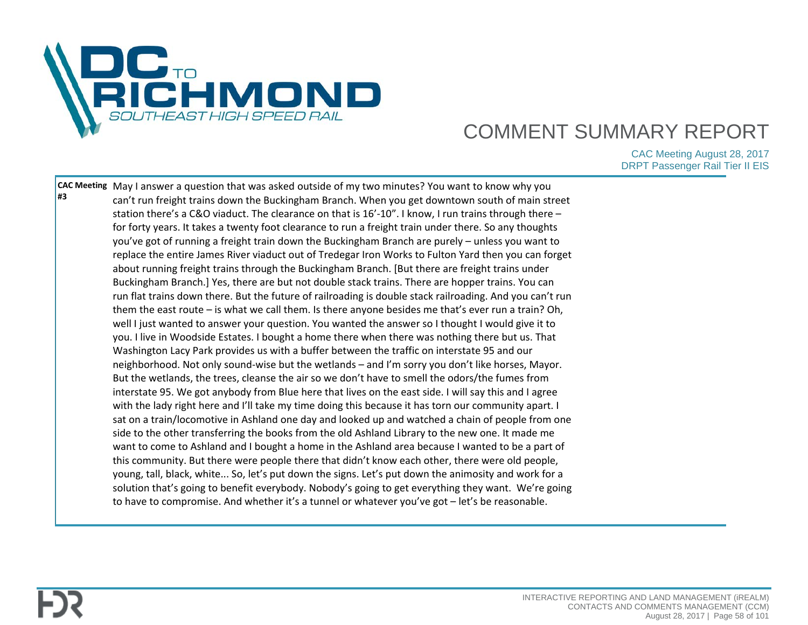

**CAC Meeting**  May I answer a question that was asked outside of my two minutes? You want to know why you **#3** can't run freight trains down the Buckingham Branch. When you get downtown south of main street station there's a C&O viaduct. The clearance on that is 16'-10". I know, I run trains through there – for forty years. It takes a twenty foot clearance to run a freight train under there. So any thoughts you've got of running a freight train down the Buckingham Branch are purely – unless you want to replace the entire James River viaduct out of Tredegar Iron Works to Fulton Yard then you can forget about running freight trains through the Buckingham Branch. [But there are freight trains under Buckingham Branch.] Yes, there are but not double stack trains. There are hopper trains. You can run flat trains down there. But the future of railroading is double stack railroading. And you can't run them the east route – is what we call them. Is there anyone besides me that's ever run a train? Oh, well I just wanted to answer your question. You wanted the answer so I thought I would give it to you. I live in Woodside Estates. I bought a home there when there was nothing there but us. That Washington Lacy Park provides us with a buffer between the traffic on interstate 95 and our neighborhood. Not only sound-wise but the wetlands – and I'm sorry you don't like horses, Mayor. But the wetlands, the trees, cleanse the air so we don't have to smell the odors/the fumes from interstate 95. We got anybody from Blue here that lives on the east side. I will say this and I agree with the lady right here and I'll take my time doing this because it has torn our community apart. I sat on a train/locomotive in Ashland one day and looked up and watched a chain of people from one side to the other transferring the books from the old Ashland Library to the new one. It made me want to come to Ashland and I bought a home in the Ashland area because I wanted to be a part of this community. But there were people there that didn't know each other, there were old people, young, tall, black, white... So, let's put down the signs. Let's put down the animosity and work for a solution that's going to benefit everybody. Nobody's going to get everything they want. We're going to have to compromise. And whether it's a tunnel or whatever you've got – let's be reasonable.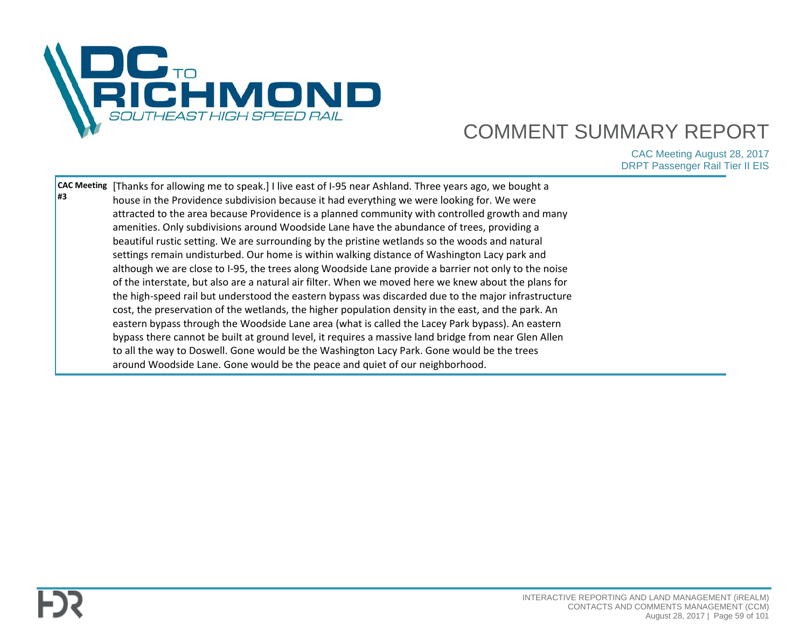

| #3 | CAC Meeting   [Thanks for allowing me to speak.] I live east of I-95 near Ashland. Three years ago, we bought a<br>house in the Providence subdivision because it had everything we were looking for. We were |  |
|----|---------------------------------------------------------------------------------------------------------------------------------------------------------------------------------------------------------------|--|
|    |                                                                                                                                                                                                               |  |
|    | attracted to the area because Providence is a planned community with controlled growth and many                                                                                                               |  |
|    | amenities. Only subdivisions around Woodside Lane have the abundance of trees, providing a                                                                                                                    |  |
|    | beautiful rustic setting. We are surrounding by the pristine wetlands so the woods and natural                                                                                                                |  |
|    | settings remain undisturbed. Our home is within walking distance of Washington Lacy park and                                                                                                                  |  |
|    | although we are close to I-95, the trees along Woodside Lane provide a barrier not only to the noise                                                                                                          |  |
|    | of the interstate, but also are a natural air filter. When we moved here we knew about the plans for                                                                                                          |  |
|    | the high-speed rail but understood the eastern bypass was discarded due to the major infrastructure                                                                                                           |  |
|    | cost, the preservation of the wetlands, the higher population density in the east, and the park. An                                                                                                           |  |
|    | eastern bypass through the Woodside Lane area (what is called the Lacey Park bypass). An eastern                                                                                                              |  |
|    | bypass there cannot be built at ground level, it requires a massive land bridge from near Glen Allen                                                                                                          |  |
|    | to all the way to Doswell. Gone would be the Washington Lacy Park. Gone would be the trees                                                                                                                    |  |
|    | around Woodside Lane. Gone would be the peace and quiet of our neighborhood.                                                                                                                                  |  |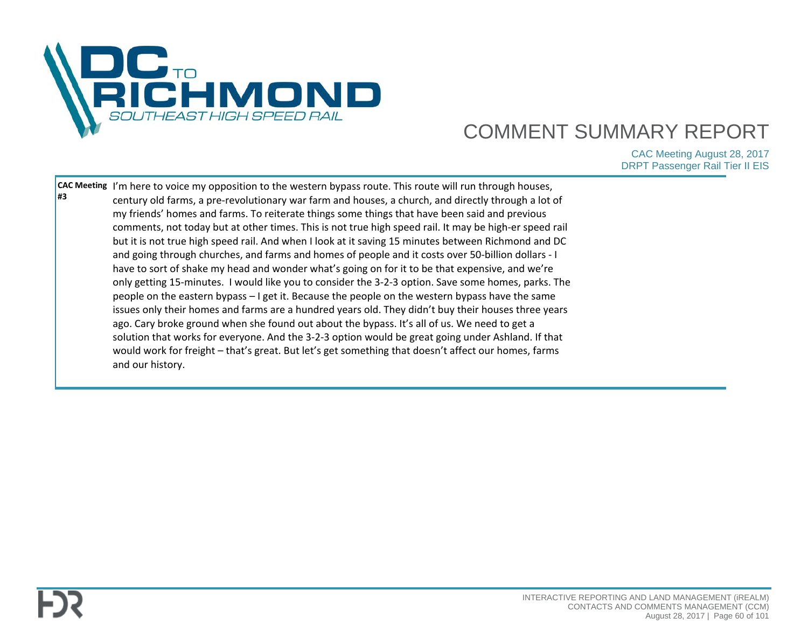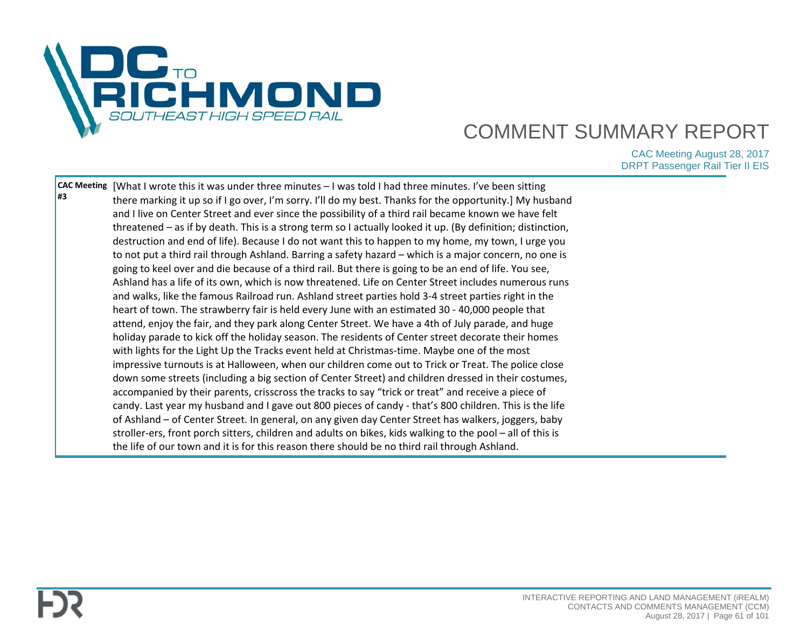

| #3 | CAC Meeting   [What I wrote this it was under three minutes - I was told I had three minutes. I've been sitting<br>there marking it up so if I go over, I'm sorry. I'll do my best. Thanks for the opportunity.] My husband<br>and I live on Center Street and ever since the possibility of a third rail became known we have felt<br>threatened - as if by death. This is a strong term so I actually looked it up. (By definition; distinction,<br>destruction and end of life). Because I do not want this to happen to my home, my town, I urge you<br>to not put a third rail through Ashland. Barring a safety hazard – which is a major concern, no one is<br>going to keel over and die because of a third rail. But there is going to be an end of life. You see,<br>Ashland has a life of its own, which is now threatened. Life on Center Street includes numerous runs<br>and walks, like the famous Railroad run. Ashland street parties hold 3-4 street parties right in the<br>heart of town. The strawberry fair is held every June with an estimated 30 - 40,000 people that<br>attend, enjoy the fair, and they park along Center Street. We have a 4th of July parade, and huge<br>holiday parade to kick off the holiday season. The residents of Center street decorate their homes<br>with lights for the Light Up the Tracks event held at Christmas-time. Maybe one of the most<br>impressive turnouts is at Halloween, when our children come out to Trick or Treat. The police close<br>down some streets (including a big section of Center Street) and children dressed in their costumes,<br>accompanied by their parents, crisscross the tracks to say "trick or treat" and receive a piece of<br>candy. Last year my husband and I gave out 800 pieces of candy - that's 800 children. This is the life<br>of Ashland - of Center Street. In general, on any given day Center Street has walkers, joggers, baby |  |
|----|-------------------------------------------------------------------------------------------------------------------------------------------------------------------------------------------------------------------------------------------------------------------------------------------------------------------------------------------------------------------------------------------------------------------------------------------------------------------------------------------------------------------------------------------------------------------------------------------------------------------------------------------------------------------------------------------------------------------------------------------------------------------------------------------------------------------------------------------------------------------------------------------------------------------------------------------------------------------------------------------------------------------------------------------------------------------------------------------------------------------------------------------------------------------------------------------------------------------------------------------------------------------------------------------------------------------------------------------------------------------------------------------------------------------------------------------------------------------------------------------------------------------------------------------------------------------------------------------------------------------------------------------------------------------------------------------------------------------------------------------------------------------------------------------------------------------------------------------------------------------------------------------------------------------------------------------------|--|
|    | stroller-ers, front porch sitters, children and adults on bikes, kids walking to the pool – all of this is<br>the life of our town and it is for this reason there should be no third rail through Ashland.                                                                                                                                                                                                                                                                                                                                                                                                                                                                                                                                                                                                                                                                                                                                                                                                                                                                                                                                                                                                                                                                                                                                                                                                                                                                                                                                                                                                                                                                                                                                                                                                                                                                                                                                     |  |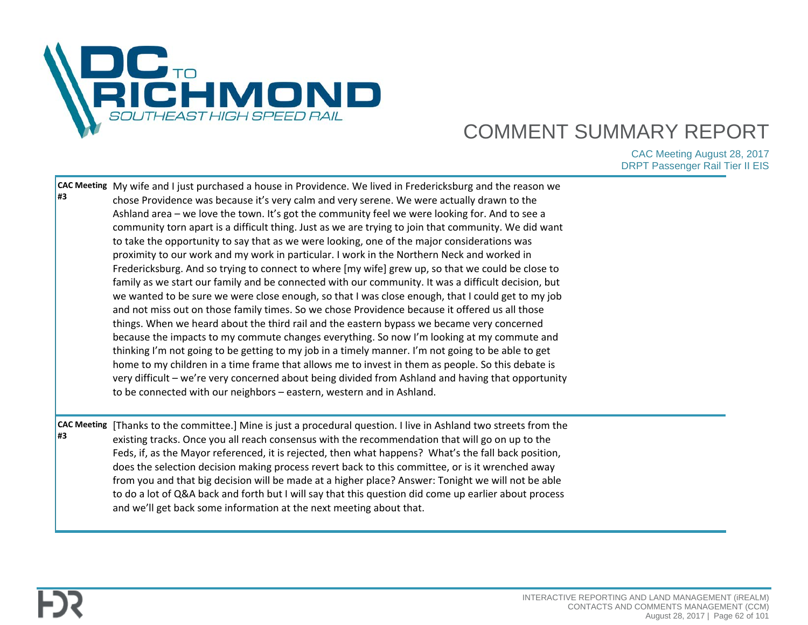

| <b>CAC Meeting</b><br>#3 | community torn apart is a difficult thing. Just as we are trying to join that community. We did want<br>to take the opportunity to say that as we were looking, one of the major considerations was<br>proximity to our work and my work in particular. I work in the Northern Neck and worked in<br>Fredericksburg. And so trying to connect to where [my wife] grew up, so that we could be close to<br>family as we start our family and be connected with our community. It was a difficult decision, but<br>we wanted to be sure we were close enough, so that I was close enough, that I could get to my job<br>and not miss out on those family times. So we chose Providence because it offered us all those<br>things. When we heard about the third rail and the eastern bypass we became very concerned<br>because the impacts to my commute changes everything. So now I'm looking at my commute and<br>thinking I'm not going to be getting to my job in a timely manner. I'm not going to be able to get<br>home to my children in a time frame that allows me to invest in them as people. So this debate is<br>very difficult - we're very concerned about being divided from Ashland and having that opportunity<br>to be connected with our neighbors - eastern, western and in Ashland.<br>[Thanks to the committee.] Mine is just a procedural question. I live in Ashland two streets from the |  |
|--------------------------|---------------------------------------------------------------------------------------------------------------------------------------------------------------------------------------------------------------------------------------------------------------------------------------------------------------------------------------------------------------------------------------------------------------------------------------------------------------------------------------------------------------------------------------------------------------------------------------------------------------------------------------------------------------------------------------------------------------------------------------------------------------------------------------------------------------------------------------------------------------------------------------------------------------------------------------------------------------------------------------------------------------------------------------------------------------------------------------------------------------------------------------------------------------------------------------------------------------------------------------------------------------------------------------------------------------------------------------------------------------------------------------------------------------------|--|
|                          | existing tracks. Once you all reach consensus with the recommendation that will go on up to the<br>Feds, if, as the Mayor referenced, it is rejected, then what happens? What's the fall back position,<br>does the selection decision making process revert back to this committee, or is it wrenched away<br>from you and that big decision will be made at a higher place? Answer: Tonight we will not be able<br>to do a lot of Q&A back and forth but I will say that this question did come up earlier about process<br>and we'll get back some information at the next meeting about that.                                                                                                                                                                                                                                                                                                                                                                                                                                                                                                                                                                                                                                                                                                                                                                                                                   |  |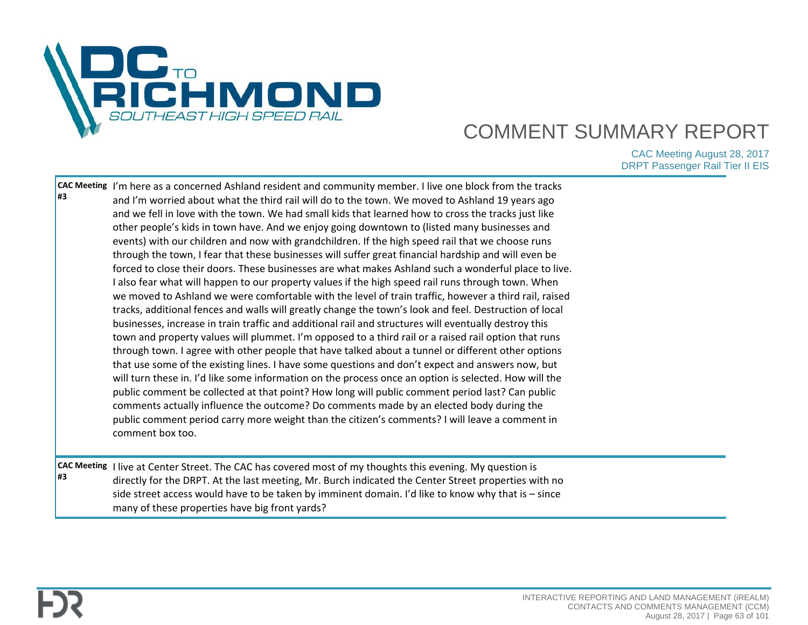

| #3 | CAC Meeting  I'm here as a concerned Ashland resident and community member. I live one block from the tracks<br>and I'm worried about what the third rail will do to the town. We moved to Ashland 19 years ago<br>and we fell in love with the town. We had small kids that learned how to cross the tracks just like<br>other people's kids in town have. And we enjoy going downtown to (listed many businesses and<br>events) with our children and now with grandchildren. If the high speed rail that we choose runs<br>through the town, I fear that these businesses will suffer great financial hardship and will even be<br>forced to close their doors. These businesses are what makes Ashland such a wonderful place to live.<br>I also fear what will happen to our property values if the high speed rail runs through town. When<br>we moved to Ashland we were comfortable with the level of train traffic, however a third rail, raised<br>tracks, additional fences and walls will greatly change the town's look and feel. Destruction of local<br>businesses, increase in train traffic and additional rail and structures will eventually destroy this<br>town and property values will plummet. I'm opposed to a third rail or a raised rail option that runs<br>through town. I agree with other people that have talked about a tunnel or different other options<br>that use some of the existing lines. I have some questions and don't expect and answers now, but<br>will turn these in. I'd like some information on the process once an option is selected. How will the<br>public comment be collected at that point? How long will public comment period last? Can public<br>comments actually influence the outcome? Do comments made by an elected body during the<br>public comment period carry more weight than the citizen's comments? I will leave a comment in<br>comment box too. |  |
|----|-----------------------------------------------------------------------------------------------------------------------------------------------------------------------------------------------------------------------------------------------------------------------------------------------------------------------------------------------------------------------------------------------------------------------------------------------------------------------------------------------------------------------------------------------------------------------------------------------------------------------------------------------------------------------------------------------------------------------------------------------------------------------------------------------------------------------------------------------------------------------------------------------------------------------------------------------------------------------------------------------------------------------------------------------------------------------------------------------------------------------------------------------------------------------------------------------------------------------------------------------------------------------------------------------------------------------------------------------------------------------------------------------------------------------------------------------------------------------------------------------------------------------------------------------------------------------------------------------------------------------------------------------------------------------------------------------------------------------------------------------------------------------------------------------------------------------------------------------------------------------------------------------------------------------------|--|
| #3 | CAC Meeting I live at Center Street. The CAC has covered most of my thoughts this evening. My question is<br>directly for the DRPT. At the last meeting, Mr. Burch indicated the Center Street properties with no<br>side street access would have to be taken by imminent domain. I'd like to know why that is - since<br>many of these properties have big front yards?                                                                                                                                                                                                                                                                                                                                                                                                                                                                                                                                                                                                                                                                                                                                                                                                                                                                                                                                                                                                                                                                                                                                                                                                                                                                                                                                                                                                                                                                                                                                                   |  |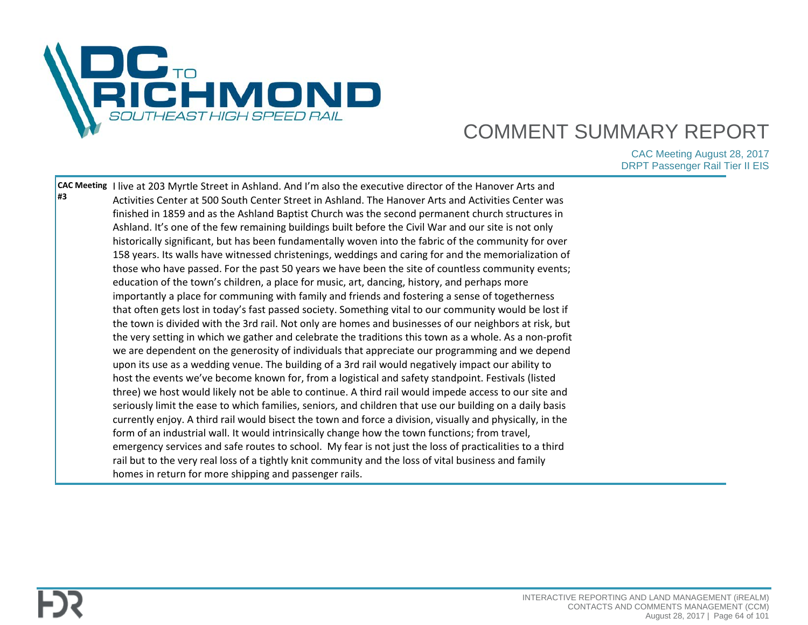

| #3 | CAC Meeting I live at 203 Myrtle Street in Ashland. And I'm also the executive director of the Hanover Arts and<br>Activities Center at 500 South Center Street in Ashland. The Hanover Arts and Activities Center was<br>finished in 1859 and as the Ashland Baptist Church was the second permanent church structures in<br>Ashland. It's one of the few remaining buildings built before the Civil War and our site is not only<br>historically significant, but has been fundamentally woven into the fabric of the community for over<br>158 years. Its walls have witnessed christenings, weddings and caring for and the memorialization of<br>those who have passed. For the past 50 years we have been the site of countless community events;<br>education of the town's children, a place for music, art, dancing, history, and perhaps more<br>importantly a place for communing with family and friends and fostering a sense of togetherness<br>that often gets lost in today's fast passed society. Something vital to our community would be lost if<br>the town is divided with the 3rd rail. Not only are homes and businesses of our neighbors at risk, but<br>the very setting in which we gather and celebrate the traditions this town as a whole. As a non-profit<br>we are dependent on the generosity of individuals that appreciate our programming and we depend<br>upon its use as a wedding venue. The building of a 3rd rail would negatively impact our ability to<br>host the events we've become known for, from a logistical and safety standpoint. Festivals (listed<br>three) we host would likely not be able to continue. A third rail would impede access to our site and<br>seriously limit the ease to which families, seniors, and children that use our building on a daily basis<br>currently enjoy. A third rail would bisect the town and force a division, visually and physically, in the<br>form of an industrial wall. It would intrinsically change how the town functions; from travel,<br>emergency services and safe routes to school. My fear is not just the loss of practicalities to a third<br>rail but to the very real loss of a tightly knit community and the loss of vital business and family |  |
|----|----------------------------------------------------------------------------------------------------------------------------------------------------------------------------------------------------------------------------------------------------------------------------------------------------------------------------------------------------------------------------------------------------------------------------------------------------------------------------------------------------------------------------------------------------------------------------------------------------------------------------------------------------------------------------------------------------------------------------------------------------------------------------------------------------------------------------------------------------------------------------------------------------------------------------------------------------------------------------------------------------------------------------------------------------------------------------------------------------------------------------------------------------------------------------------------------------------------------------------------------------------------------------------------------------------------------------------------------------------------------------------------------------------------------------------------------------------------------------------------------------------------------------------------------------------------------------------------------------------------------------------------------------------------------------------------------------------------------------------------------------------------------------------------------------------------------------------------------------------------------------------------------------------------------------------------------------------------------------------------------------------------------------------------------------------------------------------------------------------------------------------------------------------------------------------------------------------------------------------------------------------------|--|
|    | homes in return for more shipping and passenger rails.                                                                                                                                                                                                                                                                                                                                                                                                                                                                                                                                                                                                                                                                                                                                                                                                                                                                                                                                                                                                                                                                                                                                                                                                                                                                                                                                                                                                                                                                                                                                                                                                                                                                                                                                                                                                                                                                                                                                                                                                                                                                                                                                                                                                         |  |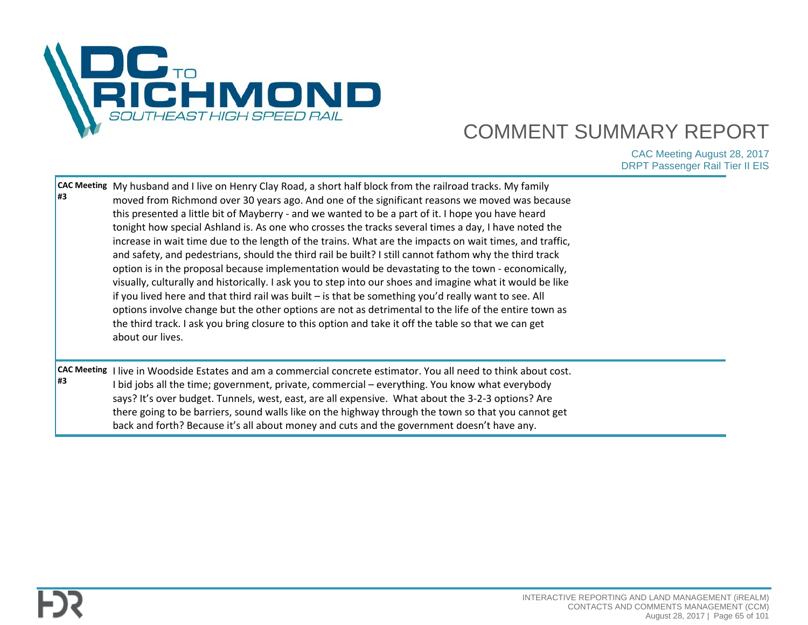

| <b>CAC Meeting</b><br>l#3 | My husband and I live on Henry Clay Road, a short half block from the railroad tracks. My family<br>moved from Richmond over 30 years ago. And one of the significant reasons we moved was because<br>this presented a little bit of Mayberry - and we wanted to be a part of it. I hope you have heard<br>tonight how special Ashland is. As one who crosses the tracks several times a day, I have noted the<br>increase in wait time due to the length of the trains. What are the impacts on wait times, and traffic,<br>and safety, and pedestrians, should the third rail be built? I still cannot fathom why the third track<br>option is in the proposal because implementation would be devastating to the town - economically,<br>visually, culturally and historically. I ask you to step into our shoes and imagine what it would be like<br>if you lived here and that third rail was built - is that be something you'd really want to see. All<br>options involve change but the other options are not as detrimental to the life of the entire town as<br>the third track. I ask you bring closure to this option and take it off the table so that we can get<br>about our lives. |  |
|---------------------------|----------------------------------------------------------------------------------------------------------------------------------------------------------------------------------------------------------------------------------------------------------------------------------------------------------------------------------------------------------------------------------------------------------------------------------------------------------------------------------------------------------------------------------------------------------------------------------------------------------------------------------------------------------------------------------------------------------------------------------------------------------------------------------------------------------------------------------------------------------------------------------------------------------------------------------------------------------------------------------------------------------------------------------------------------------------------------------------------------------------------------------------------------------------------------------------------------|--|
| <b>CAC Meeting</b><br>l#3 | I live in Woodside Estates and am a commercial concrete estimator. You all need to think about cost.<br>I bid jobs all the time; government, private, commercial - everything. You know what everybody<br>says? It's over budget. Tunnels, west, east, are all expensive. What about the 3-2-3 options? Are<br>there going to be barriers, sound walls like on the highway through the town so that you cannot get<br>back and forth? Because it's all about money and cuts and the government doesn't have any.                                                                                                                                                                                                                                                                                                                                                                                                                                                                                                                                                                                                                                                                                   |  |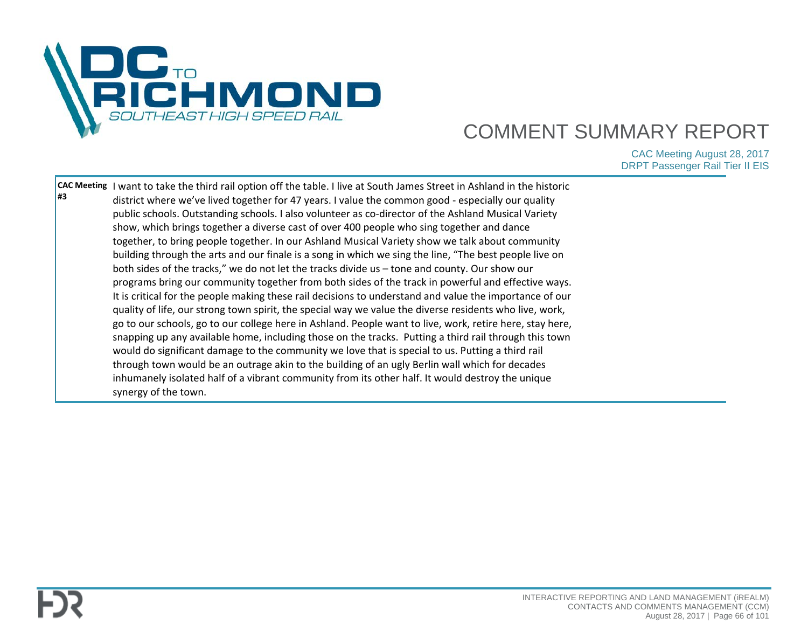

| <b>CAC Meeting</b> | I want to take the third rail option off the table. I live at South James Street in Ashland in the historic |  |
|--------------------|-------------------------------------------------------------------------------------------------------------|--|
| l#3                | district where we've lived together for 47 years. I value the common good - especially our quality          |  |
|                    | public schools. Outstanding schools. I also volunteer as co-director of the Ashland Musical Variety         |  |
|                    | show, which brings together a diverse cast of over 400 people who sing together and dance                   |  |
|                    | together, to bring people together. In our Ashland Musical Variety show we talk about community             |  |
|                    | building through the arts and our finale is a song in which we sing the line, "The best people live on      |  |
|                    | both sides of the tracks," we do not let the tracks divide us - tone and county. Our show our               |  |
|                    | programs bring our community together from both sides of the track in powerful and effective ways.          |  |
|                    | It is critical for the people making these rail decisions to understand and value the importance of our     |  |
|                    | quality of life, our strong town spirit, the special way we value the diverse residents who live, work,     |  |
|                    | go to our schools, go to our college here in Ashland. People want to live, work, retire here, stay here,    |  |
|                    | snapping up any available home, including those on the tracks. Putting a third rail through this town       |  |
|                    | would do significant damage to the community we love that is special to us. Putting a third rail            |  |
|                    | through town would be an outrage akin to the building of an ugly Berlin wall which for decades              |  |
|                    | inhumanely isolated half of a vibrant community from its other half. It would destroy the unique            |  |
|                    | synergy of the town.                                                                                        |  |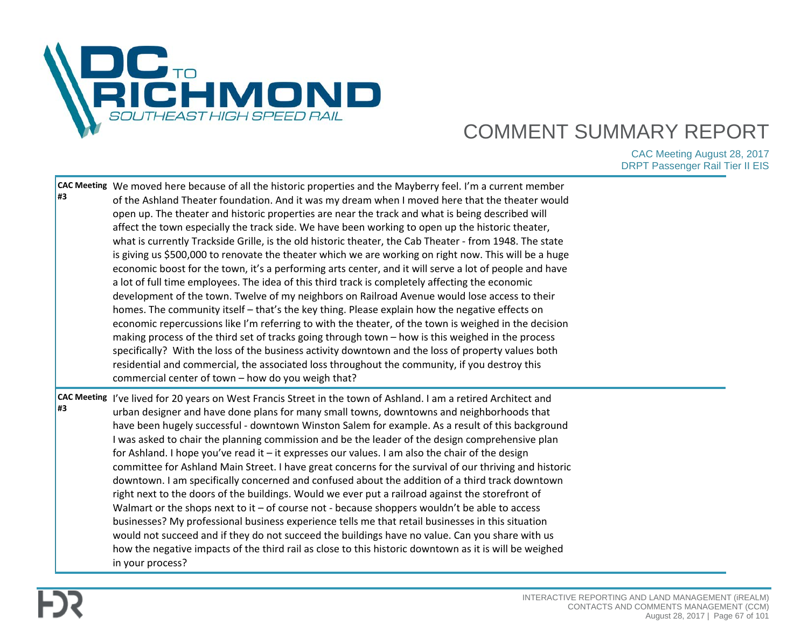

| #3 | CAC Meeting We moved here because of all the historic properties and the Mayberry feel. I'm a current member<br>of the Ashland Theater foundation. And it was my dream when I moved here that the theater would<br>open up. The theater and historic properties are near the track and what is being described will<br>affect the town especially the track side. We have been working to open up the historic theater,<br>what is currently Trackside Grille, is the old historic theater, the Cab Theater - from 1948. The state<br>is giving us \$500,000 to renovate the theater which we are working on right now. This will be a huge<br>economic boost for the town, it's a performing arts center, and it will serve a lot of people and have<br>a lot of full time employees. The idea of this third track is completely affecting the economic<br>development of the town. Twelve of my neighbors on Railroad Avenue would lose access to their<br>homes. The community itself – that's the key thing. Please explain how the negative effects on<br>economic repercussions like I'm referring to with the theater, of the town is weighed in the decision<br>making process of the third set of tracks going through town - how is this weighed in the process<br>specifically? With the loss of the business activity downtown and the loss of property values both<br>residential and commercial, the associated loss throughout the community, if you destroy this |  |
|----|----------------------------------------------------------------------------------------------------------------------------------------------------------------------------------------------------------------------------------------------------------------------------------------------------------------------------------------------------------------------------------------------------------------------------------------------------------------------------------------------------------------------------------------------------------------------------------------------------------------------------------------------------------------------------------------------------------------------------------------------------------------------------------------------------------------------------------------------------------------------------------------------------------------------------------------------------------------------------------------------------------------------------------------------------------------------------------------------------------------------------------------------------------------------------------------------------------------------------------------------------------------------------------------------------------------------------------------------------------------------------------------------------------------------------------------------------------------------------------|--|
| #3 | commercial center of town - how do you weigh that?<br>CAC Meeting Yve lived for 20 years on West Francis Street in the town of Ashland. I am a retired Architect and<br>urban designer and have done plans for many small towns, downtowns and neighborhoods that<br>have been hugely successful - downtown Winston Salem for example. As a result of this background<br>I was asked to chair the planning commission and be the leader of the design comprehensive plan<br>for Ashland. I hope you've read it - it expresses our values. I am also the chair of the design<br>committee for Ashland Main Street. I have great concerns for the survival of our thriving and historic<br>downtown. I am specifically concerned and confused about the addition of a third track downtown<br>right next to the doors of the buildings. Would we ever put a railroad against the storefront of<br>Walmart or the shops next to it - of course not - because shoppers wouldn't be able to access<br>businesses? My professional business experience tells me that retail businesses in this situation<br>would not succeed and if they do not succeed the buildings have no value. Can you share with us<br>how the negative impacts of the third rail as close to this historic downtown as it is will be weighed<br>in your process?                                                                                                                                              |  |

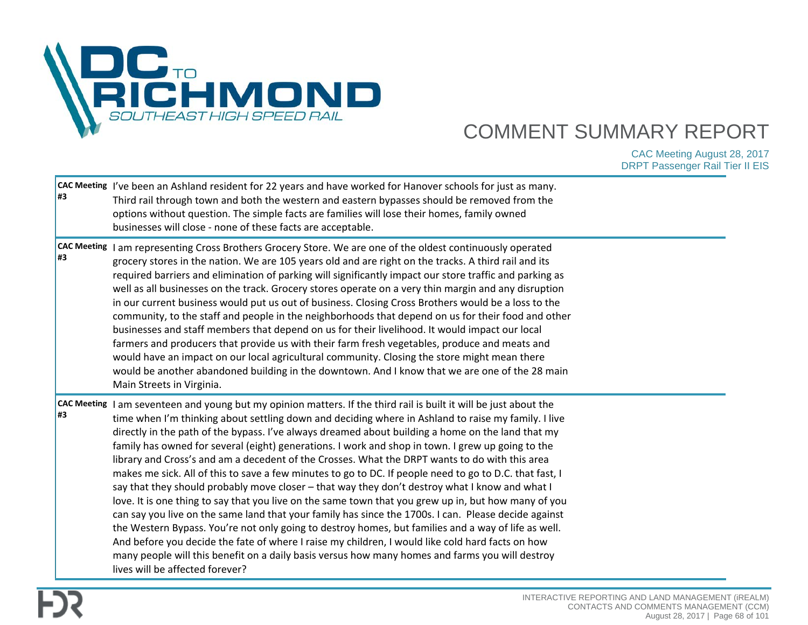

| #3 | CAC Meeting <i>I've been an Ashland resident for 22 years and have worked for Hanover schools for just as many.</i><br>Third rail through town and both the western and eastern bypasses should be removed from the<br>options without question. The simple facts are families will lose their homes, family owned<br>businesses will close - none of these facts are acceptable.                                                                                                                                                                                                                                                                                                                                                                                                                                                                                                                                                                                                                                                                                                                                                                                                                                                                                                                                   |  |
|----|---------------------------------------------------------------------------------------------------------------------------------------------------------------------------------------------------------------------------------------------------------------------------------------------------------------------------------------------------------------------------------------------------------------------------------------------------------------------------------------------------------------------------------------------------------------------------------------------------------------------------------------------------------------------------------------------------------------------------------------------------------------------------------------------------------------------------------------------------------------------------------------------------------------------------------------------------------------------------------------------------------------------------------------------------------------------------------------------------------------------------------------------------------------------------------------------------------------------------------------------------------------------------------------------------------------------|--|
| #3 | CAC Meeting   I am representing Cross Brothers Grocery Store. We are one of the oldest continuously operated<br>grocery stores in the nation. We are 105 years old and are right on the tracks. A third rail and its<br>required barriers and elimination of parking will significantly impact our store traffic and parking as<br>well as all businesses on the track. Grocery stores operate on a very thin margin and any disruption<br>in our current business would put us out of business. Closing Cross Brothers would be a loss to the<br>community, to the staff and people in the neighborhoods that depend on us for their food and other<br>businesses and staff members that depend on us for their livelihood. It would impact our local<br>farmers and producers that provide us with their farm fresh vegetables, produce and meats and<br>would have an impact on our local agricultural community. Closing the store might mean there<br>would be another abandoned building in the downtown. And I know that we are one of the 28 main<br>Main Streets in Virginia.                                                                                                                                                                                                                              |  |
| #3 | CAC Meeting  I am seventeen and young but my opinion matters. If the third rail is built it will be just about the<br>time when I'm thinking about settling down and deciding where in Ashland to raise my family. I live<br>directly in the path of the bypass. I've always dreamed about building a home on the land that my<br>family has owned for several (eight) generations. I work and shop in town. I grew up going to the<br>library and Cross's and am a decedent of the Crosses. What the DRPT wants to do with this area<br>makes me sick. All of this to save a few minutes to go to DC. If people need to go to D.C. that fast, I<br>say that they should probably move closer - that way they don't destroy what I know and what I<br>love. It is one thing to say that you live on the same town that you grew up in, but how many of you<br>can say you live on the same land that your family has since the 1700s. I can. Please decide against<br>the Western Bypass. You're not only going to destroy homes, but families and a way of life as well.<br>And before you decide the fate of where I raise my children, I would like cold hard facts on how<br>many people will this benefit on a daily basis versus how many homes and farms you will destroy<br>lives will be affected forever? |  |

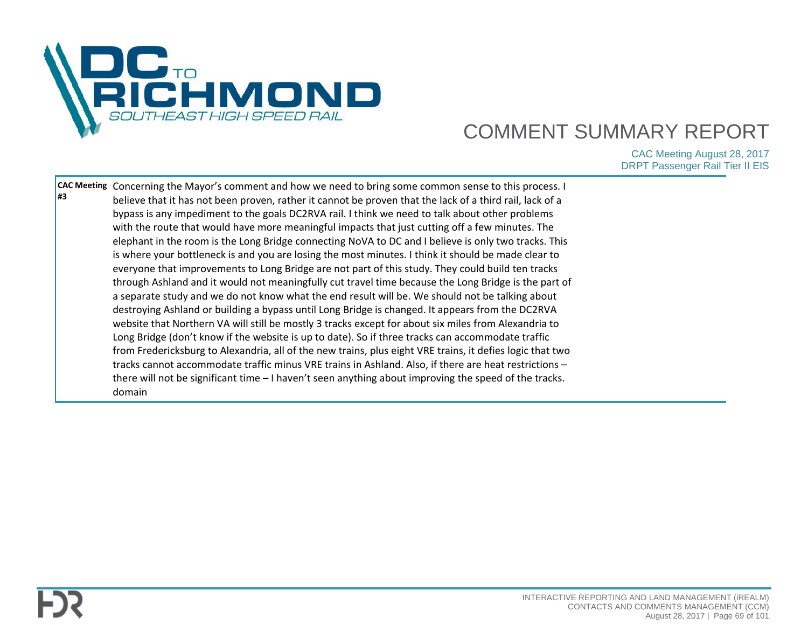

| destroying Ashland or building a bypass until Long Bridge is changed. It appears from the DC2RVA<br>website that Northern VA will still be mostly 3 tracks except for about six miles from Alexandria to<br>Long Bridge (don't know if the website is up to date). So if three tracks can accommodate traffic<br>from Fredericksburg to Alexandria, all of the new trains, plus eight VRE trains, it defies logic that two<br>tracks cannot accommodate traffic minus VRE trains in Ashland. Also, if there are heat restrictions -<br>there will not be significant time - I haven't seen anything about improving the speed of the tracks.<br>domain |
|--------------------------------------------------------------------------------------------------------------------------------------------------------------------------------------------------------------------------------------------------------------------------------------------------------------------------------------------------------------------------------------------------------------------------------------------------------------------------------------------------------------------------------------------------------------------------------------------------------------------------------------------------------|
|--------------------------------------------------------------------------------------------------------------------------------------------------------------------------------------------------------------------------------------------------------------------------------------------------------------------------------------------------------------------------------------------------------------------------------------------------------------------------------------------------------------------------------------------------------------------------------------------------------------------------------------------------------|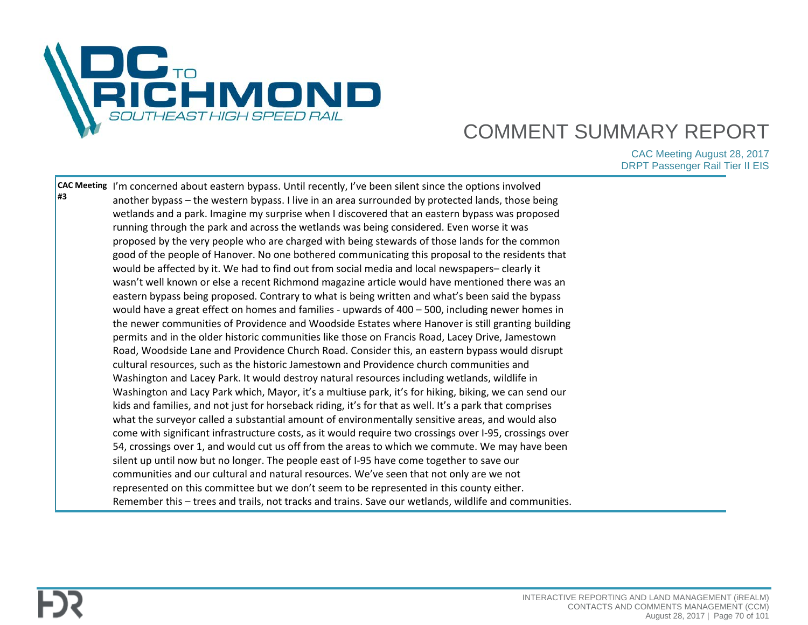

| #3 | CAC Meeting  'm concerned about eastern bypass. Until recently, I've been silent since the options involved<br>another bypass - the western bypass. I live in an area surrounded by protected lands, those being<br>wetlands and a park. Imagine my surprise when I discovered that an eastern bypass was proposed<br>running through the park and across the wetlands was being considered. Even worse it was<br>proposed by the very people who are charged with being stewards of those lands for the common<br>good of the people of Hanover. No one bothered communicating this proposal to the residents that<br>would be affected by it. We had to find out from social media and local newspapers-clearly it<br>wasn't well known or else a recent Richmond magazine article would have mentioned there was an<br>eastern bypass being proposed. Contrary to what is being written and what's been said the bypass<br>would have a great effect on homes and families - upwards of 400 - 500, including newer homes in<br>the newer communities of Providence and Woodside Estates where Hanover is still granting building<br>permits and in the older historic communities like those on Francis Road, Lacey Drive, Jamestown<br>Road, Woodside Lane and Providence Church Road. Consider this, an eastern bypass would disrupt<br>cultural resources, such as the historic Jamestown and Providence church communities and<br>Washington and Lacey Park. It would destroy natural resources including wetlands, wildlife in<br>Washington and Lacy Park which, Mayor, it's a multiuse park, it's for hiking, biking, we can send our<br>kids and families, and not just for horseback riding, it's for that as well. It's a park that comprises |  |
|----|------------------------------------------------------------------------------------------------------------------------------------------------------------------------------------------------------------------------------------------------------------------------------------------------------------------------------------------------------------------------------------------------------------------------------------------------------------------------------------------------------------------------------------------------------------------------------------------------------------------------------------------------------------------------------------------------------------------------------------------------------------------------------------------------------------------------------------------------------------------------------------------------------------------------------------------------------------------------------------------------------------------------------------------------------------------------------------------------------------------------------------------------------------------------------------------------------------------------------------------------------------------------------------------------------------------------------------------------------------------------------------------------------------------------------------------------------------------------------------------------------------------------------------------------------------------------------------------------------------------------------------------------------------------------------------------------------------------------------------------------------------|--|
|    | what the surveyor called a substantial amount of environmentally sensitive areas, and would also<br>come with significant infrastructure costs, as it would require two crossings over I-95, crossings over<br>54, crossings over 1, and would cut us off from the areas to which we commute. We may have been<br>silent up until now but no longer. The people east of I-95 have come together to save our<br>communities and our cultural and natural resources. We've seen that not only are we not<br>represented on this committee but we don't seem to be represented in this county either.<br>Remember this - trees and trails, not tracks and trains. Save our wetlands, wildlife and communities.                                                                                                                                                                                                                                                                                                                                                                                                                                                                                                                                                                                                                                                                                                                                                                                                                                                                                                                                                                                                                                                |  |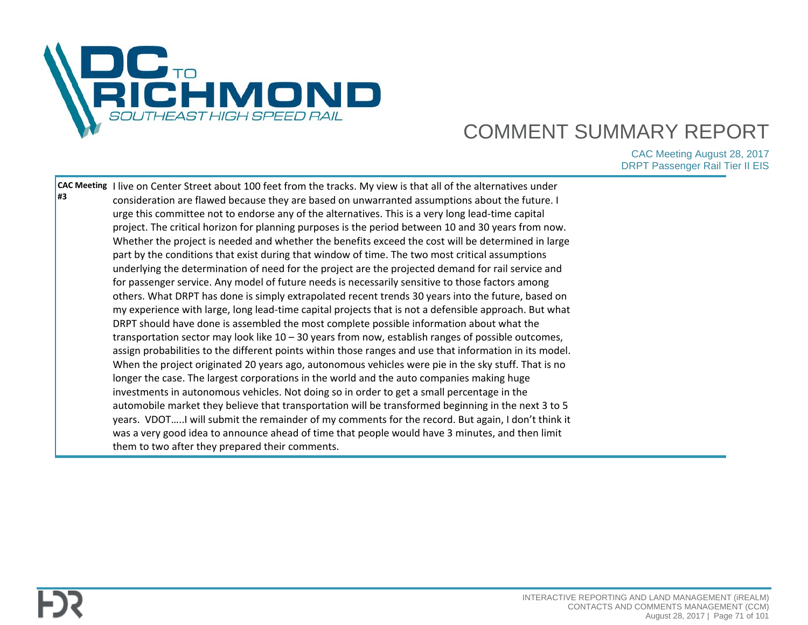

|    | CAC Meeting I live on Center Street about 100 feet from the tracks. My view is that all of the alternatives under |  |
|----|-------------------------------------------------------------------------------------------------------------------|--|
| #3 | consideration are flawed because they are based on unwarranted assumptions about the future. I                    |  |
|    | urge this committee not to endorse any of the alternatives. This is a very long lead-time capital                 |  |
|    | project. The critical horizon for planning purposes is the period between 10 and 30 years from now.               |  |
|    | Whether the project is needed and whether the benefits exceed the cost will be determined in large                |  |
|    | part by the conditions that exist during that window of time. The two most critical assumptions                   |  |
|    | underlying the determination of need for the project are the projected demand for rail service and                |  |
|    | for passenger service. Any model of future needs is necessarily sensitive to those factors among                  |  |
|    | others. What DRPT has done is simply extrapolated recent trends 30 years into the future, based on                |  |
|    | my experience with large, long lead-time capital projects that is not a defensible approach. But what             |  |
|    | DRPT should have done is assembled the most complete possible information about what the                          |  |
|    | transportation sector may look like 10 - 30 years from now, establish ranges of possible outcomes,                |  |
|    | assign probabilities to the different points within those ranges and use that information in its model.           |  |
|    | When the project originated 20 years ago, autonomous vehicles were pie in the sky stuff. That is no               |  |
|    | longer the case. The largest corporations in the world and the auto companies making huge                         |  |
|    | investments in autonomous vehicles. Not doing so in order to get a small percentage in the                        |  |
|    | automobile market they believe that transportation will be transformed beginning in the next 3 to 5               |  |
|    | years. VDOTI will submit the remainder of my comments for the record. But again, I don't think it                 |  |
|    | was a very good idea to announce ahead of time that people would have 3 minutes, and then limit                   |  |
|    | them to two after they prepared their comments.                                                                   |  |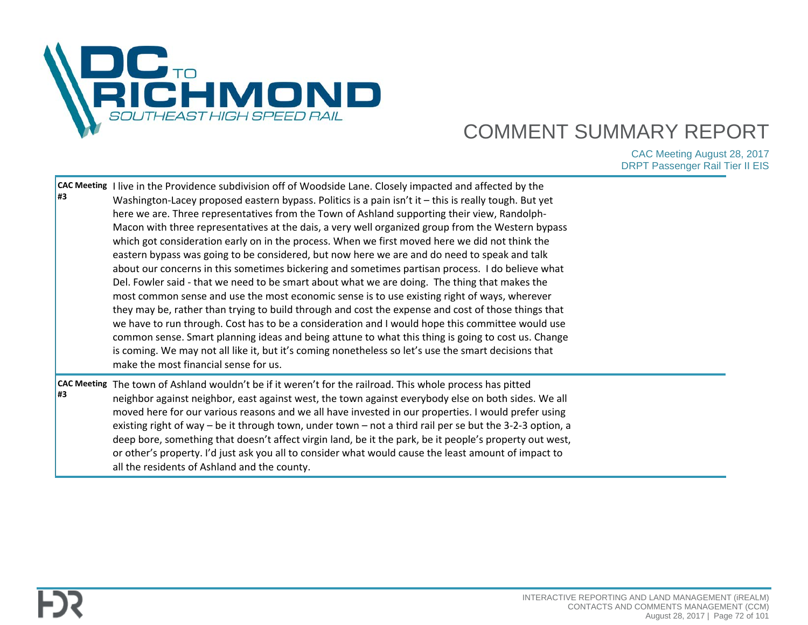

| <b>CAC Meeting</b><br>1#3 | I live in the Providence subdivision off of Woodside Lane. Closely impacted and affected by the<br>Washington-Lacey proposed eastern bypass. Politics is a pain isn't it - this is really tough. But yet<br>here we are. Three representatives from the Town of Ashland supporting their view, Randolph-<br>Macon with three representatives at the dais, a very well organized group from the Western bypass<br>which got consideration early on in the process. When we first moved here we did not think the<br>eastern bypass was going to be considered, but now here we are and do need to speak and talk<br>about our concerns in this sometimes bickering and sometimes partisan process. I do believe what<br>Del. Fowler said - that we need to be smart about what we are doing. The thing that makes the<br>most common sense and use the most economic sense is to use existing right of ways, wherever<br>they may be, rather than trying to build through and cost the expense and cost of those things that<br>we have to run through. Cost has to be a consideration and I would hope this committee would use<br>common sense. Smart planning ideas and being attune to what this thing is going to cost us. Change<br>is coming. We may not all like it, but it's coming nonetheless so let's use the smart decisions that<br>make the most financial sense for us. |  |
|---------------------------|----------------------------------------------------------------------------------------------------------------------------------------------------------------------------------------------------------------------------------------------------------------------------------------------------------------------------------------------------------------------------------------------------------------------------------------------------------------------------------------------------------------------------------------------------------------------------------------------------------------------------------------------------------------------------------------------------------------------------------------------------------------------------------------------------------------------------------------------------------------------------------------------------------------------------------------------------------------------------------------------------------------------------------------------------------------------------------------------------------------------------------------------------------------------------------------------------------------------------------------------------------------------------------------------------------------------------------------------------------------------------------------|--|
| l#3                       | CAC Meeting The town of Ashland wouldn't be if it weren't for the railroad. This whole process has pitted<br>neighbor against neighbor, east against west, the town against everybody else on both sides. We all<br>moved here for our various reasons and we all have invested in our properties. I would prefer using<br>existing right of way – be it through town, under town – not a third rail per se but the 3-2-3 option, a<br>deep bore, something that doesn't affect virgin land, be it the park, be it people's property out west,<br>or other's property. I'd just ask you all to consider what would cause the least amount of impact to<br>all the residents of Ashland and the county.                                                                                                                                                                                                                                                                                                                                                                                                                                                                                                                                                                                                                                                                                 |  |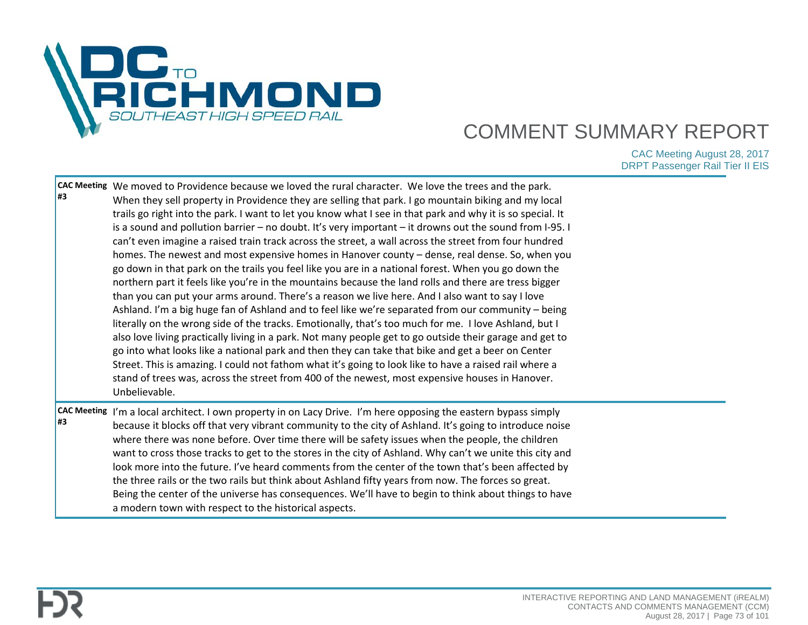

| l#3                      | CAC Meeting We moved to Providence because we loved the rural character. We love the trees and the park.<br>When they sell property in Providence they are selling that park. I go mountain biking and my local<br>trails go right into the park. I want to let you know what I see in that park and why it is so special. It<br>is a sound and pollution barrier - no doubt. It's very important - it drowns out the sound from I-95. I<br>can't even imagine a raised train track across the street, a wall across the street from four hundred<br>homes. The newest and most expensive homes in Hanover county - dense, real dense. So, when you<br>go down in that park on the trails you feel like you are in a national forest. When you go down the<br>northern part it feels like you're in the mountains because the land rolls and there are tress bigger<br>than you can put your arms around. There's a reason we live here. And I also want to say I love<br>Ashland. I'm a big huge fan of Ashland and to feel like we're separated from our community – being<br>literally on the wrong side of the tracks. Emotionally, that's too much for me. I love Ashland, but I<br>also love living practically living in a park. Not many people get to go outside their garage and get to<br>go into what looks like a national park and then they can take that bike and get a beer on Center<br>Street. This is amazing. I could not fathom what it's going to look like to have a raised rail where a<br>stand of trees was, across the street from 400 of the newest, most expensive houses in Hanover.<br>Unbelievable. |  |
|--------------------------|--------------------------------------------------------------------------------------------------------------------------------------------------------------------------------------------------------------------------------------------------------------------------------------------------------------------------------------------------------------------------------------------------------------------------------------------------------------------------------------------------------------------------------------------------------------------------------------------------------------------------------------------------------------------------------------------------------------------------------------------------------------------------------------------------------------------------------------------------------------------------------------------------------------------------------------------------------------------------------------------------------------------------------------------------------------------------------------------------------------------------------------------------------------------------------------------------------------------------------------------------------------------------------------------------------------------------------------------------------------------------------------------------------------------------------------------------------------------------------------------------------------------------------------------------------------------------------------------------------------------------------------|--|
| <b>CAC Meeting</b><br>#3 | I'm a local architect. I own property in on Lacy Drive. I'm here opposing the eastern bypass simply<br>because it blocks off that very vibrant community to the city of Ashland. It's going to introduce noise<br>where there was none before. Over time there will be safety issues when the people, the children<br>want to cross those tracks to get to the stores in the city of Ashland. Why can't we unite this city and<br>look more into the future. I've heard comments from the center of the town that's been affected by<br>the three rails or the two rails but think about Ashland fifty years from now. The forces so great.<br>Being the center of the universe has consequences. We'll have to begin to think about things to have<br>a modern town with respect to the historical aspects.                                                                                                                                                                                                                                                                                                                                                                                                                                                                                                                                                                                                                                                                                                                                                                                                                         |  |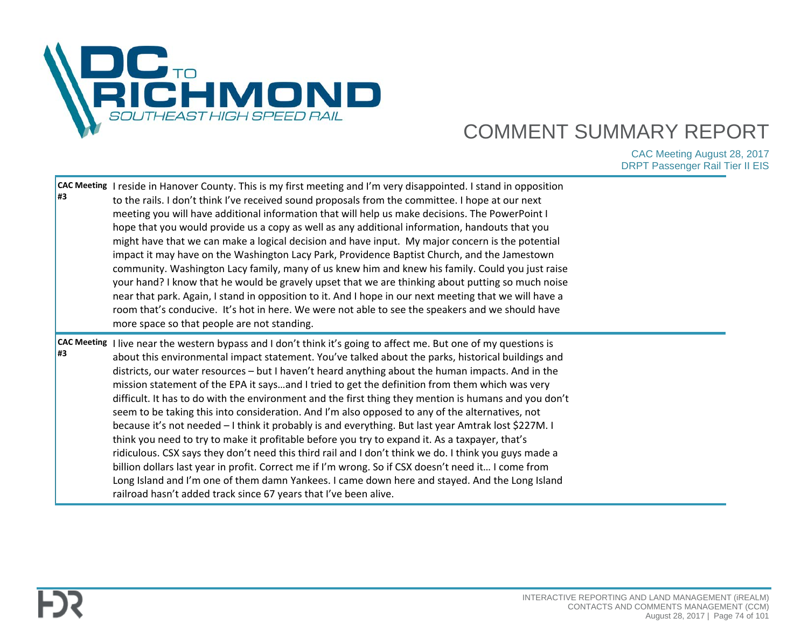

| l#3 | CAC Meeting I reside in Hanover County. This is my first meeting and I'm very disappointed. I stand in opposition<br>to the rails. I don't think I've received sound proposals from the committee. I hope at our next<br>meeting you will have additional information that will help us make decisions. The PowerPoint I<br>hope that you would provide us a copy as well as any additional information, handouts that you<br>might have that we can make a logical decision and have input. My major concern is the potential<br>impact it may have on the Washington Lacy Park, Providence Baptist Church, and the Jamestown<br>community. Washington Lacy family, many of us knew him and knew his family. Could you just raise<br>your hand? I know that he would be gravely upset that we are thinking about putting so much noise<br>near that park. Again, I stand in opposition to it. And I hope in our next meeting that we will have a<br>room that's conducive. It's hot in here. We were not able to see the speakers and we should have<br>more space so that people are not standing.                                                                                                                                      |  |
|-----|-------------------------------------------------------------------------------------------------------------------------------------------------------------------------------------------------------------------------------------------------------------------------------------------------------------------------------------------------------------------------------------------------------------------------------------------------------------------------------------------------------------------------------------------------------------------------------------------------------------------------------------------------------------------------------------------------------------------------------------------------------------------------------------------------------------------------------------------------------------------------------------------------------------------------------------------------------------------------------------------------------------------------------------------------------------------------------------------------------------------------------------------------------------------------------------------------------------------------------------------|--|
| l#3 | CAC Meeting I live near the western bypass and I don't think it's going to affect me. But one of my questions is<br>about this environmental impact statement. You've talked about the parks, historical buildings and<br>districts, our water resources - but I haven't heard anything about the human impacts. And in the<br>mission statement of the EPA it saysand I tried to get the definition from them which was very<br>difficult. It has to do with the environment and the first thing they mention is humans and you don't<br>seem to be taking this into consideration. And I'm also opposed to any of the alternatives, not<br>because it's not needed - I think it probably is and everything. But last year Amtrak lost \$227M. I<br>think you need to try to make it profitable before you try to expand it. As a taxpayer, that's<br>ridiculous. CSX says they don't need this third rail and I don't think we do. I think you guys made a<br>billion dollars last year in profit. Correct me if I'm wrong. So if CSX doesn't need it I come from<br>Long Island and I'm one of them damn Yankees. I came down here and stayed. And the Long Island<br>railroad hasn't added track since 67 years that I've been alive. |  |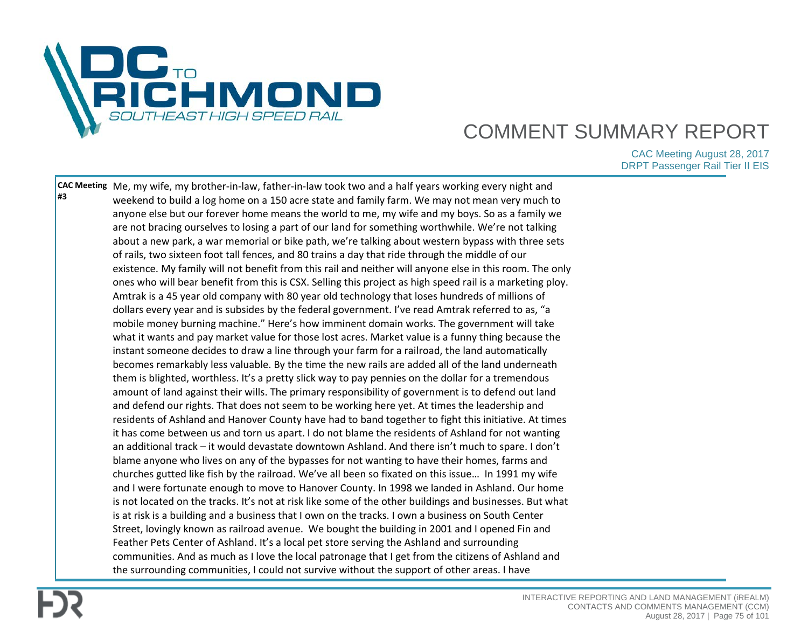

**CAC Meeting**  Me, my wife, my brother-in-law, father-in-law took two and a half years working every night and **#3** weekend to build a log home on a 150 acre state and family farm. We may not mean very much to anyone else but our forever home means the world to me, my wife and my boys. So as a family we are not bracing ourselves to losing a part of our land for something worthwhile. We're not talking about a new park, a war memorial or bike path, we're talking about western bypass with three sets of rails, two sixteen foot tall fences, and 80 trains a day that ride through the middle of our existence. My family will not benefit from this rail and neither will anyone else in this room. The only ones who will bear benefit from this is CSX. Selling this project as high speed rail is a marketing ploy. Amtrak is a 45 year old company with 80 year old technology that loses hundreds of millions of dollars every year and is subsides by the federal government. I've read Amtrak referred to as, "a mobile money burning machine." Here's how imminent domain works. The government will take what it wants and pay market value for those lost acres. Market value is a funny thing because the instant someone decides to draw a line through your farm for a railroad, the land automatically becomes remarkably less valuable. By the time the new rails are added all of the land underneath them is blighted, worthless. It's a pretty slick way to pay pennies on the dollar for a tremendous amount of land against their wills. The primary responsibility of government is to defend out land and defend our rights. That does not seem to be working here yet. At times the leadership and residents of Ashland and Hanover County have had to band together to fight this initiative. At times it has come between us and torn us apart. I do not blame the residents of Ashland for not wanting an additional track – it would devastate downtown Ashland. And there isn't much to spare. I don't blame anyone who lives on any of the bypasses for not wanting to have their homes, farms and churches gutted like fish by the railroad. We've all been so fixated on this issue… In 1991 my wife and I were fortunate enough to move to Hanover County. In 1998 we landed in Ashland. Our home is not located on the tracks. It's not at risk like some of the other buildings and businesses. But what is at risk is a building and a business that I own on the tracks. I own a business on South Center Street, lovingly known as railroad avenue. We bought the building in 2001 and I opened Fin and Feather Pets Center of Ashland. It's a local pet store serving the Ashland and surrounding communities. And as much as I love the local patronage that I get from the citizens of Ashland and the surrounding communities, I could not survive without the support of other areas. I have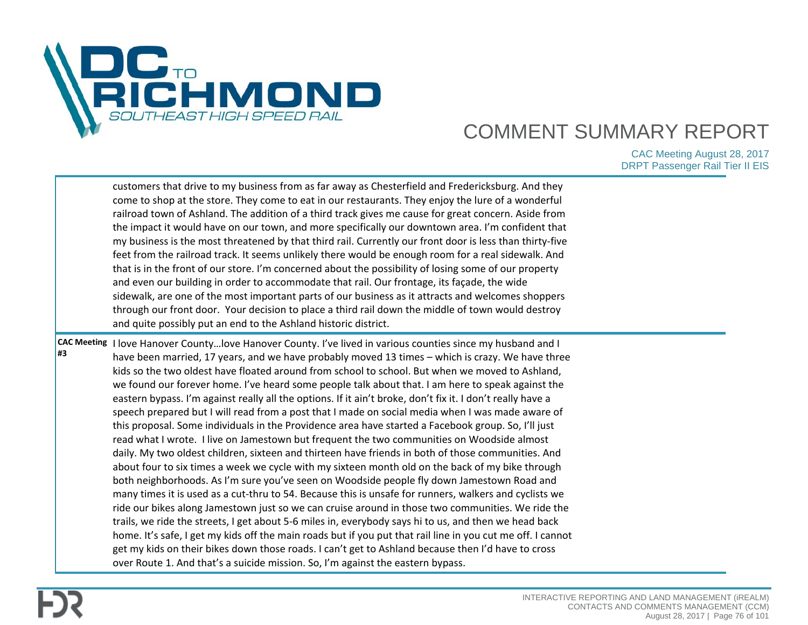

|                          | customers that drive to my business from as far away as Chesterfield and Fredericksburg. And they<br>come to shop at the store. They come to eat in our restaurants. They enjoy the lure of a wonderful<br>railroad town of Ashland. The addition of a third track gives me cause for great concern. Aside from<br>the impact it would have on our town, and more specifically our downtown area. I'm confident that<br>my business is the most threatened by that third rail. Currently our front door is less than thirty-five<br>feet from the railroad track. It seems unlikely there would be enough room for a real sidewalk. And<br>that is in the front of our store. I'm concerned about the possibility of losing some of our property<br>and even our building in order to accommodate that rail. Our frontage, its façade, the wide<br>sidewalk, are one of the most important parts of our business as it attracts and welcomes shoppers<br>through our front door. Your decision to place a third rail down the middle of town would destroy<br>and quite possibly put an end to the Ashland historic district.                                                                                                                                                                                                                                                                                                                                                                                                                                                                                                                                                                                                                                               |  |
|--------------------------|-----------------------------------------------------------------------------------------------------------------------------------------------------------------------------------------------------------------------------------------------------------------------------------------------------------------------------------------------------------------------------------------------------------------------------------------------------------------------------------------------------------------------------------------------------------------------------------------------------------------------------------------------------------------------------------------------------------------------------------------------------------------------------------------------------------------------------------------------------------------------------------------------------------------------------------------------------------------------------------------------------------------------------------------------------------------------------------------------------------------------------------------------------------------------------------------------------------------------------------------------------------------------------------------------------------------------------------------------------------------------------------------------------------------------------------------------------------------------------------------------------------------------------------------------------------------------------------------------------------------------------------------------------------------------------------------------------------------------------------------------------------------------------|--|
| <b>CAC Meeting</b><br>#3 | I love Hanover County love Hanover County. I've lived in various counties since my husband and I<br>have been married, 17 years, and we have probably moved 13 times - which is crazy. We have three<br>kids so the two oldest have floated around from school to school. But when we moved to Ashland,<br>we found our forever home. I've heard some people talk about that. I am here to speak against the<br>eastern bypass. I'm against really all the options. If it ain't broke, don't fix it. I don't really have a<br>speech prepared but I will read from a post that I made on social media when I was made aware of<br>this proposal. Some individuals in the Providence area have started a Facebook group. So, I'll just<br>read what I wrote. I live on Jamestown but frequent the two communities on Woodside almost<br>daily. My two oldest children, sixteen and thirteen have friends in both of those communities. And<br>about four to six times a week we cycle with my sixteen month old on the back of my bike through<br>both neighborhoods. As I'm sure you've seen on Woodside people fly down Jamestown Road and<br>many times it is used as a cut-thru to 54. Because this is unsafe for runners, walkers and cyclists we<br>ride our bikes along Jamestown just so we can cruise around in those two communities. We ride the<br>trails, we ride the streets, I get about 5-6 miles in, everybody says hi to us, and then we head back<br>home. It's safe, I get my kids off the main roads but if you put that rail line in you cut me off. I cannot<br>get my kids on their bikes down those roads. I can't get to Ashland because then I'd have to cross<br>over Route 1. And that's a suicide mission. So, I'm against the eastern bypass. |  |

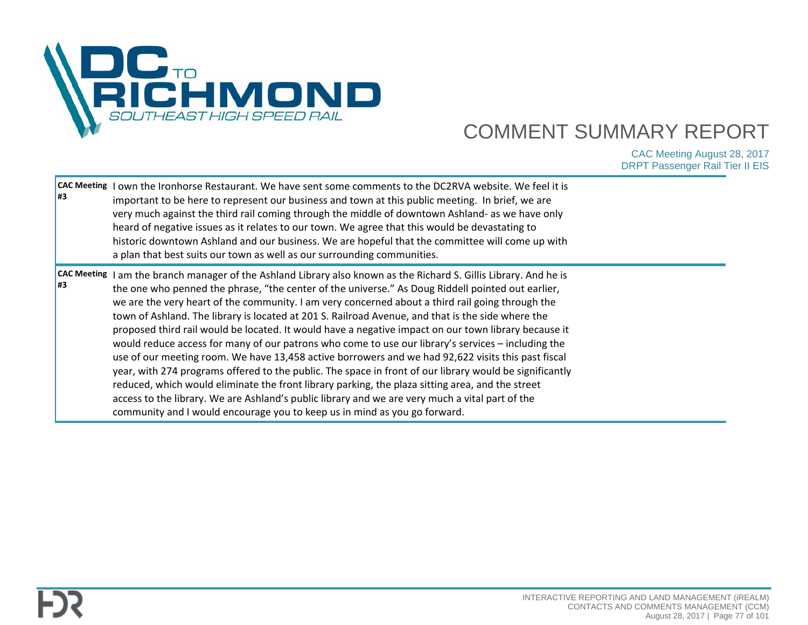

| <b>CAC Meeting</b><br>l#3 | I own the Ironhorse Restaurant. We have sent some comments to the DC2RVA website. We feel it is<br>important to be here to represent our business and town at this public meeting. In brief, we are<br>very much against the third rail coming through the middle of downtown Ashland- as we have only<br>heard of negative issues as it relates to our town. We agree that this would be devastating to<br>historic downtown Ashland and our business. We are hopeful that the committee will come up with<br>a plan that best suits our town as well as our surrounding communities.                                                                                                                                                                                                                                                                                                                                                                                                                                                                                                                                                 |  |
|---------------------------|----------------------------------------------------------------------------------------------------------------------------------------------------------------------------------------------------------------------------------------------------------------------------------------------------------------------------------------------------------------------------------------------------------------------------------------------------------------------------------------------------------------------------------------------------------------------------------------------------------------------------------------------------------------------------------------------------------------------------------------------------------------------------------------------------------------------------------------------------------------------------------------------------------------------------------------------------------------------------------------------------------------------------------------------------------------------------------------------------------------------------------------|--|
| <b>CAC Meeting</b><br>l#3 | I am the branch manager of the Ashland Library also known as the Richard S. Gillis Library. And he is<br>the one who penned the phrase, "the center of the universe." As Doug Riddell pointed out earlier,<br>we are the very heart of the community. I am very concerned about a third rail going through the<br>town of Ashland. The library is located at 201 S. Railroad Avenue, and that is the side where the<br>proposed third rail would be located. It would have a negative impact on our town library because it<br>would reduce access for many of our patrons who come to use our library's services - including the<br>use of our meeting room. We have 13,458 active borrowers and we had 92,622 visits this past fiscal<br>year, with 274 programs offered to the public. The space in front of our library would be significantly<br>reduced, which would eliminate the front library parking, the plaza sitting area, and the street<br>access to the library. We are Ashland's public library and we are very much a vital part of the<br>community and I would encourage you to keep us in mind as you go forward. |  |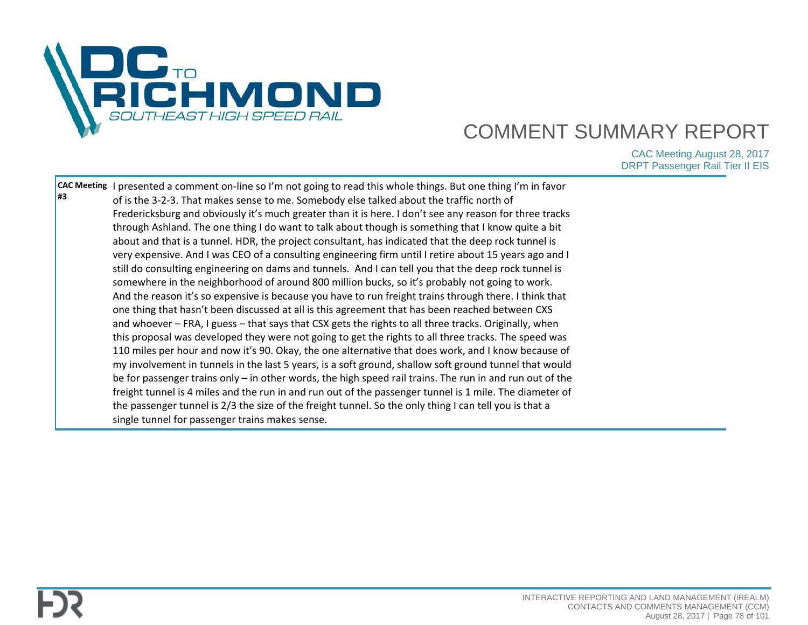

| freight tunnel is 4 miles and the run in and run out of the passenger tunnel is 1 mile. The diameter of<br>the passenger tunnel is 2/3 the size of the freight tunnel. So the only thing I can tell you is that a<br>single tunnel for passenger trains makes sense. |
|----------------------------------------------------------------------------------------------------------------------------------------------------------------------------------------------------------------------------------------------------------------------|
|----------------------------------------------------------------------------------------------------------------------------------------------------------------------------------------------------------------------------------------------------------------------|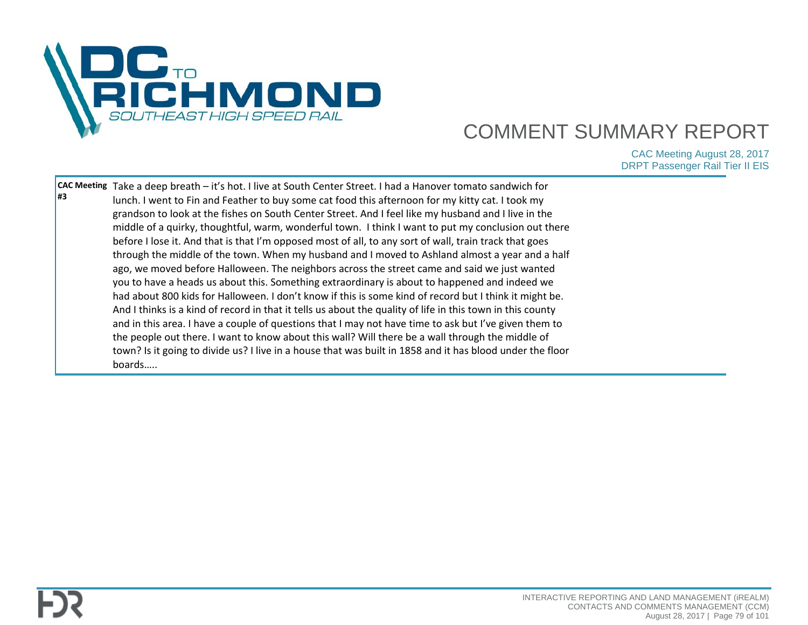

| <b>H3</b> | CAC Meeting Take a deep breath – it's hot. I live at South Center Street. I had a Hanover tomato sandwich for<br>lunch. I went to Fin and Feather to buy some cat food this afternoon for my kitty cat. I took my<br>grandson to look at the fishes on South Center Street. And I feel like my husband and I live in the<br>middle of a quirky, thoughtful, warm, wonderful town. I think I want to put my conclusion out there<br>before I lose it. And that is that I'm opposed most of all, to any sort of wall, train track that goes<br>through the middle of the town. When my husband and I moved to Ashland almost a year and a half<br>ago, we moved before Halloween. The neighbors across the street came and said we just wanted<br>you to have a heads us about this. Something extraordinary is about to happened and indeed we<br>had about 800 kids for Halloween. I don't know if this is some kind of record but I think it might be.<br>And I thinks is a kind of record in that it tells us about the quality of life in this town in this county<br>and in this area. I have a couple of questions that I may not have time to ask but I've given them to |  |
|-----------|--------------------------------------------------------------------------------------------------------------------------------------------------------------------------------------------------------------------------------------------------------------------------------------------------------------------------------------------------------------------------------------------------------------------------------------------------------------------------------------------------------------------------------------------------------------------------------------------------------------------------------------------------------------------------------------------------------------------------------------------------------------------------------------------------------------------------------------------------------------------------------------------------------------------------------------------------------------------------------------------------------------------------------------------------------------------------------------------------------------------------------------------------------------------------------|--|
|           | the people out there. I want to know about this wall? Will there be a wall through the middle of<br>town? Is it going to divide us? I live in a house that was built in 1858 and it has blood under the floor<br>boards                                                                                                                                                                                                                                                                                                                                                                                                                                                                                                                                                                                                                                                                                                                                                                                                                                                                                                                                                        |  |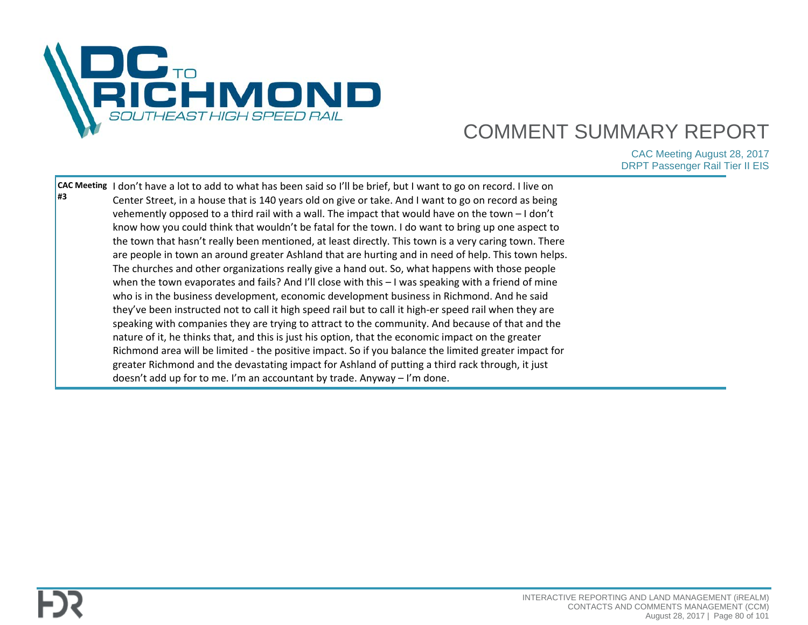

| #3 | CAC Meeting  I don't have a lot to add to what has been said so I'll be brief, but I want to go on record. I live on<br>Center Street, in a house that is 140 years old on give or take. And I want to go on record as being |  |
|----|------------------------------------------------------------------------------------------------------------------------------------------------------------------------------------------------------------------------------|--|
|    | vehemently opposed to a third rail with a wall. The impact that would have on the town $-1$ don't                                                                                                                            |  |
|    | know how you could think that wouldn't be fatal for the town. I do want to bring up one aspect to                                                                                                                            |  |
|    | the town that hasn't really been mentioned, at least directly. This town is a very caring town. There                                                                                                                        |  |
|    | are people in town an around greater Ashland that are hurting and in need of help. This town helps.                                                                                                                          |  |
|    | The churches and other organizations really give a hand out. So, what happens with those people                                                                                                                              |  |
|    | when the town evaporates and fails? And I'll close with this $-1$ was speaking with a friend of mine                                                                                                                         |  |
|    | who is in the business development, economic development business in Richmond. And he said                                                                                                                                   |  |
|    | they've been instructed not to call it high speed rail but to call it high-er speed rail when they are                                                                                                                       |  |
|    | speaking with companies they are trying to attract to the community. And because of that and the                                                                                                                             |  |
|    | nature of it, he thinks that, and this is just his option, that the economic impact on the greater                                                                                                                           |  |
|    | Richmond area will be limited - the positive impact. So if you balance the limited greater impact for                                                                                                                        |  |
|    | greater Richmond and the devastating impact for Ashland of putting a third rack through, it just                                                                                                                             |  |
|    | doesn't add up for to me. I'm an accountant by trade. Anyway - I'm done.                                                                                                                                                     |  |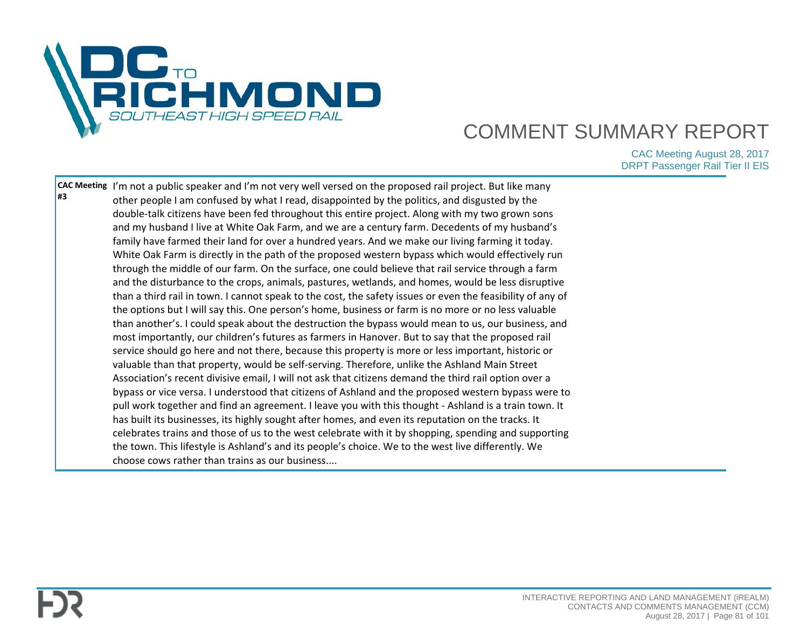

| #3 | CAC Meeting I'm not a public speaker and I'm not very well versed on the proposed rail project. But like many<br>other people I am confused by what I read, disappointed by the politics, and disgusted by the<br>double-talk citizens have been fed throughout this entire project. Along with my two grown sons<br>and my husband I live at White Oak Farm, and we are a century farm. Decedents of my husband's<br>family have farmed their land for over a hundred years. And we make our living farming it today.<br>White Oak Farm is directly in the path of the proposed western bypass which would effectively run<br>through the middle of our farm. On the surface, one could believe that rail service through a farm<br>and the disturbance to the crops, animals, pastures, wetlands, and homes, would be less disruptive<br>than a third rail in town. I cannot speak to the cost, the safety issues or even the feasibility of any of<br>the options but I will say this. One person's home, business or farm is no more or no less valuable<br>than another's. I could speak about the destruction the bypass would mean to us, our business, and<br>most importantly, our children's futures as farmers in Hanover. But to say that the proposed rail<br>service should go here and not there, because this property is more or less important, historic or<br>valuable than that property, would be self-serving. Therefore, unlike the Ashland Main Street<br>Association's recent divisive email, I will not ask that citizens demand the third rail option over a |  |
|----|-----------------------------------------------------------------------------------------------------------------------------------------------------------------------------------------------------------------------------------------------------------------------------------------------------------------------------------------------------------------------------------------------------------------------------------------------------------------------------------------------------------------------------------------------------------------------------------------------------------------------------------------------------------------------------------------------------------------------------------------------------------------------------------------------------------------------------------------------------------------------------------------------------------------------------------------------------------------------------------------------------------------------------------------------------------------------------------------------------------------------------------------------------------------------------------------------------------------------------------------------------------------------------------------------------------------------------------------------------------------------------------------------------------------------------------------------------------------------------------------------------------------------------------------------------------------------------------------|--|
|    | bypass or vice versa. I understood that citizens of Ashland and the proposed western bypass were to<br>pull work together and find an agreement. I leave you with this thought - Ashland is a train town. It<br>has built its businesses, its highly sought after homes, and even its reputation on the tracks. It<br>celebrates trains and those of us to the west celebrate with it by shopping, spending and supporting<br>the town. This lifestyle is Ashland's and its people's choice. We to the west live differently. We<br>choose cows rather than trains as our business                                                                                                                                                                                                                                                                                                                                                                                                                                                                                                                                                                                                                                                                                                                                                                                                                                                                                                                                                                                                      |  |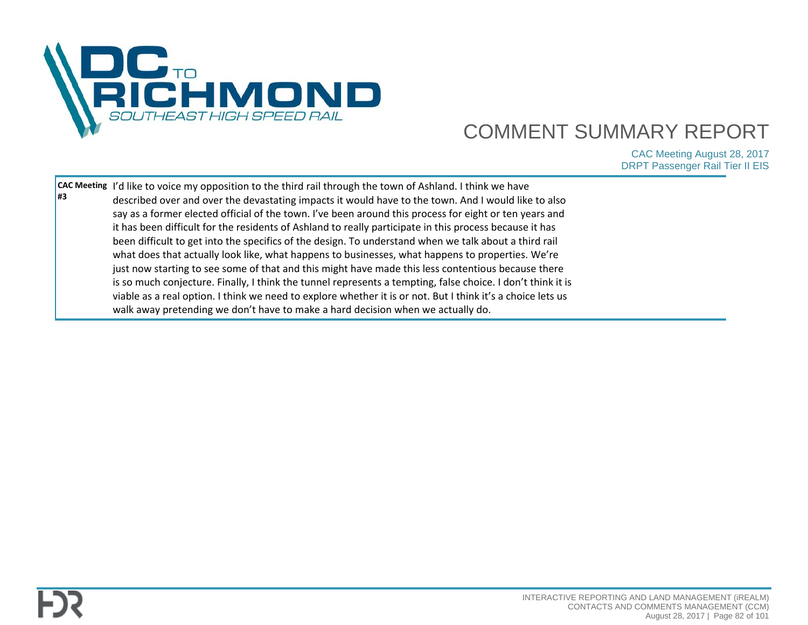

|           | <b>CAC Meeting I'd like to voice my opposition to the third rail through the town of Ashland. I think we have</b> |  |
|-----------|-------------------------------------------------------------------------------------------------------------------|--|
| <b>H3</b> | described over and over the devastating impacts it would have to the town. And I would like to also               |  |
|           | say as a former elected official of the town. I've been around this process for eight or ten years and            |  |
|           | it has been difficult for the residents of Ashland to really participate in this process because it has           |  |
|           | been difficult to get into the specifics of the design. To understand when we talk about a third rail             |  |
|           | what does that actually look like, what happens to businesses, what happens to properties. We're                  |  |
|           | just now starting to see some of that and this might have made this less contentious because there                |  |
|           | is so much conjecture. Finally, I think the tunnel represents a tempting, false choice. I don't think it is       |  |
|           | viable as a real option. I think we need to explore whether it is or not. But I think it's a choice lets us       |  |
|           | walk away pretending we don't have to make a hard decision when we actually do.                                   |  |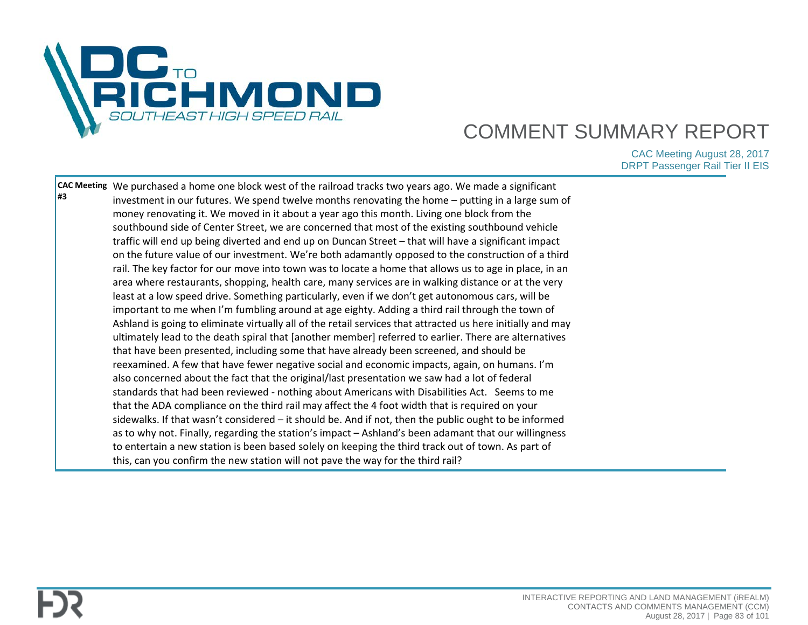

| sidewalks. If that wasn't considered - it should be. And if not, then the public ought to be informed | #3 | CAC Meeting We purchased a home one block west of the railroad tracks two years ago. We made a significant<br>investment in our futures. We spend twelve months renovating the home - putting in a large sum of<br>money renovating it. We moved in it about a year ago this month. Living one block from the<br>southbound side of Center Street, we are concerned that most of the existing southbound vehicle<br>traffic will end up being diverted and end up on Duncan Street - that will have a significant impact<br>on the future value of our investment. We're both adamantly opposed to the construction of a third<br>rail. The key factor for our move into town was to locate a home that allows us to age in place, in an<br>area where restaurants, shopping, health care, many services are in walking distance or at the very<br>least at a low speed drive. Something particularly, even if we don't get autonomous cars, will be<br>important to me when I'm fumbling around at age eighty. Adding a third rail through the town of<br>Ashland is going to eliminate virtually all of the retail services that attracted us here initially and may<br>ultimately lead to the death spiral that [another member] referred to earlier. There are alternatives<br>that have been presented, including some that have already been screened, and should be<br>reexamined. A few that have fewer negative social and economic impacts, again, on humans. I'm<br>also concerned about the fact that the original/last presentation we saw had a lot of federal<br>standards that had been reviewed - nothing about Americans with Disabilities Act. Seems to me<br>that the ADA compliance on the third rail may affect the 4 foot width that is required on your |  |
|-------------------------------------------------------------------------------------------------------|----|---------------------------------------------------------------------------------------------------------------------------------------------------------------------------------------------------------------------------------------------------------------------------------------------------------------------------------------------------------------------------------------------------------------------------------------------------------------------------------------------------------------------------------------------------------------------------------------------------------------------------------------------------------------------------------------------------------------------------------------------------------------------------------------------------------------------------------------------------------------------------------------------------------------------------------------------------------------------------------------------------------------------------------------------------------------------------------------------------------------------------------------------------------------------------------------------------------------------------------------------------------------------------------------------------------------------------------------------------------------------------------------------------------------------------------------------------------------------------------------------------------------------------------------------------------------------------------------------------------------------------------------------------------------------------------------------------------------------------------------------------------------------------------|--|
|                                                                                                       |    | to entertain a new station is been based solely on keeping the third track out of town. As part of<br>this, can you confirm the new station will not pave the way for the third rail?                                                                                                                                                                                                                                                                                                                                                                                                                                                                                                                                                                                                                                                                                                                                                                                                                                                                                                                                                                                                                                                                                                                                                                                                                                                                                                                                                                                                                                                                                                                                                                                           |  |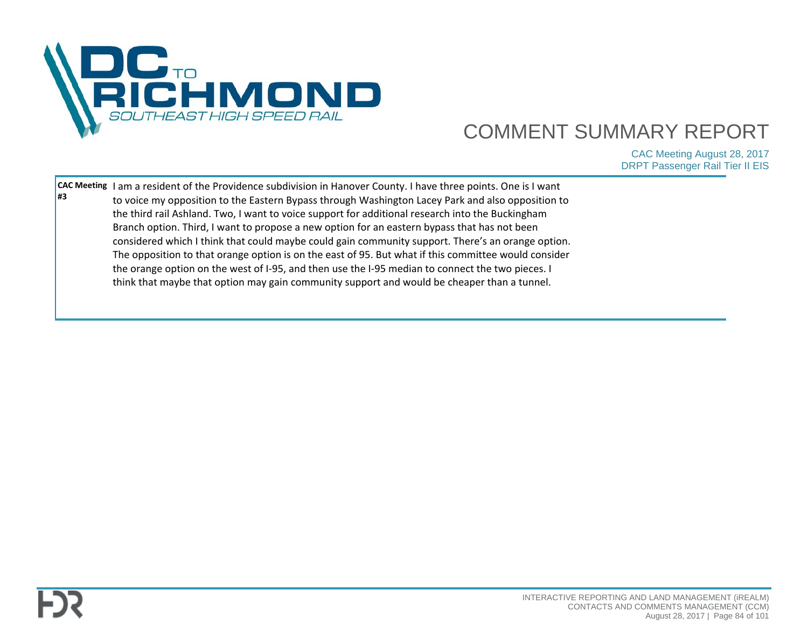

| #3 | <b>CAC Meeting</b> I am a resident of the Providence subdivision in Hanover County. I have three points. One is I want<br>to voice my opposition to the Eastern Bypass through Washington Lacey Park and also opposition to |  |
|----|-----------------------------------------------------------------------------------------------------------------------------------------------------------------------------------------------------------------------------|--|
|    | the third rail Ashland. Two, I want to voice support for additional research into the Buckingham                                                                                                                            |  |
|    | Branch option. Third, I want to propose a new option for an eastern bypass that has not been                                                                                                                                |  |
|    | considered which I think that could maybe could gain community support. There's an orange option.                                                                                                                           |  |
|    | The opposition to that orange option is on the east of 95. But what if this committee would consider                                                                                                                        |  |
|    | the orange option on the west of I-95, and then use the I-95 median to connect the two pieces. I                                                                                                                            |  |
|    | think that maybe that option may gain community support and would be cheaper than a tunnel.                                                                                                                                 |  |
|    |                                                                                                                                                                                                                             |  |
|    |                                                                                                                                                                                                                             |  |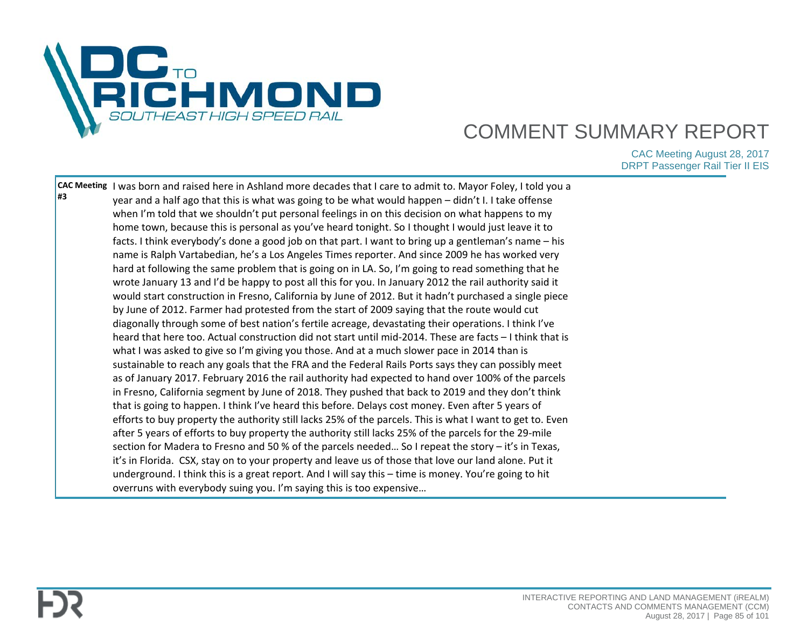

| year and a half ago that this is what was going to be what would happen - didn't I. I take offense<br>when I'm told that we shouldn't put personal feelings in on this decision on what happens to my<br>home town, because this is personal as you've heard tonight. So I thought I would just leave it to<br>facts. I think everybody's done a good job on that part. I want to bring up a gentleman's name - his<br>name is Ralph Vartabedian, he's a Los Angeles Times reporter. And since 2009 he has worked very<br>hard at following the same problem that is going on in LA. So, I'm going to read something that he<br>wrote January 13 and I'd be happy to post all this for you. In January 2012 the rail authority said it<br>would start construction in Fresno, California by June of 2012. But it hadn't purchased a single piece<br>by June of 2012. Farmer had protested from the start of 2009 saying that the route would cut<br>diagonally through some of best nation's fertile acreage, devastating their operations. I think I've<br>heard that here too. Actual construction did not start until mid-2014. These are facts - I think that is<br>what I was asked to give so I'm giving you those. And at a much slower pace in 2014 than is<br>sustainable to reach any goals that the FRA and the Federal Rails Ports says they can possibly meet<br>as of January 2017. February 2016 the rail authority had expected to hand over 100% of the parcels<br>in Fresno, California segment by June of 2018. They pushed that back to 2019 and they don't think<br>that is going to happen. I think I've heard this before. Delays cost money. Even after 5 years of<br>efforts to buy property the authority still lacks 25% of the parcels. This is what I want to get to. Even<br>after 5 years of efforts to buy property the authority still lacks 25% of the parcels for the 29-mile<br>section for Madera to Fresno and 50 % of the parcels needed So I repeat the story – it's in Texas,<br>it's in Florida. CSX, stay on to your property and leave us of those that love our land alone. Put it<br>underground. I think this is a great report. And I will say this - time is money. You're going to hit |                                                                                                                   |
|------------------------------------------------------------------------------------------------------------------------------------------------------------------------------------------------------------------------------------------------------------------------------------------------------------------------------------------------------------------------------------------------------------------------------------------------------------------------------------------------------------------------------------------------------------------------------------------------------------------------------------------------------------------------------------------------------------------------------------------------------------------------------------------------------------------------------------------------------------------------------------------------------------------------------------------------------------------------------------------------------------------------------------------------------------------------------------------------------------------------------------------------------------------------------------------------------------------------------------------------------------------------------------------------------------------------------------------------------------------------------------------------------------------------------------------------------------------------------------------------------------------------------------------------------------------------------------------------------------------------------------------------------------------------------------------------------------------------------------------------------------------------------------------------------------------------------------------------------------------------------------------------------------------------------------------------------------------------------------------------------------------------------------------------------------------------------------------------------------------------------------------------------------------------------------------------------------------------------------------|-------------------------------------------------------------------------------------------------------------------|
| overruns with everybody suing you. I'm saying this is too expensive                                                                                                                                                                                                                                                                                                                                                                                                                                                                                                                                                                                                                                                                                                                                                                                                                                                                                                                                                                                                                                                                                                                                                                                                                                                                                                                                                                                                                                                                                                                                                                                                                                                                                                                                                                                                                                                                                                                                                                                                                                                                                                                                                                      |                                                                                                                   |
|                                                                                                                                                                                                                                                                                                                                                                                                                                                                                                                                                                                                                                                                                                                                                                                                                                                                                                                                                                                                                                                                                                                                                                                                                                                                                                                                                                                                                                                                                                                                                                                                                                                                                                                                                                                                                                                                                                                                                                                                                                                                                                                                                                                                                                          | CAC Meeting I was born and raised here in Ashland more decades that I care to admit to. Mayor Foley, I told you a |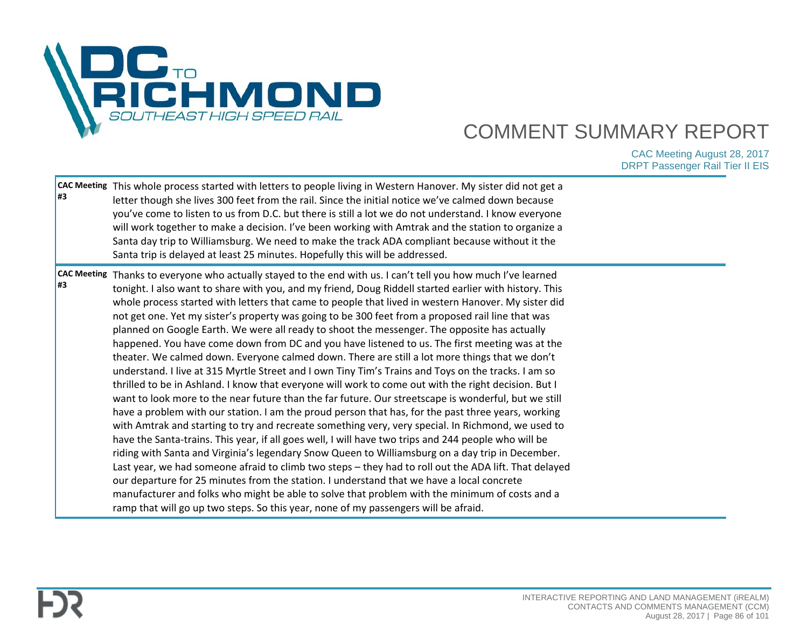

| #3  | CAC Meeting This whole process started with letters to people living in Western Hanover. My sister did not get a<br>letter though she lives 300 feet from the rail. Since the initial notice we've calmed down because<br>you've come to listen to us from D.C. but there is still a lot we do not understand. I know everyone<br>will work together to make a decision. I've been working with Amtrak and the station to organize a<br>Santa day trip to Williamsburg. We need to make the track ADA compliant because without it the<br>Santa trip is delayed at least 25 minutes. Hopefully this will be addressed.                                                                                                                                                                                                                                                                                                                                                                                                                                                                                                                                                                                                                                                                                                                                                                                                                                                                                                                                                                                                                                                                                                                                                                                                                                                                |  |
|-----|---------------------------------------------------------------------------------------------------------------------------------------------------------------------------------------------------------------------------------------------------------------------------------------------------------------------------------------------------------------------------------------------------------------------------------------------------------------------------------------------------------------------------------------------------------------------------------------------------------------------------------------------------------------------------------------------------------------------------------------------------------------------------------------------------------------------------------------------------------------------------------------------------------------------------------------------------------------------------------------------------------------------------------------------------------------------------------------------------------------------------------------------------------------------------------------------------------------------------------------------------------------------------------------------------------------------------------------------------------------------------------------------------------------------------------------------------------------------------------------------------------------------------------------------------------------------------------------------------------------------------------------------------------------------------------------------------------------------------------------------------------------------------------------------------------------------------------------------------------------------------------------|--|
| l#3 | CAC Meeting Thanks to everyone who actually stayed to the end with us. I can't tell you how much I've learned<br>tonight. I also want to share with you, and my friend, Doug Riddell started earlier with history. This<br>whole process started with letters that came to people that lived in western Hanover. My sister did<br>not get one. Yet my sister's property was going to be 300 feet from a proposed rail line that was<br>planned on Google Earth. We were all ready to shoot the messenger. The opposite has actually<br>happened. You have come down from DC and you have listened to us. The first meeting was at the<br>theater. We calmed down. Everyone calmed down. There are still a lot more things that we don't<br>understand. I live at 315 Myrtle Street and I own Tiny Tim's Trains and Toys on the tracks. I am so<br>thrilled to be in Ashland. I know that everyone will work to come out with the right decision. But I<br>want to look more to the near future than the far future. Our streetscape is wonderful, but we still<br>have a problem with our station. I am the proud person that has, for the past three years, working<br>with Amtrak and starting to try and recreate something very, very special. In Richmond, we used to<br>have the Santa-trains. This year, if all goes well, I will have two trips and 244 people who will be<br>riding with Santa and Virginia's legendary Snow Queen to Williamsburg on a day trip in December.<br>Last year, we had someone afraid to climb two steps - they had to roll out the ADA lift. That delayed<br>our departure for 25 minutes from the station. I understand that we have a local concrete<br>manufacturer and folks who might be able to solve that problem with the minimum of costs and a<br>ramp that will go up two steps. So this year, none of my passengers will be afraid. |  |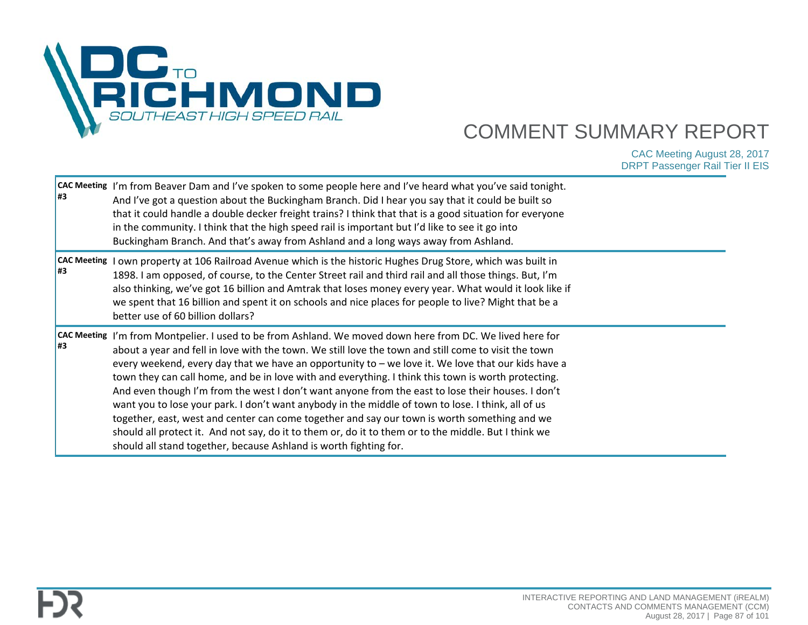

| l#3                       | CAC Meeting I'm from Beaver Dam and I've spoken to some people here and I've heard what you've said tonight.<br>And I've got a question about the Buckingham Branch. Did I hear you say that it could be built so<br>that it could handle a double decker freight trains? I think that that is a good situation for everyone<br>in the community. I think that the high speed rail is important but I'd like to see it go into<br>Buckingham Branch. And that's away from Ashland and a long ways away from Ashland.                                                                                                                                                                                                                                                                                                                                                                                       |  |
|---------------------------|------------------------------------------------------------------------------------------------------------------------------------------------------------------------------------------------------------------------------------------------------------------------------------------------------------------------------------------------------------------------------------------------------------------------------------------------------------------------------------------------------------------------------------------------------------------------------------------------------------------------------------------------------------------------------------------------------------------------------------------------------------------------------------------------------------------------------------------------------------------------------------------------------------|--|
| <b>CAC Meeting</b><br>l#3 | I own property at 106 Railroad Avenue which is the historic Hughes Drug Store, which was built in<br>1898. I am opposed, of course, to the Center Street rail and third rail and all those things. But, I'm<br>also thinking, we've got 16 billion and Amtrak that loses money every year. What would it look like if<br>we spent that 16 billion and spent it on schools and nice places for people to live? Might that be a<br>better use of 60 billion dollars?                                                                                                                                                                                                                                                                                                                                                                                                                                         |  |
| <b>CAC Meeting</b><br>l#3 | I'm from Montpelier. I used to be from Ashland. We moved down here from DC. We lived here for<br>about a year and fell in love with the town. We still love the town and still come to visit the town<br>every weekend, every day that we have an opportunity to - we love it. We love that our kids have a<br>town they can call home, and be in love with and everything. I think this town is worth protecting.<br>And even though I'm from the west I don't want anyone from the east to lose their houses. I don't<br>want you to lose your park. I don't want anybody in the middle of town to lose. I think, all of us<br>together, east, west and center can come together and say our town is worth something and we<br>should all protect it. And not say, do it to them or, do it to them or to the middle. But I think we<br>should all stand together, because Ashland is worth fighting for. |  |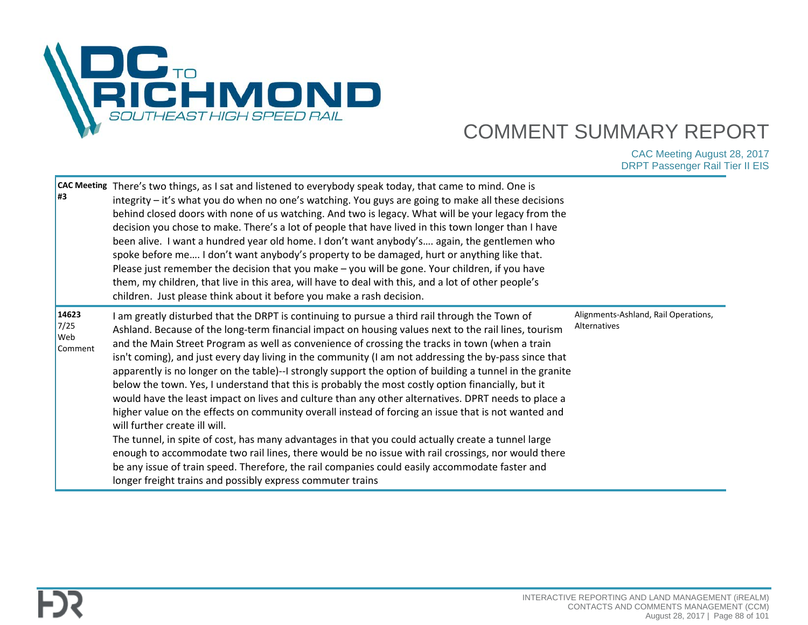

| #3                              | CAC Meeting There's two things, as I sat and listened to everybody speak today, that came to mind. One is<br>integrity - it's what you do when no one's watching. You guys are going to make all these decisions<br>behind closed doors with none of us watching. And two is legacy. What will be your legacy from the<br>decision you chose to make. There's a lot of people that have lived in this town longer than I have<br>been alive. I want a hundred year old home. I don't want anybody's again, the gentlemen who<br>spoke before me I don't want anybody's property to be damaged, hurt or anything like that.<br>Please just remember the decision that you make - you will be gone. Your children, if you have<br>them, my children, that live in this area, will have to deal with this, and a lot of other people's<br>children. Just please think about it before you make a rash decision.                                                                                                                                                                                                                                                                                                                                                   |                                                      |
|---------------------------------|----------------------------------------------------------------------------------------------------------------------------------------------------------------------------------------------------------------------------------------------------------------------------------------------------------------------------------------------------------------------------------------------------------------------------------------------------------------------------------------------------------------------------------------------------------------------------------------------------------------------------------------------------------------------------------------------------------------------------------------------------------------------------------------------------------------------------------------------------------------------------------------------------------------------------------------------------------------------------------------------------------------------------------------------------------------------------------------------------------------------------------------------------------------------------------------------------------------------------------------------------------------|------------------------------------------------------|
| 14623<br>7/25<br>Web<br>Comment | I am greatly disturbed that the DRPT is continuing to pursue a third rail through the Town of<br>Ashland. Because of the long-term financial impact on housing values next to the rail lines, tourism<br>and the Main Street Program as well as convenience of crossing the tracks in town (when a train<br>isn't coming), and just every day living in the community (I am not addressing the by-pass since that<br>apparently is no longer on the table)--I strongly support the option of building a tunnel in the granite<br>below the town. Yes, I understand that this is probably the most costly option financially, but it<br>would have the least impact on lives and culture than any other alternatives. DPRT needs to place a<br>higher value on the effects on community overall instead of forcing an issue that is not wanted and<br>will further create ill will.<br>The tunnel, in spite of cost, has many advantages in that you could actually create a tunnel large<br>enough to accommodate two rail lines, there would be no issue with rail crossings, nor would there<br>be any issue of train speed. Therefore, the rail companies could easily accommodate faster and<br>longer freight trains and possibly express commuter trains | Alignments-Ashland, Rail Operations,<br>Alternatives |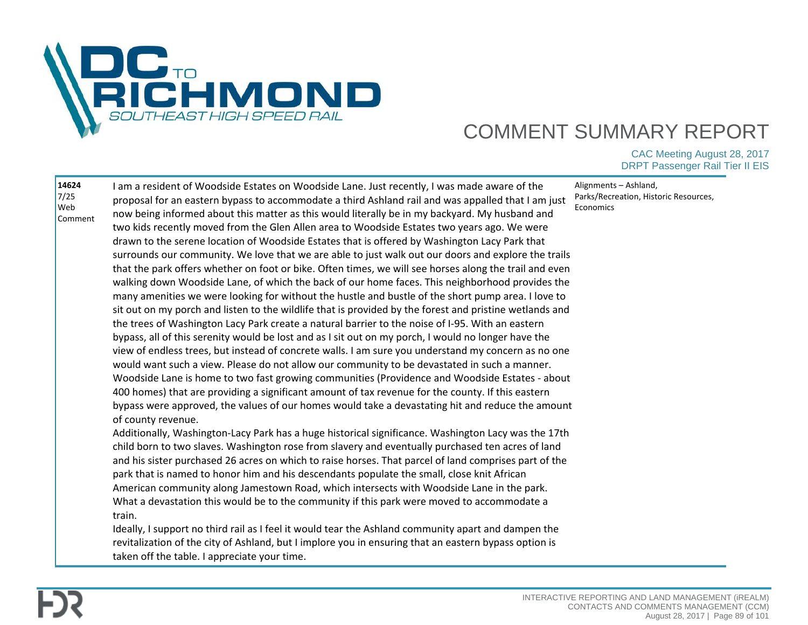

| 14624<br>7/25<br>Web<br>Comment | I am a resident of Woodside Estates on Woodside Lane. Just recently, I was made aware of the<br>proposal for an eastern bypass to accommodate a third Ashland rail and was appalled that I am just<br>now being informed about this matter as this would literally be in my backyard. My husband and<br>two kids recently moved from the Glen Allen area to Woodside Estates two years ago. We were<br>drawn to the serene location of Woodside Estates that is offered by Washington Lacy Park that<br>surrounds our community. We love that we are able to just walk out our doors and explore the trails<br>that the park offers whether on foot or bike. Often times, we will see horses along the trail and even<br>walking down Woodside Lane, of which the back of our home faces. This neighborhood provides the<br>many amenities we were looking for without the hustle and bustle of the short pump area. I love to<br>sit out on my porch and listen to the wildlife that is provided by the forest and pristine wetlands and<br>the trees of Washington Lacy Park create a natural barrier to the noise of I-95. With an eastern<br>bypass, all of this serenity would be lost and as I sit out on my porch, I would no longer have the<br>view of endless trees, but instead of concrete walls. I am sure you understand my concern as no one<br>would want such a view. Please do not allow our community to be devastated in such a manner.<br>Woodside Lane is home to two fast growing communities (Providence and Woodside Estates - about<br>400 homes) that are providing a significant amount of tax revenue for the county. If this eastern<br>bypass were approved, the values of our homes would take a devastating hit and reduce the amount<br>of county revenue.<br>Additionally, Washington-Lacy Park has a huge historical significance. Washington Lacy was the 17th<br>child born to two slaves. Washington rose from slavery and eventually purchased ten acres of land<br>and his sister purchased 26 acres on which to raise horses. That parcel of land comprises part of the<br>park that is named to honor him and his descendants populate the small, close knit African<br>American community along Jamestown Road, which intersects with Woodside Lane in the park.<br>What a devastation this would be to the community if this park were moved to accommodate a<br>train.<br>Ideally, I support no third rail as I feel it would tear the Ashland community apart and dampen the<br>revitalization of the city of Ashland, but I implore you in ensuring that an eastern bypass option is<br>taken off the table. I appreciate your time. | Alignments - Ashland,<br>Parks/Recreation, Historic Resources,<br>Economics |
|---------------------------------|--------------------------------------------------------------------------------------------------------------------------------------------------------------------------------------------------------------------------------------------------------------------------------------------------------------------------------------------------------------------------------------------------------------------------------------------------------------------------------------------------------------------------------------------------------------------------------------------------------------------------------------------------------------------------------------------------------------------------------------------------------------------------------------------------------------------------------------------------------------------------------------------------------------------------------------------------------------------------------------------------------------------------------------------------------------------------------------------------------------------------------------------------------------------------------------------------------------------------------------------------------------------------------------------------------------------------------------------------------------------------------------------------------------------------------------------------------------------------------------------------------------------------------------------------------------------------------------------------------------------------------------------------------------------------------------------------------------------------------------------------------------------------------------------------------------------------------------------------------------------------------------------------------------------------------------------------------------------------------------------------------------------------------------------------------------------------------------------------------------------------------------------------------------------------------------------------------------------------------------------------------------------------------------------------------------------------------------------------------------------------------------------------------------------------------------------------------------------------------------------------------------------------------------------------------------------------------------------------------------------------------------------------------------------------------------|-----------------------------------------------------------------------------|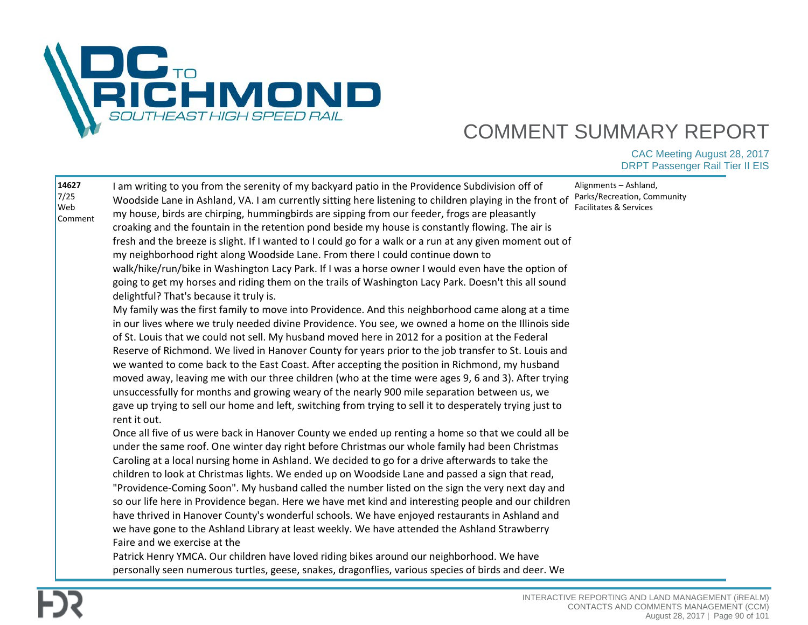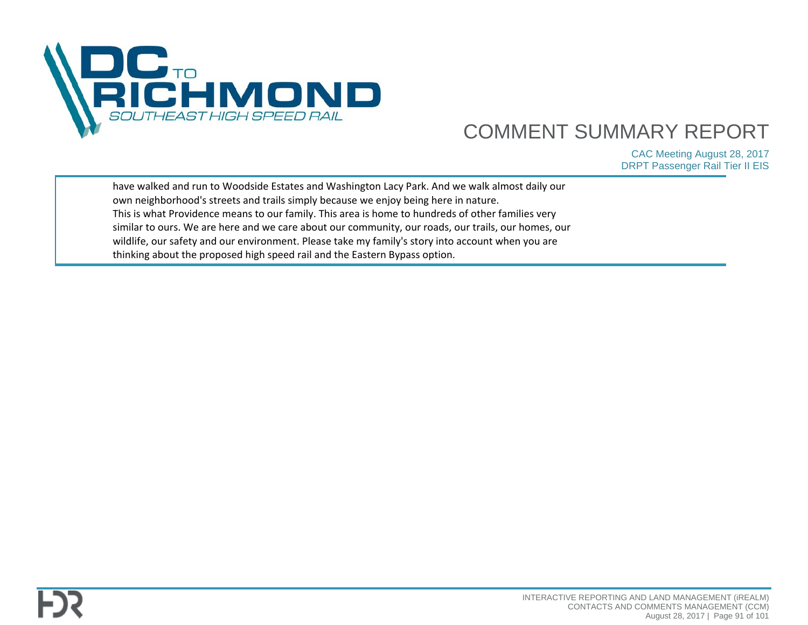

| have walked and run to Woodside Estates and Washington Lacy Park. And we walk almost daily our      |  |
|-----------------------------------------------------------------------------------------------------|--|
| own neighborhood's streets and trails simply because we enjoy being here in nature.                 |  |
| This is what Providence means to our family. This area is home to hundreds of other families very   |  |
| similar to ours. We are here and we care about our community, our roads, our trails, our homes, our |  |
| wildlife, our safety and our environment. Please take my family's story into account when you are   |  |
| thinking about the proposed high speed rail and the Eastern Bypass option.                          |  |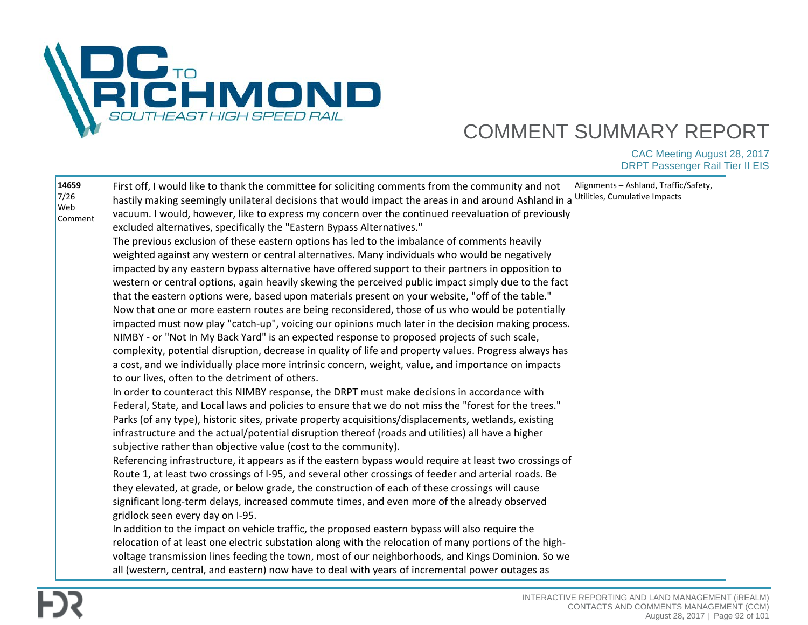

| 14659<br>Alignments - Ashland, Traffic/Safety,<br>First off, I would like to thank the committee for soliciting comments from the community and not<br>7/26<br>Utilities, Cumulative Impacts<br>hastily making seemingly unilateral decisions that would impact the areas in and around Ashland in a<br>Web<br>vacuum. I would, however, like to express my concern over the continued reevaluation of previously<br>Comment<br>excluded alternatives, specifically the "Eastern Bypass Alternatives."<br>The previous exclusion of these eastern options has led to the imbalance of comments heavily<br>weighted against any western or central alternatives. Many individuals who would be negatively<br>impacted by any eastern bypass alternative have offered support to their partners in opposition to<br>western or central options, again heavily skewing the perceived public impact simply due to the fact<br>that the eastern options were, based upon materials present on your website, "off of the table."<br>Now that one or more eastern routes are being reconsidered, those of us who would be potentially<br>impacted must now play "catch-up", voicing our opinions much later in the decision making process.<br>NIMBY - or "Not In My Back Yard" is an expected response to proposed projects of such scale,<br>complexity, potential disruption, decrease in quality of life and property values. Progress always has<br>a cost, and we individually place more intrinsic concern, weight, value, and importance on impacts<br>to our lives, often to the detriment of others.<br>In order to counteract this NIMBY response, the DRPT must make decisions in accordance with<br>Federal, State, and Local laws and policies to ensure that we do not miss the "forest for the trees."<br>Parks (of any type), historic sites, private property acquisitions/displacements, wetlands, existing<br>infrastructure and the actual/potential disruption thereof (roads and utilities) all have a higher<br>subjective rather than objective value (cost to the community).<br>Referencing infrastructure, it appears as if the eastern bypass would require at least two crossings of<br>Route 1, at least two crossings of I-95, and several other crossings of feeder and arterial roads. Be<br>they elevated, at grade, or below grade, the construction of each of these crossings will cause<br>significant long-term delays, increased commute times, and even more of the already observed<br>gridlock seen every day on I-95.<br>In addition to the impact on vehicle traffic, the proposed eastern bypass will also require the<br>relocation of at least one electric substation along with the relocation of many portions of the high-<br>voltage transmission lines feeding the town, most of our neighborhoods, and Kings Dominion. So we<br>all (western, central, and eastern) now have to deal with years of incremental power outages as |
|----------------------------------------------------------------------------------------------------------------------------------------------------------------------------------------------------------------------------------------------------------------------------------------------------------------------------------------------------------------------------------------------------------------------------------------------------------------------------------------------------------------------------------------------------------------------------------------------------------------------------------------------------------------------------------------------------------------------------------------------------------------------------------------------------------------------------------------------------------------------------------------------------------------------------------------------------------------------------------------------------------------------------------------------------------------------------------------------------------------------------------------------------------------------------------------------------------------------------------------------------------------------------------------------------------------------------------------------------------------------------------------------------------------------------------------------------------------------------------------------------------------------------------------------------------------------------------------------------------------------------------------------------------------------------------------------------------------------------------------------------------------------------------------------------------------------------------------------------------------------------------------------------------------------------------------------------------------------------------------------------------------------------------------------------------------------------------------------------------------------------------------------------------------------------------------------------------------------------------------------------------------------------------------------------------------------------------------------------------------------------------------------------------------------------------------------------------------------------------------------------------------------------------------------------------------------------------------------------------------------------------------------------------------------------------------------------------------------------------------------------------------------------------------------------------------------------------------------------------------------------------------------------------------------------------------------------------------------------------|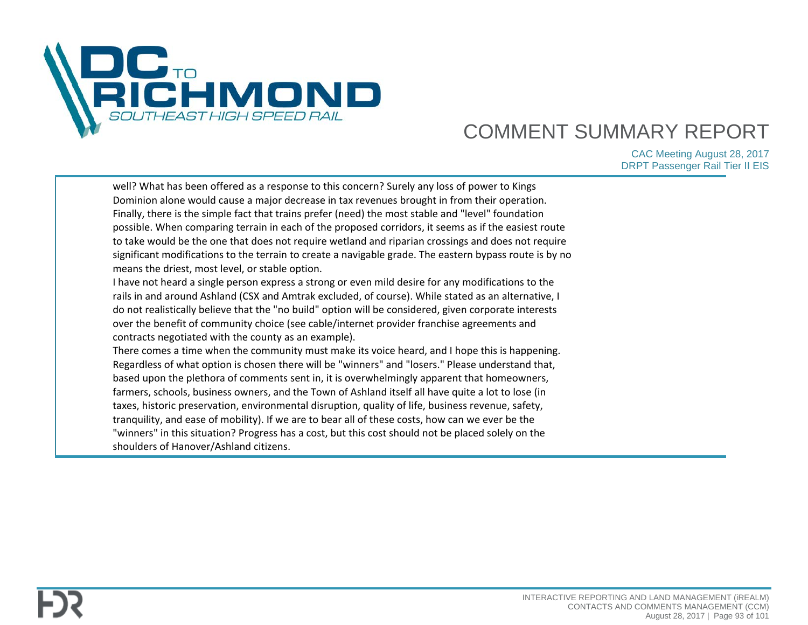

| well? What has been offered as a response to this concern? Surely any loss of power to Kings<br>Dominion alone would cause a major decrease in tax revenues brought in from their operation.<br>Finally, there is the simple fact that trains prefer (need) the most stable and "level" foundation<br>possible. When comparing terrain in each of the proposed corridors, it seems as if the easiest route<br>to take would be the one that does not require wetland and riparian crossings and does not require<br>significant modifications to the terrain to create a navigable grade. The eastern bypass route is by no<br>means the driest, most level, or stable option.<br>I have not heard a single person express a strong or even mild desire for any modifications to the<br>rails in and around Ashland (CSX and Amtrak excluded, of course). While stated as an alternative, I<br>do not realistically believe that the "no build" option will be considered, given corporate interests<br>over the benefit of community choice (see cable/internet provider franchise agreements and<br>contracts negotiated with the county as an example).<br>There comes a time when the community must make its voice heard, and I hope this is happening.<br>Regardless of what option is chosen there will be "winners" and "losers." Please understand that,<br>based upon the plethora of comments sent in, it is overwhelmingly apparent that homeowners, |  |
|------------------------------------------------------------------------------------------------------------------------------------------------------------------------------------------------------------------------------------------------------------------------------------------------------------------------------------------------------------------------------------------------------------------------------------------------------------------------------------------------------------------------------------------------------------------------------------------------------------------------------------------------------------------------------------------------------------------------------------------------------------------------------------------------------------------------------------------------------------------------------------------------------------------------------------------------------------------------------------------------------------------------------------------------------------------------------------------------------------------------------------------------------------------------------------------------------------------------------------------------------------------------------------------------------------------------------------------------------------------------------------------------------------------------------------------------------------------|--|
|                                                                                                                                                                                                                                                                                                                                                                                                                                                                                                                                                                                                                                                                                                                                                                                                                                                                                                                                                                                                                                                                                                                                                                                                                                                                                                                                                                                                                                                                  |  |
| farmers, schools, business owners, and the Town of Ashland itself all have quite a lot to lose (in<br>taxes, historic preservation, environmental disruption, quality of life, business revenue, safety,                                                                                                                                                                                                                                                                                                                                                                                                                                                                                                                                                                                                                                                                                                                                                                                                                                                                                                                                                                                                                                                                                                                                                                                                                                                         |  |
| tranquility, and ease of mobility). If we are to bear all of these costs, how can we ever be the<br>"winners" in this situation? Progress has a cost, but this cost should not be placed solely on the                                                                                                                                                                                                                                                                                                                                                                                                                                                                                                                                                                                                                                                                                                                                                                                                                                                                                                                                                                                                                                                                                                                                                                                                                                                           |  |
| shoulders of Hanover/Ashland citizens.                                                                                                                                                                                                                                                                                                                                                                                                                                                                                                                                                                                                                                                                                                                                                                                                                                                                                                                                                                                                                                                                                                                                                                                                                                                                                                                                                                                                                           |  |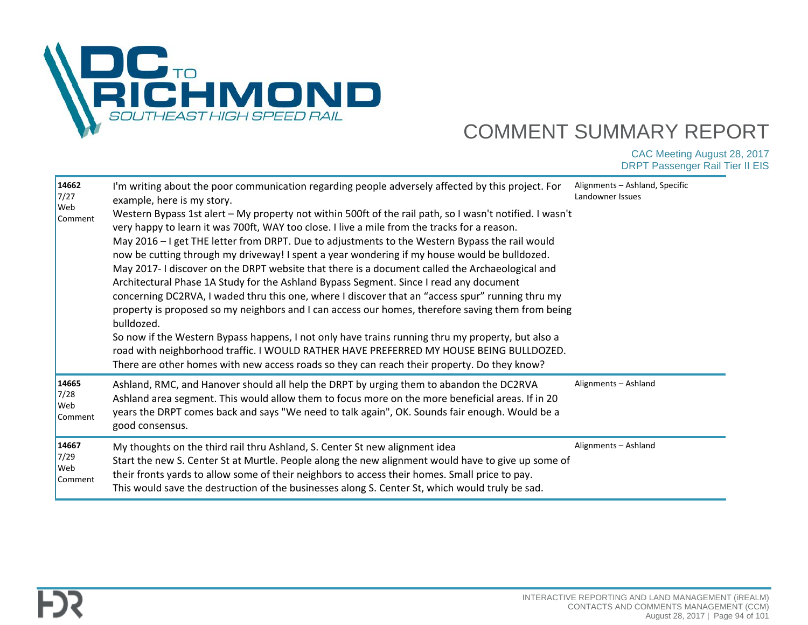

| 14662<br>7/27<br>Web<br>Comment | I'm writing about the poor communication regarding people adversely affected by this project. For<br>example, here is my story.<br>Western Bypass 1st alert - My property not within 500ft of the rail path, so I wasn't notified. I wasn't<br>very happy to learn it was 700ft, WAY too close. I live a mile from the tracks for a reason.<br>May 2016 - I get THE letter from DRPT. Due to adjustments to the Western Bypass the rail would<br>now be cutting through my driveway! I spent a year wondering if my house would be bulldozed.<br>May 2017-1 discover on the DRPT website that there is a document called the Archaeological and<br>Architectural Phase 1A Study for the Ashland Bypass Segment. Since I read any document<br>concerning DC2RVA, I waded thru this one, where I discover that an "access spur" running thru my<br>property is proposed so my neighbors and I can access our homes, therefore saving them from being<br>bulldozed.<br>So now if the Western Bypass happens, I not only have trains running thru my property, but also a<br>road with neighborhood traffic. I WOULD RATHER HAVE PREFERRED MY HOUSE BEING BULLDOZED.<br>There are other homes with new access roads so they can reach their property. Do they know? | Alignments - Ashland, Specific<br>Landowner Issues |
|---------------------------------|-----------------------------------------------------------------------------------------------------------------------------------------------------------------------------------------------------------------------------------------------------------------------------------------------------------------------------------------------------------------------------------------------------------------------------------------------------------------------------------------------------------------------------------------------------------------------------------------------------------------------------------------------------------------------------------------------------------------------------------------------------------------------------------------------------------------------------------------------------------------------------------------------------------------------------------------------------------------------------------------------------------------------------------------------------------------------------------------------------------------------------------------------------------------------------------------------------------------------------------------------------------------|----------------------------------------------------|
| 14665<br>7/28<br>Web<br>Comment | Ashland, RMC, and Hanover should all help the DRPT by urging them to abandon the DC2RVA<br>Ashland area segment. This would allow them to focus more on the more beneficial areas. If in 20<br>years the DRPT comes back and says "We need to talk again", OK. Sounds fair enough. Would be a<br>good consensus.                                                                                                                                                                                                                                                                                                                                                                                                                                                                                                                                                                                                                                                                                                                                                                                                                                                                                                                                                | Alignments - Ashland                               |
| 14667<br>7/29<br>Web<br>Comment | My thoughts on the third rail thru Ashland, S. Center St new alignment idea<br>Start the new S. Center St at Murtle. People along the new alignment would have to give up some of<br>their fronts yards to allow some of their neighbors to access their homes. Small price to pay.<br>This would save the destruction of the businesses along S. Center St, which would truly be sad.                                                                                                                                                                                                                                                                                                                                                                                                                                                                                                                                                                                                                                                                                                                                                                                                                                                                          | Alignments - Ashland                               |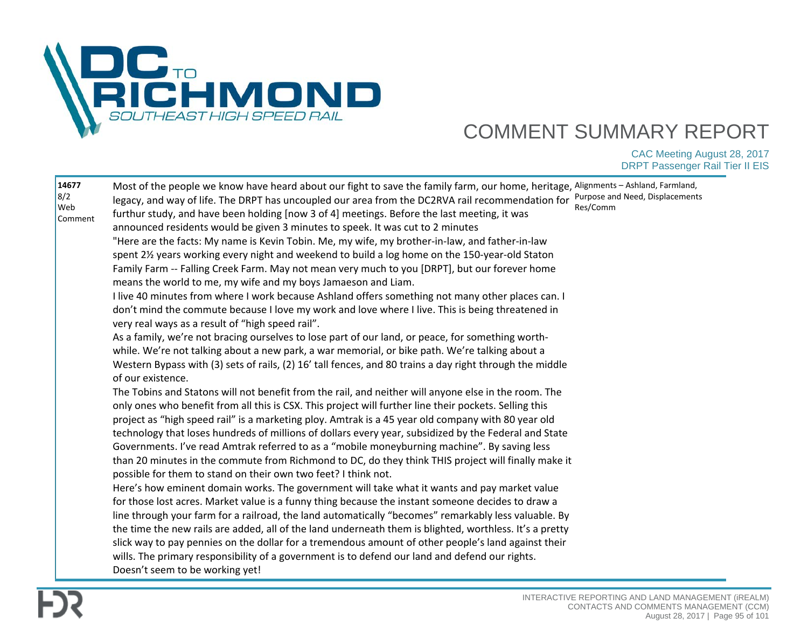

| 14677<br>8/2<br>Web<br>Comment | Most of the people we know have heard about our fight to save the family farm, our home, heritage, Alignments - Ashland, Farmland,<br>legacy, and way of life. The DRPT has uncoupled our area from the DC2RVA rail recommendation for<br>furthur study, and have been holding [now 3 of 4] meetings. Before the last meeting, it was<br>announced residents would be given 3 minutes to speek. It was cut to 2 minutes<br>"Here are the facts: My name is Kevin Tobin. Me, my wife, my brother-in-law, and father-in-law<br>spent 2½ years working every night and weekend to build a log home on the 150-year-old Staton<br>Family Farm -- Falling Creek Farm. May not mean very much to you [DRPT], but our forever home<br>means the world to me, my wife and my boys Jamaeson and Liam.<br>I live 40 minutes from where I work because Ashland offers something not many other places can. I<br>don't mind the commute because I love my work and love where I live. This is being threatened in<br>very real ways as a result of "high speed rail".<br>As a family, we're not bracing ourselves to lose part of our land, or peace, for something worth-<br>while. We're not talking about a new park, a war memorial, or bike path. We're talking about a<br>Western Bypass with (3) sets of rails, (2) 16' tall fences, and 80 trains a day right through the middle<br>of our existence.<br>The Tobins and Statons will not benefit from the rail, and neither will anyone else in the room. The<br>only ones who benefit from all this is CSX. This project will further line their pockets. Selling this<br>project as "high speed rail" is a marketing ploy. Amtrak is a 45 year old company with 80 year old<br>technology that loses hundreds of millions of dollars every year, subsidized by the Federal and State<br>Governments. I've read Amtrak referred to as a "mobile moneyburning machine". By saving less<br>than 20 minutes in the commute from Richmond to DC, do they think THIS project will finally make it<br>possible for them to stand on their own two feet? I think not.<br>Here's how eminent domain works. The government will take what it wants and pay market value<br>for those lost acres. Market value is a funny thing because the instant someone decides to draw a<br>line through your farm for a railroad, the land automatically "becomes" remarkably less valuable. By<br>the time the new rails are added, all of the land underneath them is blighted, worthless. It's a pretty<br>slick way to pay pennies on the dollar for a tremendous amount of other people's land against their<br>wills. The primary responsibility of a government is to defend our land and defend our rights.<br>Doesn't seem to be working yet! | Purpose and Need, Displacements<br>Res/Comm |
|--------------------------------|---------------------------------------------------------------------------------------------------------------------------------------------------------------------------------------------------------------------------------------------------------------------------------------------------------------------------------------------------------------------------------------------------------------------------------------------------------------------------------------------------------------------------------------------------------------------------------------------------------------------------------------------------------------------------------------------------------------------------------------------------------------------------------------------------------------------------------------------------------------------------------------------------------------------------------------------------------------------------------------------------------------------------------------------------------------------------------------------------------------------------------------------------------------------------------------------------------------------------------------------------------------------------------------------------------------------------------------------------------------------------------------------------------------------------------------------------------------------------------------------------------------------------------------------------------------------------------------------------------------------------------------------------------------------------------------------------------------------------------------------------------------------------------------------------------------------------------------------------------------------------------------------------------------------------------------------------------------------------------------------------------------------------------------------------------------------------------------------------------------------------------------------------------------------------------------------------------------------------------------------------------------------------------------------------------------------------------------------------------------------------------------------------------------------------------------------------------------------------------------------------------------------------------------------------------------------------------------------------------------------------------------------------------------------------------------------------------------------------------------------------------------------------------|---------------------------------------------|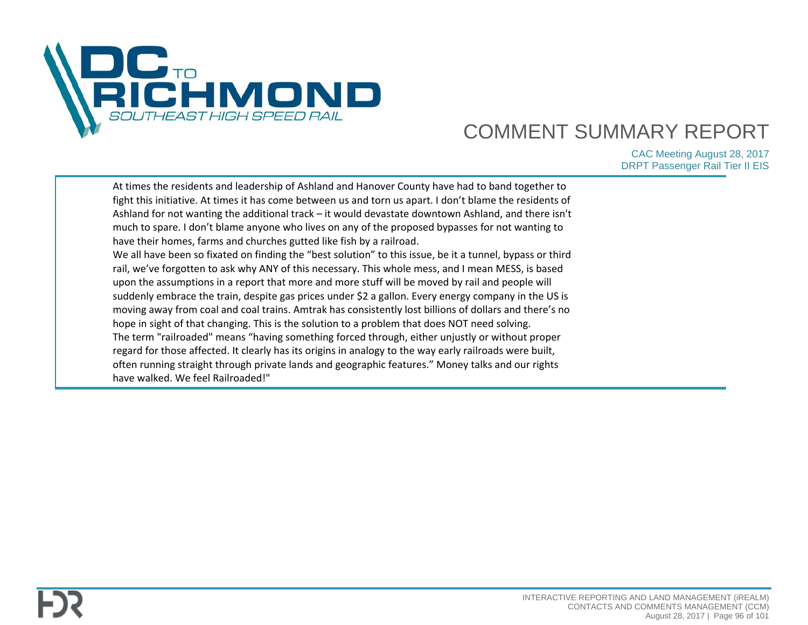

| At times the residents and leadership of Ashland and Hanover County have had to band together to<br>fight this initiative. At times it has come between us and torn us apart. I don't blame the residents of<br>Ashland for not wanting the additional track - it would devastate downtown Ashland, and there isn't<br>much to spare. I don't blame anyone who lives on any of the proposed bypasses for not wanting to<br>have their homes, farms and churches gutted like fish by a railroad.<br>We all have been so fixated on finding the "best solution" to this issue, be it a tunnel, bypass or third<br>rail, we've forgotten to ask why ANY of this necessary. This whole mess, and I mean MESS, is based<br>upon the assumptions in a report that more and more stuff will be moved by rail and people will<br>suddenly embrace the train, despite gas prices under \$2 a gallon. Every energy company in the US is<br>moving away from coal and coal trains. Amtrak has consistently lost billions of dollars and there's no<br>hope in sight of that changing. This is the solution to a problem that does NOT need solving. |  |
|------------------------------------------------------------------------------------------------------------------------------------------------------------------------------------------------------------------------------------------------------------------------------------------------------------------------------------------------------------------------------------------------------------------------------------------------------------------------------------------------------------------------------------------------------------------------------------------------------------------------------------------------------------------------------------------------------------------------------------------------------------------------------------------------------------------------------------------------------------------------------------------------------------------------------------------------------------------------------------------------------------------------------------------------------------------------------------------------------------------------------------------|--|
| The term "railroaded" means "having something forced through, either unjustly or without proper<br>regard for those affected. It clearly has its origins in analogy to the way early railroads were built,                                                                                                                                                                                                                                                                                                                                                                                                                                                                                                                                                                                                                                                                                                                                                                                                                                                                                                                               |  |
| often running straight through private lands and geographic features." Money talks and our rights<br>have walked. We feel Railroaded!"                                                                                                                                                                                                                                                                                                                                                                                                                                                                                                                                                                                                                                                                                                                                                                                                                                                                                                                                                                                                   |  |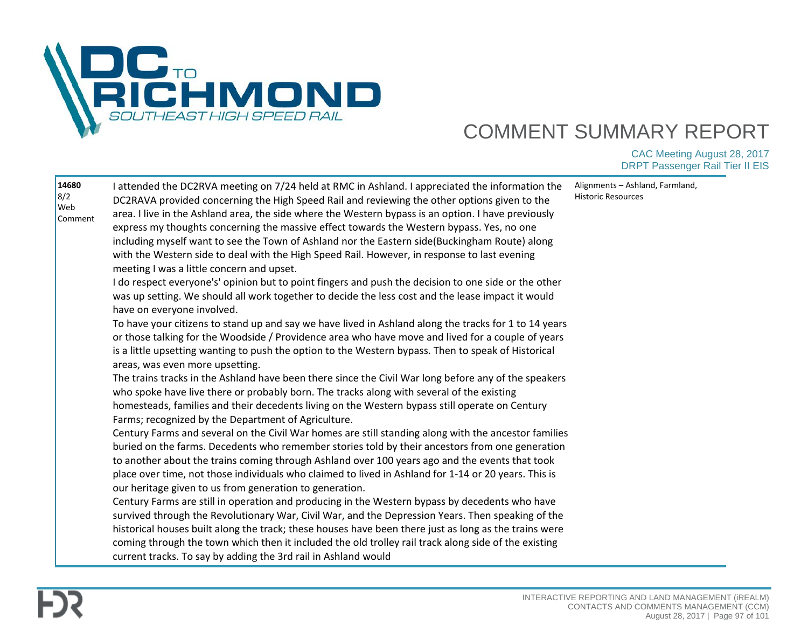

| 14680<br>8/2<br>Web<br>Comment | I attended the DC2RVA meeting on 7/24 held at RMC in Ashland. I appreciated the information the<br>DC2RAVA provided concerning the High Speed Rail and reviewing the other options given to the<br>area. I live in the Ashland area, the side where the Western bypass is an option. I have previously<br>express my thoughts concerning the massive effect towards the Western bypass. Yes, no one                                                                                    | Alignments - Ashland, Farmland,<br>Historic Resources |
|--------------------------------|----------------------------------------------------------------------------------------------------------------------------------------------------------------------------------------------------------------------------------------------------------------------------------------------------------------------------------------------------------------------------------------------------------------------------------------------------------------------------------------|-------------------------------------------------------|
|                                | including myself want to see the Town of Ashland nor the Eastern side(Buckingham Route) along<br>with the Western side to deal with the High Speed Rail. However, in response to last evening<br>meeting I was a little concern and upset.                                                                                                                                                                                                                                             |                                                       |
|                                | I do respect everyone's' opinion but to point fingers and push the decision to one side or the other<br>was up setting. We should all work together to decide the less cost and the lease impact it would<br>have on everyone involved.                                                                                                                                                                                                                                                |                                                       |
|                                | To have your citizens to stand up and say we have lived in Ashland along the tracks for 1 to 14 years<br>or those talking for the Woodside / Providence area who have move and lived for a couple of years<br>is a little upsetting wanting to push the option to the Western bypass. Then to speak of Historical<br>areas, was even more upsetting.                                                                                                                                   |                                                       |
|                                | The trains tracks in the Ashland have been there since the Civil War long before any of the speakers<br>who spoke have live there or probably born. The tracks along with several of the existing<br>homesteads, families and their decedents living on the Western bypass still operate on Century<br>Farms; recognized by the Department of Agriculture.                                                                                                                             |                                                       |
|                                | Century Farms and several on the Civil War homes are still standing along with the ancestor families<br>buried on the farms. Decedents who remember stories told by their ancestors from one generation<br>to another about the trains coming through Ashland over 100 years ago and the events that took<br>place over time, not those individuals who claimed to lived in Ashland for 1-14 or 20 years. This is<br>our heritage given to us from generation to generation.           |                                                       |
|                                | Century Farms are still in operation and producing in the Western bypass by decedents who have<br>survived through the Revolutionary War, Civil War, and the Depression Years. Then speaking of the<br>historical houses built along the track; these houses have been there just as long as the trains were<br>coming through the town which then it included the old trolley rail track along side of the existing<br>current tracks. To say by adding the 3rd rail in Ashland would |                                                       |

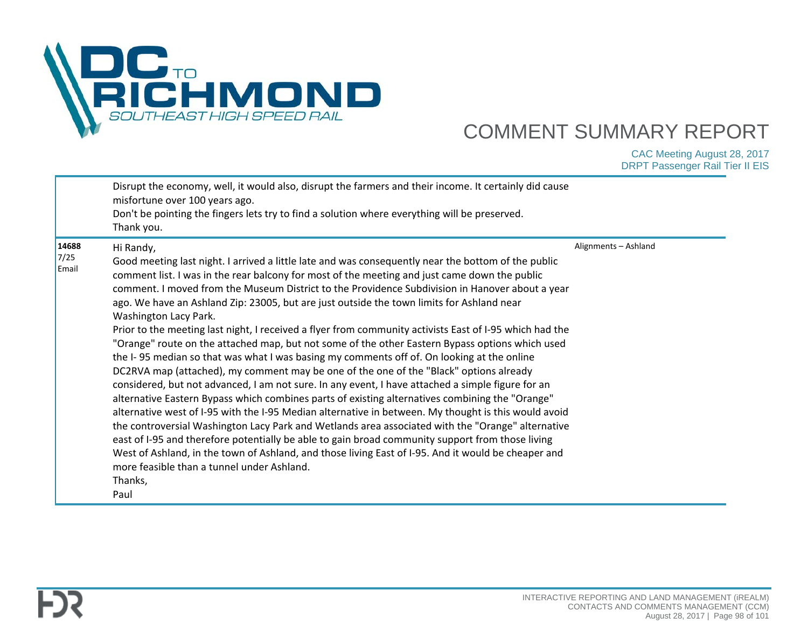

|                        | Disrupt the economy, well, it would also, disrupt the farmers and their income. It certainly did cause<br>misfortune over 100 years ago.<br>Don't be pointing the fingers lets try to find a solution where everything will be preserved.<br>Thank you.                                                                                                                                                                                                                                                                                                                                                                                                                                                                                                                                                                                                                                                                                                                                                                                                                                                                                                                                                                                                                                                                                                                                                                                                                                                                                           |                      |
|------------------------|---------------------------------------------------------------------------------------------------------------------------------------------------------------------------------------------------------------------------------------------------------------------------------------------------------------------------------------------------------------------------------------------------------------------------------------------------------------------------------------------------------------------------------------------------------------------------------------------------------------------------------------------------------------------------------------------------------------------------------------------------------------------------------------------------------------------------------------------------------------------------------------------------------------------------------------------------------------------------------------------------------------------------------------------------------------------------------------------------------------------------------------------------------------------------------------------------------------------------------------------------------------------------------------------------------------------------------------------------------------------------------------------------------------------------------------------------------------------------------------------------------------------------------------------------|----------------------|
| 14688<br>7/25<br>Email | Hi Randy,<br>Good meeting last night. I arrived a little late and was consequently near the bottom of the public<br>comment list. I was in the rear balcony for most of the meeting and just came down the public<br>comment. I moved from the Museum District to the Providence Subdivision in Hanover about a year<br>ago. We have an Ashland Zip: 23005, but are just outside the town limits for Ashland near<br>Washington Lacy Park.<br>Prior to the meeting last night, I received a flyer from community activists East of I-95 which had the<br>"Orange" route on the attached map, but not some of the other Eastern Bypass options which used<br>the I-95 median so that was what I was basing my comments off of. On looking at the online<br>DC2RVA map (attached), my comment may be one of the one of the "Black" options already<br>considered, but not advanced, I am not sure. In any event, I have attached a simple figure for an<br>alternative Eastern Bypass which combines parts of existing alternatives combining the "Orange"<br>alternative west of I-95 with the I-95 Median alternative in between. My thought is this would avoid<br>the controversial Washington Lacy Park and Wetlands area associated with the "Orange" alternative<br>east of I-95 and therefore potentially be able to gain broad community support from those living<br>West of Ashland, in the town of Ashland, and those living East of I-95. And it would be cheaper and<br>more feasible than a tunnel under Ashland.<br>Thanks,<br>Paul | Alignments - Ashland |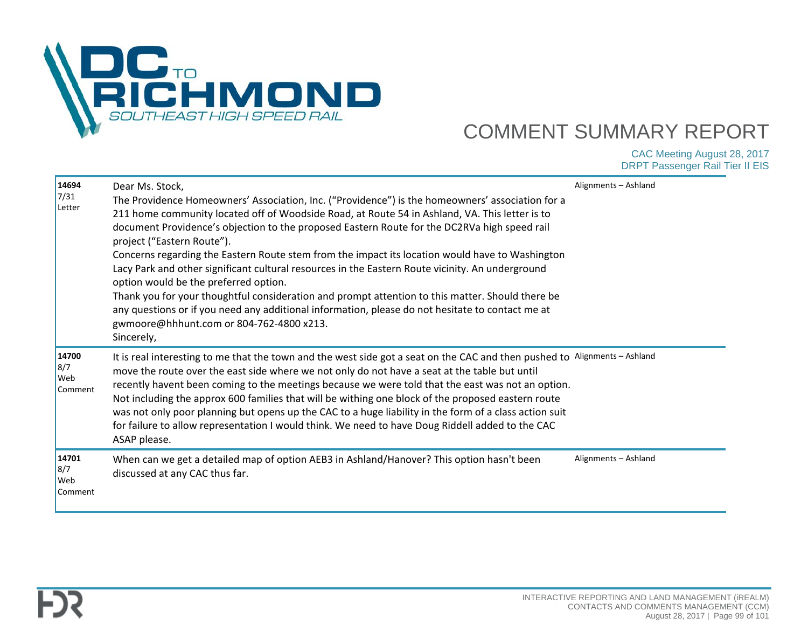

| 14694<br>7/31<br>Letter                      | Dear Ms. Stock,<br>The Providence Homeowners' Association, Inc. ("Providence") is the homeowners' association for a<br>211 home community located off of Woodside Road, at Route 54 in Ashland, VA. This letter is to<br>document Providence's objection to the proposed Eastern Route for the DC2RVa high speed rail<br>project ("Eastern Route").<br>Concerns regarding the Eastern Route stem from the impact its location would have to Washington<br>Lacy Park and other significant cultural resources in the Eastern Route vicinity. An underground<br>option would be the preferred option.<br>Thank you for your thoughtful consideration and prompt attention to this matter. Should there be<br>any questions or if you need any additional information, please do not hesitate to contact me at<br>gwmoore@hhhunt.com or 804-762-4800 x213.<br>Sincerely, | Alignments - Ashland |
|----------------------------------------------|-----------------------------------------------------------------------------------------------------------------------------------------------------------------------------------------------------------------------------------------------------------------------------------------------------------------------------------------------------------------------------------------------------------------------------------------------------------------------------------------------------------------------------------------------------------------------------------------------------------------------------------------------------------------------------------------------------------------------------------------------------------------------------------------------------------------------------------------------------------------------|----------------------|
| 14700<br>8/7<br>Web<br>Comment               | It is real interesting to me that the town and the west side got a seat on the CAC and then pushed to Alignments - Ashland<br>move the route over the east side where we not only do not have a seat at the table but until<br>recently havent been coming to the meetings because we were told that the east was not an option.<br>Not including the approx 600 families that will be withing one block of the proposed eastern route<br>was not only poor planning but opens up the CAC to a huge liability in the form of a class action suit<br>for failure to allow representation I would think. We need to have Doug Riddell added to the CAC<br>ASAP please.                                                                                                                                                                                                  |                      |
| 14701<br>8/7<br><b>Web</b><br><b>Comment</b> | When can we get a detailed map of option AEB3 in Ashland/Hanover? This option hasn't been<br>discussed at any CAC thus far.                                                                                                                                                                                                                                                                                                                                                                                                                                                                                                                                                                                                                                                                                                                                           | Alignments - Ashland |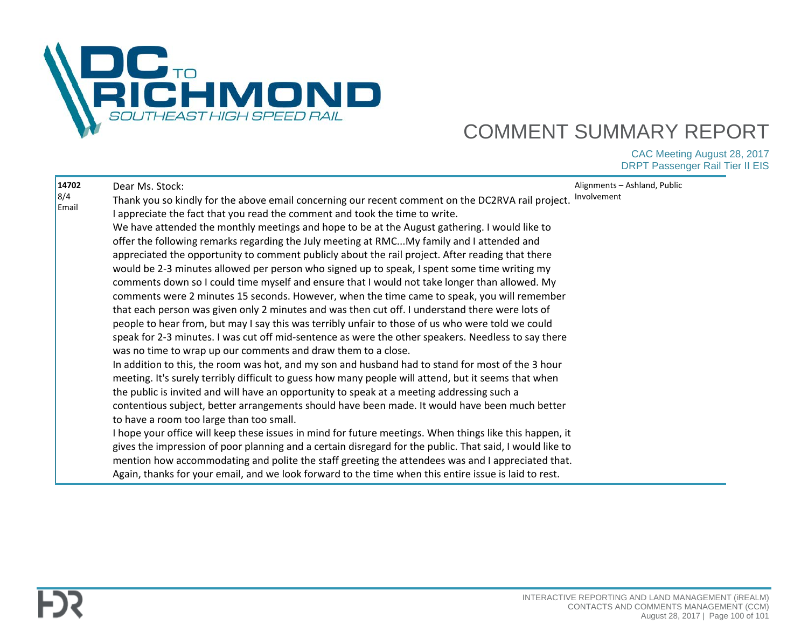

| 14702 | Dear Ms. Stock:                                                                                          | Alignments - Ashland, Public |
|-------|----------------------------------------------------------------------------------------------------------|------------------------------|
| 8/4   | Thank you so kindly for the above email concerning our recent comment on the DC2RVA rail project.        | Involvement                  |
| Email | I appreciate the fact that you read the comment and took the time to write.                              |                              |
|       | We have attended the monthly meetings and hope to be at the August gathering. I would like to            |                              |
|       | offer the following remarks regarding the July meeting at RMCMy family and I attended and                |                              |
|       | appreciated the opportunity to comment publicly about the rail project. After reading that there         |                              |
|       | would be 2-3 minutes allowed per person who signed up to speak, I spent some time writing my             |                              |
|       | comments down so I could time myself and ensure that I would not take longer than allowed. My            |                              |
|       | comments were 2 minutes 15 seconds. However, when the time came to speak, you will remember              |                              |
|       | that each person was given only 2 minutes and was then cut off. I understand there were lots of          |                              |
|       | people to hear from, but may I say this was terribly unfair to those of us who were told we could        |                              |
|       | speak for 2-3 minutes. I was cut off mid-sentence as were the other speakers. Needless to say there      |                              |
|       | was no time to wrap up our comments and draw them to a close.                                            |                              |
|       | In addition to this, the room was hot, and my son and husband had to stand for most of the 3 hour        |                              |
|       |                                                                                                          |                              |
|       | meeting. It's surely terribly difficult to guess how many people will attend, but it seems that when     |                              |
|       | the public is invited and will have an opportunity to speak at a meeting addressing such a               |                              |
|       | contentious subject, better arrangements should have been made. It would have been much better           |                              |
|       | to have a room too large than too small.                                                                 |                              |
|       | I hope your office will keep these issues in mind for future meetings. When things like this happen, it  |                              |
|       | gives the impression of poor planning and a certain disregard for the public. That said, I would like to |                              |
|       | mention how accommodating and polite the staff greeting the attendees was and I appreciated that.        |                              |
|       | Again, thanks for your email, and we look forward to the time when this entire issue is laid to rest.    |                              |
|       |                                                                                                          |                              |